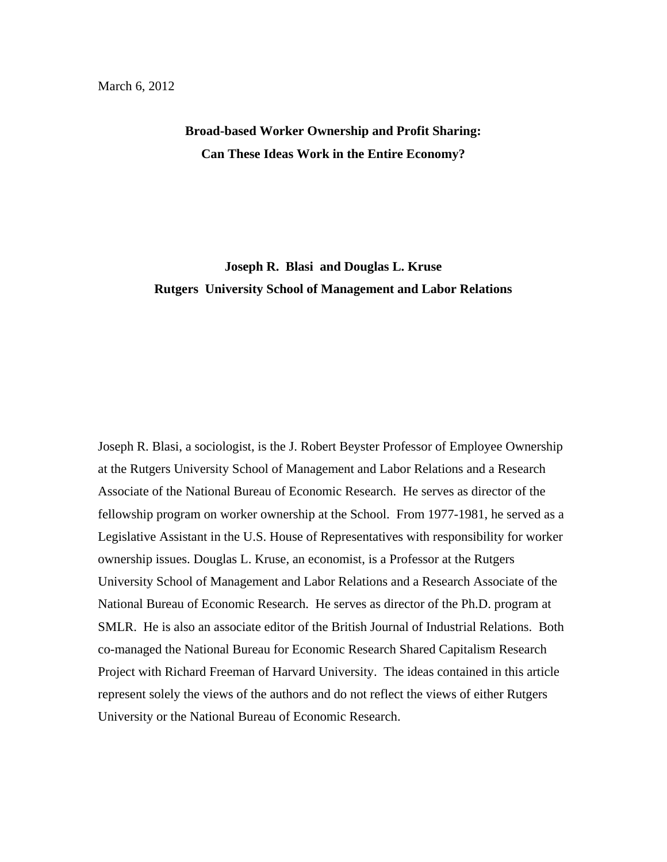# **Broad-based Worker Ownership and Profit Sharing: Can These Ideas Work in the Entire Economy?**

# **Joseph R. Blasi and Douglas L. Kruse Rutgers University School of Management and Labor Relations**

Joseph R. Blasi, a sociologist, is the J. Robert Beyster Professor of Employee Ownership at the Rutgers University School of Management and Labor Relations and a Research Associate of the National Bureau of Economic Research. He serves as director of the fellowship program on worker ownership at the School. From 1977-1981, he served as a Legislative Assistant in the U.S. House of Representatives with responsibility for worker ownership issues. Douglas L. Kruse, an economist, is a Professor at the Rutgers University School of Management and Labor Relations and a Research Associate of the National Bureau of Economic Research. He serves as director of the Ph.D. program at SMLR. He is also an associate editor of the British Journal of Industrial Relations. Both co-managed the National Bureau for Economic Research Shared Capitalism Research Project with Richard Freeman of Harvard University. The ideas contained in this article represent solely the views of the authors and do not reflect the views of either Rutgers University or the National Bureau of Economic Research.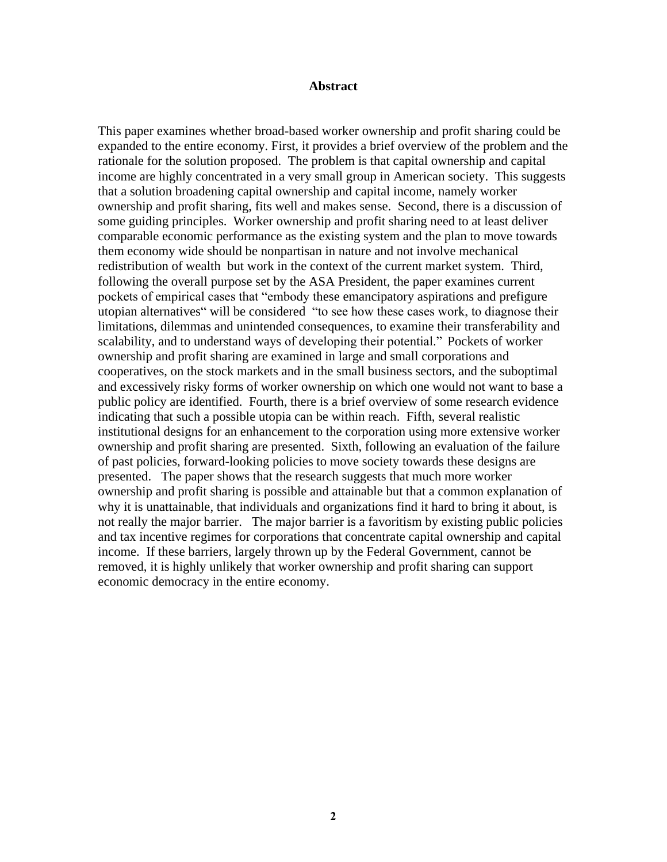### **Abstract**

This paper examines whether broad-based worker ownership and profit sharing could be expanded to the entire economy. First, it provides a brief overview of the problem and the rationale for the solution proposed. The problem is that capital ownership and capital income are highly concentrated in a very small group in American society. This suggests that a solution broadening capital ownership and capital income, namely worker ownership and profit sharing, fits well and makes sense. Second, there is a discussion of some guiding principles. Worker ownership and profit sharing need to at least deliver comparable economic performance as the existing system and the plan to move towards them economy wide should be nonpartisan in nature and not involve mechanical redistribution of wealth but work in the context of the current market system. Third, following the overall purpose set by the ASA President, the paper examines current pockets of empirical cases that "embody these emancipatory aspirations and prefigure utopian alternatives" will be considered "to see how these cases work, to diagnose their limitations, dilemmas and unintended consequences, to examine their transferability and scalability, and to understand ways of developing their potential." Pockets of worker ownership and profit sharing are examined in large and small corporations and cooperatives, on the stock markets and in the small business sectors, and the suboptimal and excessively risky forms of worker ownership on which one would not want to base a public policy are identified. Fourth, there is a brief overview of some research evidence indicating that such a possible utopia can be within reach. Fifth, several realistic institutional designs for an enhancement to the corporation using more extensive worker ownership and profit sharing are presented. Sixth, following an evaluation of the failure of past policies, forward-looking policies to move society towards these designs are presented. The paper shows that the research suggests that much more worker ownership and profit sharing is possible and attainable but that a common explanation of why it is unattainable, that individuals and organizations find it hard to bring it about, is not really the major barrier. The major barrier is a favoritism by existing public policies and tax incentive regimes for corporations that concentrate capital ownership and capital income. If these barriers, largely thrown up by the Federal Government, cannot be removed, it is highly unlikely that worker ownership and profit sharing can support economic democracy in the entire economy.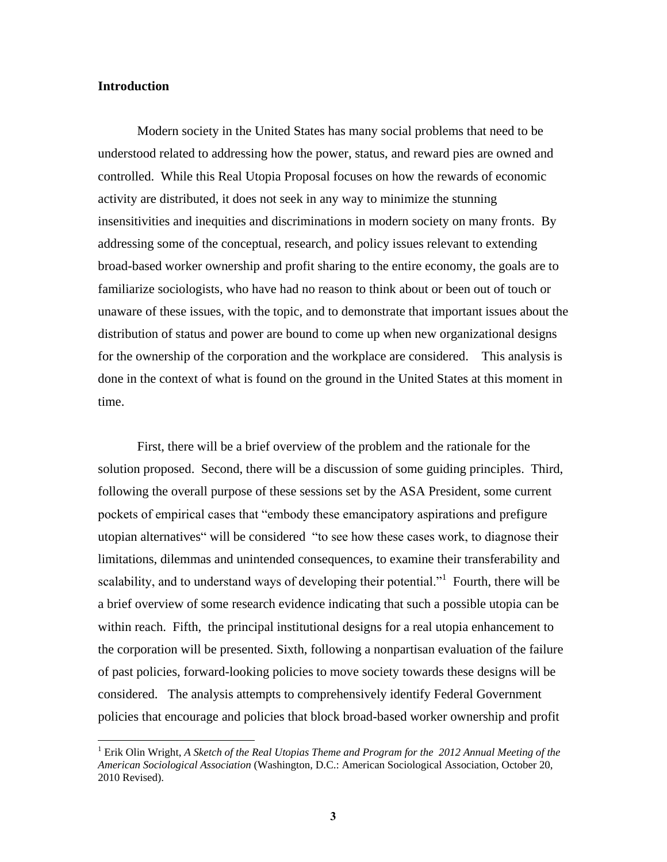### **Introduction**

 $\overline{a}$ 

Modern society in the United States has many social problems that need to be understood related to addressing how the power, status, and reward pies are owned and controlled. While this Real Utopia Proposal focuses on how the rewards of economic activity are distributed, it does not seek in any way to minimize the stunning insensitivities and inequities and discriminations in modern society on many fronts. By addressing some of the conceptual, research, and policy issues relevant to extending broad-based worker ownership and profit sharing to the entire economy, the goals are to familiarize sociologists, who have had no reason to think about or been out of touch or unaware of these issues, with the topic, and to demonstrate that important issues about the distribution of status and power are bound to come up when new organizational designs for the ownership of the corporation and the workplace are considered. This analysis is done in the context of what is found on the ground in the United States at this moment in time.

First, there will be a brief overview of the problem and the rationale for the solution proposed. Second, there will be a discussion of some guiding principles. Third, following the overall purpose of these sessions set by the ASA President, some current pockets of empirical cases that "embody these emancipatory aspirations and prefigure utopian alternatives" will be considered "to see how these cases work, to diagnose their limitations, dilemmas and unintended consequences, to examine their transferability and scalability, and to understand ways of developing their potential."<sup>1</sup> Fourth, there will be a brief overview of some research evidence indicating that such a possible utopia can be within reach. Fifth, the principal institutional designs for a real utopia enhancement to the corporation will be presented. Sixth, following a nonpartisan evaluation of the failure of past policies, forward-looking policies to move society towards these designs will be considered. The analysis attempts to comprehensively identify Federal Government policies that encourage and policies that block broad-based worker ownership and profit

<sup>1</sup> Erik Olin Wright, *A Sketch of the Real Utopias Theme and Program for the 2012 Annual Meeting of the American Sociological Association* (Washington, D.C.: American Sociological Association, October 20, 2010 Revised).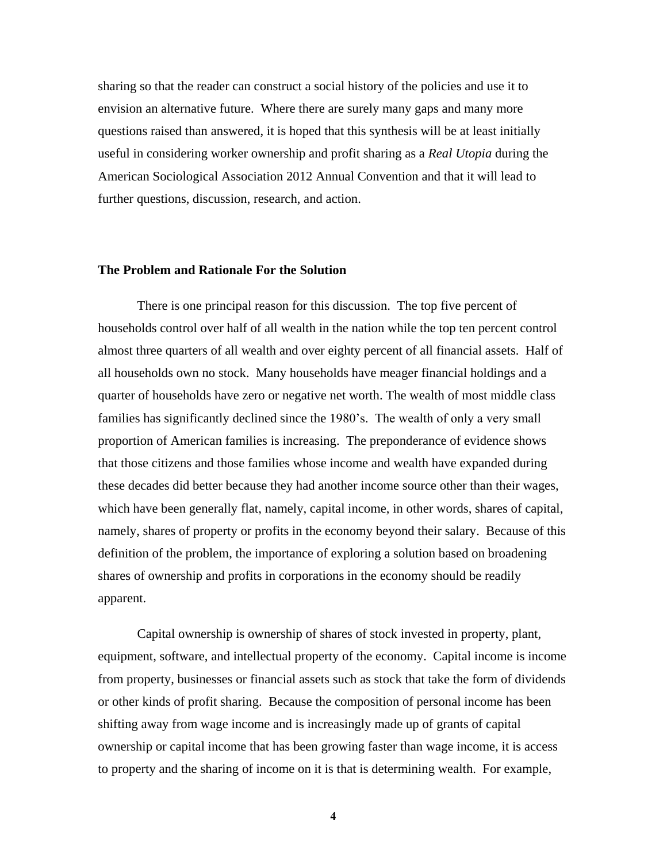sharing so that the reader can construct a social history of the policies and use it to envision an alternative future. Where there are surely many gaps and many more questions raised than answered, it is hoped that this synthesis will be at least initially useful in considering worker ownership and profit sharing as a *Real Utopia* during the American Sociological Association 2012 Annual Convention and that it will lead to further questions, discussion, research, and action.

### **The Problem and Rationale For the Solution**

There is one principal reason for this discussion. The top five percent of households control over half of all wealth in the nation while the top ten percent control almost three quarters of all wealth and over eighty percent of all financial assets. Half of all households own no stock. Many households have meager financial holdings and a quarter of households have zero or negative net worth. The wealth of most middle class families has significantly declined since the 1980's. The wealth of only a very small proportion of American families is increasing. The preponderance of evidence shows that those citizens and those families whose income and wealth have expanded during these decades did better because they had another income source other than their wages, which have been generally flat, namely, capital income, in other words, shares of capital, namely, shares of property or profits in the economy beyond their salary. Because of this definition of the problem, the importance of exploring a solution based on broadening shares of ownership and profits in corporations in the economy should be readily apparent.

Capital ownership is ownership of shares of stock invested in property, plant, equipment, software, and intellectual property of the economy. Capital income is income from property, businesses or financial assets such as stock that take the form of dividends or other kinds of profit sharing. Because the composition of personal income has been shifting away from wage income and is increasingly made up of grants of capital ownership or capital income that has been growing faster than wage income, it is access to property and the sharing of income on it is that is determining wealth. For example,

**4**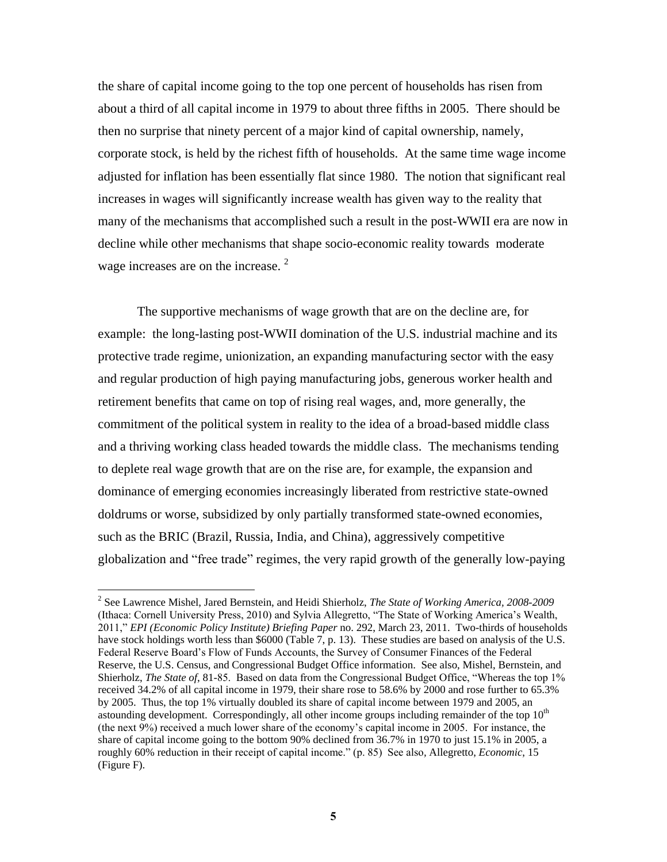the share of capital income going to the top one percent of households has risen from about a third of all capital income in 1979 to about three fifths in 2005. There should be then no surprise that ninety percent of a major kind of capital ownership, namely, corporate stock, is held by the richest fifth of households. At the same time wage income adjusted for inflation has been essentially flat since 1980. The notion that significant real increases in wages will significantly increase wealth has given way to the reality that many of the mechanisms that accomplished such a result in the post-WWII era are now in decline while other mechanisms that shape socio-economic reality towards moderate wage increases are on the increase.<sup>2</sup>

The supportive mechanisms of wage growth that are on the decline are, for example: the long-lasting post-WWII domination of the U.S. industrial machine and its protective trade regime, unionization, an expanding manufacturing sector with the easy and regular production of high paying manufacturing jobs, generous worker health and retirement benefits that came on top of rising real wages, and, more generally, the commitment of the political system in reality to the idea of a broad-based middle class and a thriving working class headed towards the middle class. The mechanisms tending to deplete real wage growth that are on the rise are, for example, the expansion and dominance of emerging economies increasingly liberated from restrictive state-owned doldrums or worse, subsidized by only partially transformed state-owned economies, such as the BRIC (Brazil, Russia, India, and China), aggressively competitive globalization and ―free trade‖ regimes, the very rapid growth of the generally low-paying

<sup>2</sup> See Lawrence Mishel, Jared Bernstein, and Heidi Shierholz, *The State of Working America, 2008-2009* (Ithaca: Cornell University Press, 2010) and Sylvia Allegretto, "The State of Working America's Wealth, 2011," *EPI (Economic Policy Institute) Briefing Paper* no. 292, March 23, 2011. Two-thirds of households have stock holdings worth less than \$6000 (Table 7, p. 13). These studies are based on analysis of the U.S. Federal Reserve Board's Flow of Funds Accounts, the Survey of Consumer Finances of the Federal Reserve, the U.S. Census, and Congressional Budget Office information. See also, Mishel, Bernstein, and Shierholz, *The State of*, 81-85. Based on data from the Congressional Budget Office, "Whereas the top 1% received 34.2% of all capital income in 1979, their share rose to 58.6% by 2000 and rose further to 65.3% by 2005. Thus, the top 1% virtually doubled its share of capital income between 1979 and 2005, an astounding development. Correspondingly, all other income groups including remainder of the top 10<sup>th</sup> (the next 9%) received a much lower share of the economy's capital income in 2005. For instance, the share of capital income going to the bottom 90% declined from 36.7% in 1970 to just 15.1% in 2005, a roughly 60% reduction in their receipt of capital income." (p. 85) See also, Allegretto, *Economic*, 15 (Figure F).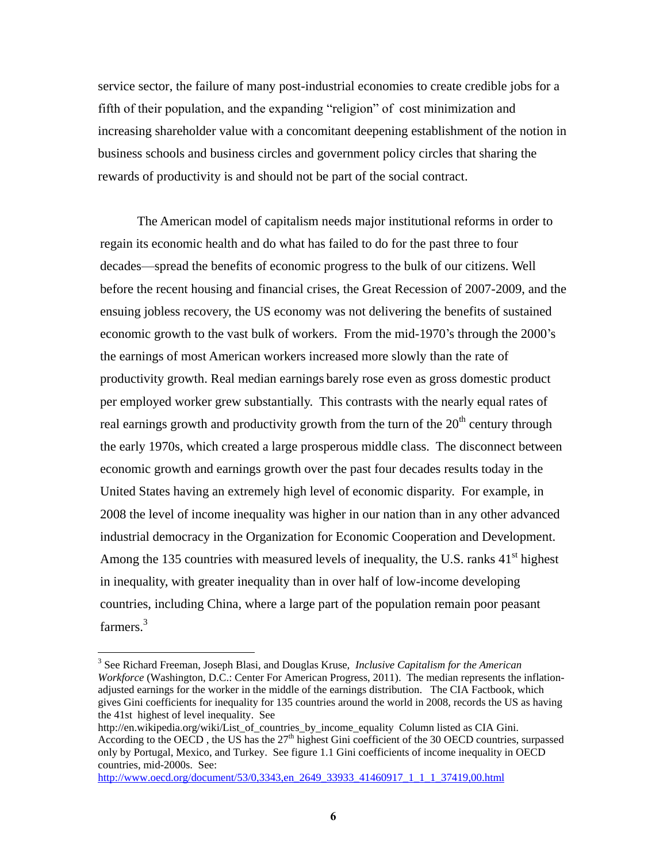service sector, the failure of many post-industrial economies to create credible jobs for a fifth of their population, and the expanding "religion" of cost minimization and increasing shareholder value with a concomitant deepening establishment of the notion in business schools and business circles and government policy circles that sharing the rewards of productivity is and should not be part of the social contract.

The American model of capitalism needs major institutional reforms in order to regain its economic health and do what has failed to do for the past three to four decades—spread the benefits of economic progress to the bulk of our citizens. Well before the recent housing and financial crises, the Great Recession of 2007-2009, and the ensuing jobless recovery, the US economy was not delivering the benefits of sustained economic growth to the vast bulk of workers. From the mid-1970's through the 2000's the earnings of most American workers increased more slowly than the rate of productivity growth. Real median earnings barely rose even as gross domestic product per employed worker grew substantially. This contrasts with the nearly equal rates of real earnings growth and productivity growth from the turn of the  $20<sup>th</sup>$  century through the early 1970s, which created a large prosperous middle class. The disconnect between economic growth and earnings growth over the past four decades results today in the United States having an extremely high level of economic disparity. For example, in 2008 the level of income inequality was higher in our nation than in any other advanced industrial democracy in the Organization for Economic Cooperation and Development. Among the 135 countries with measured levels of inequality, the U.S. ranks  $41<sup>st</sup>$  highest in inequality, with greater inequality than in over half of low-income developing countries, including China, where a large part of the population remain poor peasant farmers.<sup>3</sup>

<sup>3</sup> See Richard Freeman, Joseph Blasi, and Douglas Kruse, *Inclusive Capitalism for the American Workforce* (Washington, D.C.: Center For American Progress, 2011). The median represents the inflationadjusted earnings for the worker in the middle of the earnings distribution. The CIA Factbook, which gives Gini coefficients for inequality for 135 countries around the world in 2008, records the US as having the 41st highest of level inequality. See

http://en.wikipedia.org/wiki/List\_of\_countries\_by\_income\_equality Column listed as CIA Gini. According to the OECD, the US has the 27<sup>th</sup> highest Gini coefficient of the 30 OECD countries, surpassed only by Portugal, Mexico, and Turkey. See figure 1.1 Gini coefficients of income inequality in OECD countries, mid-2000s. See:

[http://www.oecd.org/document/53/0,3343,en\\_2649\\_33933\\_41460917\\_1\\_1\\_1\\_37419,00.html](http://www.oecd.org/document/53/0,3343,en_2649_33933_41460917_1_1_1_37419,00.html)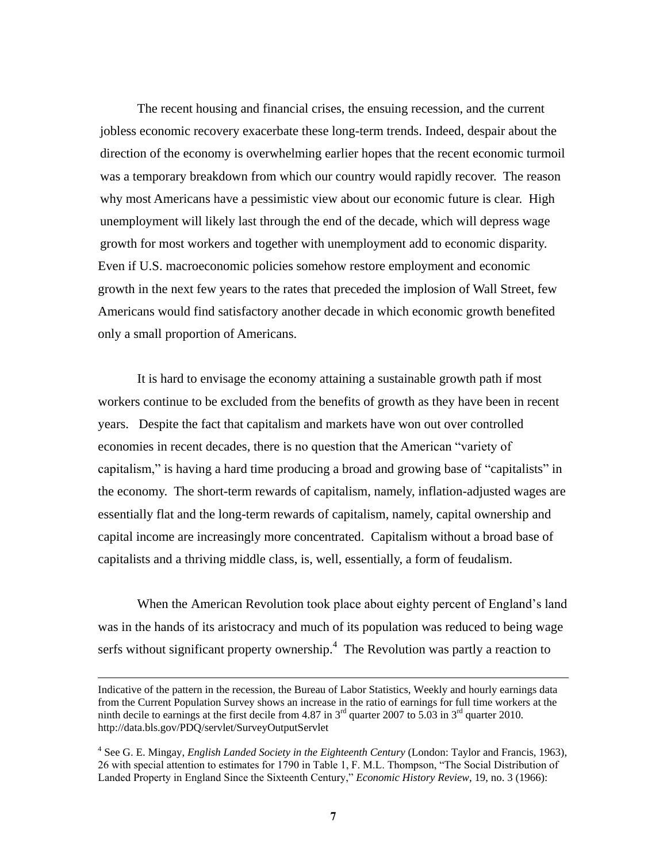The recent housing and financial crises, the ensuing recession, and the current jobless economic recovery exacerbate these long-term trends. Indeed, despair about the direction of the economy is overwhelming earlier hopes that the recent economic turmoil was a temporary breakdown from which our country would rapidly recover. The reason why most Americans have a pessimistic view about our economic future is clear. High unemployment will likely last through the end of the decade, which will depress wage growth for most workers and together with unemployment add to economic disparity. Even if U.S. macroeconomic policies somehow restore employment and economic growth in the next few years to the rates that preceded the implosion of Wall Street, few Americans would find satisfactory another decade in which economic growth benefited only a small proportion of Americans.

It is hard to envisage the economy attaining a sustainable growth path if most workers continue to be excluded from the benefits of growth as they have been in recent years. Despite the fact that capitalism and markets have won out over controlled economies in recent decades, there is no question that the American "variety of capitalism," is having a hard time producing a broad and growing base of "capitalists" in the economy. The short-term rewards of capitalism, namely, inflation-adjusted wages are essentially flat and the long-term rewards of capitalism, namely, capital ownership and capital income are increasingly more concentrated. Capitalism without a broad base of capitalists and a thriving middle class, is, well, essentially, a form of feudalism.

When the American Revolution took place about eighty percent of England's land was in the hands of its aristocracy and much of its population was reduced to being wage serfs without significant property ownership. $4$  The Revolution was partly a reaction to

Indicative of the pattern in the recession, the Bureau of Labor Statistics, Weekly and hourly earnings data from the Current Population Survey shows an increase in the ratio of earnings for full time workers at the ninth decile to earnings at the first decile from 4.87 in  $3<sup>rd</sup>$  quarter 2007 to 5.03 in  $3<sup>rd</sup>$  quarter 2010. <http://data.bls.gov/PDQ/servlet/SurveyOutputServlet>

<sup>4</sup> See G. E. Mingay, *English Landed Society in the Eighteenth Century* (London: Taylor and Francis, 1963), 26 with special attention to estimates for 1790 in Table 1, F. M.L. Thompson, "The Social Distribution of Landed Property in England Since the Sixteenth Century," *Economic History Review*, 19, no. 3 (1966):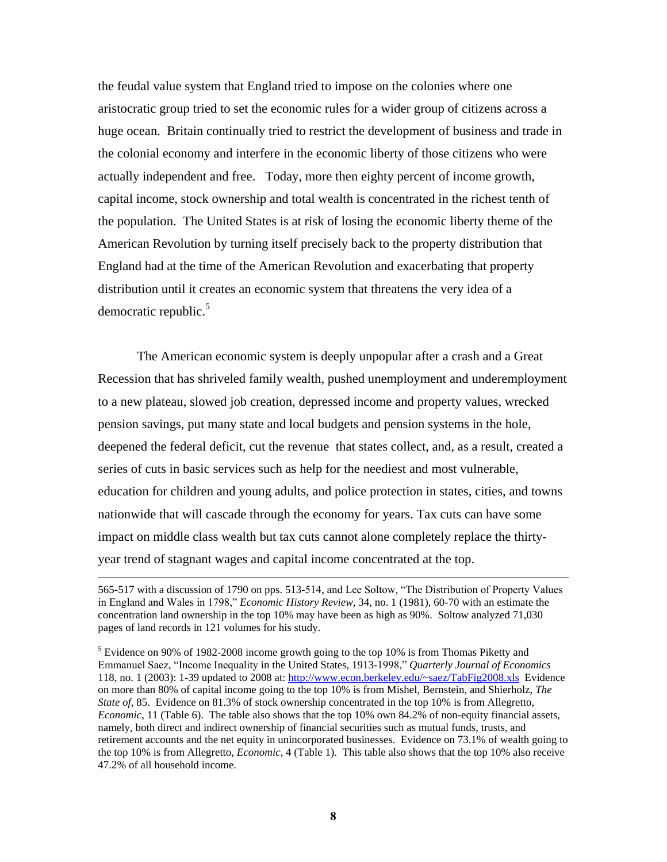the feudal value system that England tried to impose on the colonies where one aristocratic group tried to set the economic rules for a wider group of citizens across a huge ocean. Britain continually tried to restrict the development of business and trade in the colonial economy and interfere in the economic liberty of those citizens who were actually independent and free. Today, more then eighty percent of income growth, capital income, stock ownership and total wealth is concentrated in the richest tenth of the population. The United States is at risk of losing the economic liberty theme of the American Revolution by turning itself precisely back to the property distribution that England had at the time of the American Revolution and exacerbating that property distribution until it creates an economic system that threatens the very idea of a democratic republic.<sup>5</sup>

The American economic system is deeply unpopular after a crash and a Great Recession that has shriveled family wealth, pushed unemployment and underemployment to a new plateau, slowed job creation, depressed income and property values, wrecked pension savings, put many state and local budgets and pension systems in the hole, deepened the federal deficit, cut the revenue that states collect, and, as a result, created a series of cuts in basic services such as help for the neediest and most vulnerable, education for children and young adults, and police protection in states, cities, and towns nationwide that will cascade through the economy for years. Tax cuts can have some impact on middle class wealth but tax cuts cannot alone completely replace the thirtyyear trend of stagnant wages and capital income concentrated at the top.

<sup>565-517</sup> with a discussion of 1790 on pps. 513-514, and Lee Soltow, "The Distribution of Property Values" in England and Wales in 1798," *Economic History Review*, 34, no. 1 (1981), 60-70 with an estimate the concentration land ownership in the top 10% may have been as high as 90%. Soltow analyzed 71,030 pages of land records in 121 volumes for his study.

<sup>&</sup>lt;sup>5</sup> Evidence on 90% of 1982-2008 income growth going to the top 10% is from Thomas Piketty and Emmanuel Saez, "Income Inequality in the United States, 1913-1998," Quarterly Journal of Economics 118, no. 1 (2003): 1-39 updated to 2008 at[: http://www.econ.berkeley.edu/~saez/TabFig2008.xls](http://www.econ.berkeley.edu/~saez/TabFig2008.xls) Evidence on more than 80% of capital income going to the top 10% is from Mishel, Bernstein, and Shierholz, *The State of,* 85. Evidence on 81.3% of stock ownership concentrated in the top 10% is from Allegretto, *Economic*, 11 (Table 6). The table also shows that the top 10% own 84.2% of non-equity financial assets, namely, both direct and indirect ownership of financial securities such as mutual funds, trusts, and retirement accounts and the net equity in unincorporated businesses. Evidence on 73.1% of wealth going to the top 10% is from Allegretto, *Economic*, 4 (Table 1). This table also shows that the top 10% also receive 47.2% of all household income.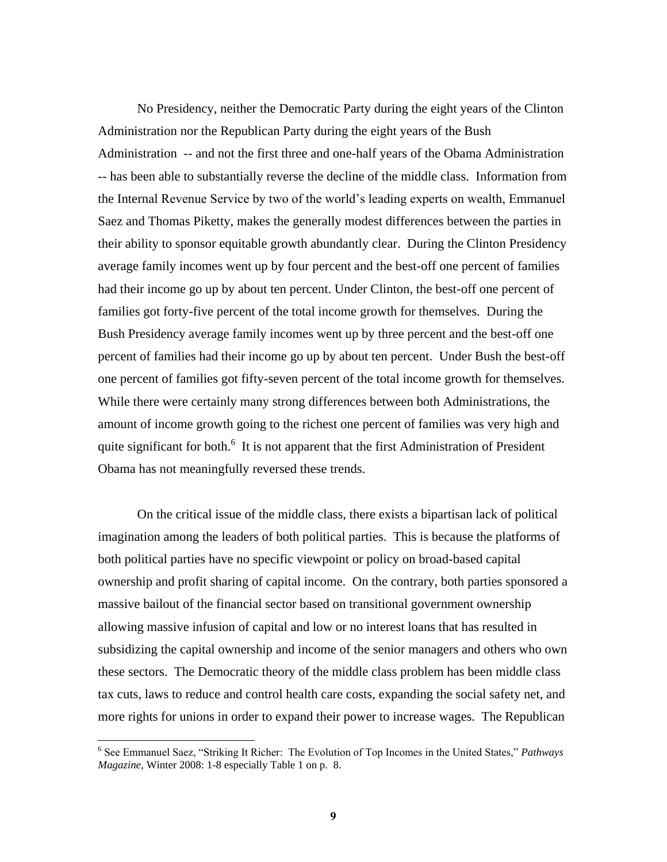No Presidency, neither the Democratic Party during the eight years of the Clinton Administration nor the Republican Party during the eight years of the Bush Administration -- and not the first three and one-half years of the Obama Administration -- has been able to substantially reverse the decline of the middle class. Information from the Internal Revenue Service by two of the world's leading experts on wealth, Emmanuel Saez and Thomas Piketty, makes the generally modest differences between the parties in their ability to sponsor equitable growth abundantly clear. During the Clinton Presidency average family incomes went up by four percent and the best-off one percent of families had their income go up by about ten percent. Under Clinton, the best-off one percent of families got forty-five percent of the total income growth for themselves. During the Bush Presidency average family incomes went up by three percent and the best-off one percent of families had their income go up by about ten percent. Under Bush the best-off one percent of families got fifty-seven percent of the total income growth for themselves. While there were certainly many strong differences between both Administrations, the amount of income growth going to the richest one percent of families was very high and quite significant for both.<sup>6</sup> It is not apparent that the first Administration of President Obama has not meaningfully reversed these trends.

On the critical issue of the middle class, there exists a bipartisan lack of political imagination among the leaders of both political parties. This is because the platforms of both political parties have no specific viewpoint or policy on broad-based capital ownership and profit sharing of capital income. On the contrary, both parties sponsored a massive bailout of the financial sector based on transitional government ownership allowing massive infusion of capital and low or no interest loans that has resulted in subsidizing the capital ownership and income of the senior managers and others who own these sectors. The Democratic theory of the middle class problem has been middle class tax cuts, laws to reduce and control health care costs, expanding the social safety net, and more rights for unions in order to expand their power to increase wages. The Republican

<sup>&</sup>lt;sup>6</sup> See Emmanuel Saez, "Striking It Richer: The Evolution of Top Incomes in the United States," Pathways *Magazine*, Winter 2008: 1-8 especially Table 1 on p. 8.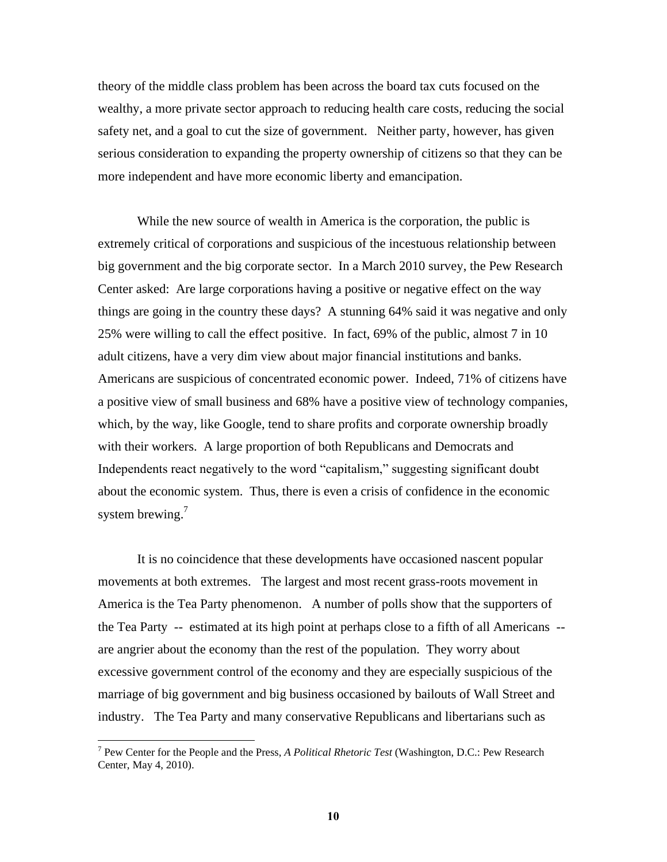theory of the middle class problem has been across the board tax cuts focused on the wealthy, a more private sector approach to reducing health care costs, reducing the social safety net, and a goal to cut the size of government. Neither party, however, has given serious consideration to expanding the property ownership of citizens so that they can be more independent and have more economic liberty and emancipation.

While the new source of wealth in America is the corporation, the public is extremely critical of corporations and suspicious of the incestuous relationship between big government and the big corporate sector. In a March 2010 survey, the Pew Research Center asked: Are large corporations having a positive or negative effect on the way things are going in the country these days? A stunning 64% said it was negative and only 25% were willing to call the effect positive. In fact, 69% of the public, almost 7 in 10 adult citizens, have a very dim view about major financial institutions and banks. Americans are suspicious of concentrated economic power. Indeed, 71% of citizens have a positive view of small business and 68% have a positive view of technology companies, which, by the way, like Google, tend to share profits and corporate ownership broadly with their workers. A large proportion of both Republicans and Democrats and Independents react negatively to the word "capitalism," suggesting significant doubt about the economic system. Thus, there is even a crisis of confidence in the economic system brewing.<sup>7</sup>

It is no coincidence that these developments have occasioned nascent popular movements at both extremes. The largest and most recent grass-roots movement in America is the Tea Party phenomenon. A number of polls show that the supporters of the Tea Party -- estimated at its high point at perhaps close to a fifth of all Americans - are angrier about the economy than the rest of the population. They worry about excessive government control of the economy and they are especially suspicious of the marriage of big government and big business occasioned by bailouts of Wall Street and industry. The Tea Party and many conservative Republicans and libertarians such as

<sup>7</sup> Pew Center for the People and the Press, *A Political Rhetoric Test* (Washington, D.C.: Pew Research Center, May 4, 2010).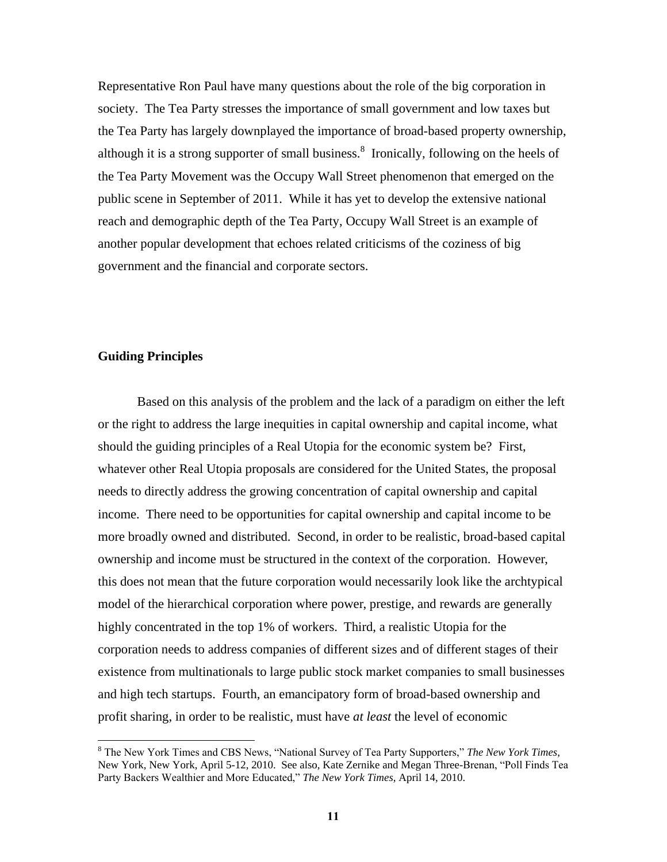Representative Ron Paul have many questions about the role of the big corporation in society. The Tea Party stresses the importance of small government and low taxes but the Tea Party has largely downplayed the importance of broad-based property ownership, although it is a strong supporter of small business. $\delta$  Ironically, following on the heels of the Tea Party Movement was the Occupy Wall Street phenomenon that emerged on the public scene in September of 2011. While it has yet to develop the extensive national reach and demographic depth of the Tea Party, Occupy Wall Street is an example of another popular development that echoes related criticisms of the coziness of big government and the financial and corporate sectors.

### **Guiding Principles**

 $\overline{a}$ 

Based on this analysis of the problem and the lack of a paradigm on either the left or the right to address the large inequities in capital ownership and capital income, what should the guiding principles of a Real Utopia for the economic system be? First, whatever other Real Utopia proposals are considered for the United States, the proposal needs to directly address the growing concentration of capital ownership and capital income. There need to be opportunities for capital ownership and capital income to be more broadly owned and distributed. Second, in order to be realistic, broad-based capital ownership and income must be structured in the context of the corporation. However, this does not mean that the future corporation would necessarily look like the archtypical model of the hierarchical corporation where power, prestige, and rewards are generally highly concentrated in the top 1% of workers. Third, a realistic Utopia for the corporation needs to address companies of different sizes and of different stages of their existence from multinationals to large public stock market companies to small businesses and high tech startups. Fourth, an emancipatory form of broad-based ownership and profit sharing, in order to be realistic, must have *at least* the level of economic

<sup>&</sup>lt;sup>8</sup> The New York Times and CBS News, "National Survey of Tea Party Supporters," The New York Times, New York, New York, April 5-12, 2010. See also, Kate Zernike and Megan Three-Brenan, "Poll Finds Tea Party Backers Wealthier and More Educated," The New York Times, April 14, 2010.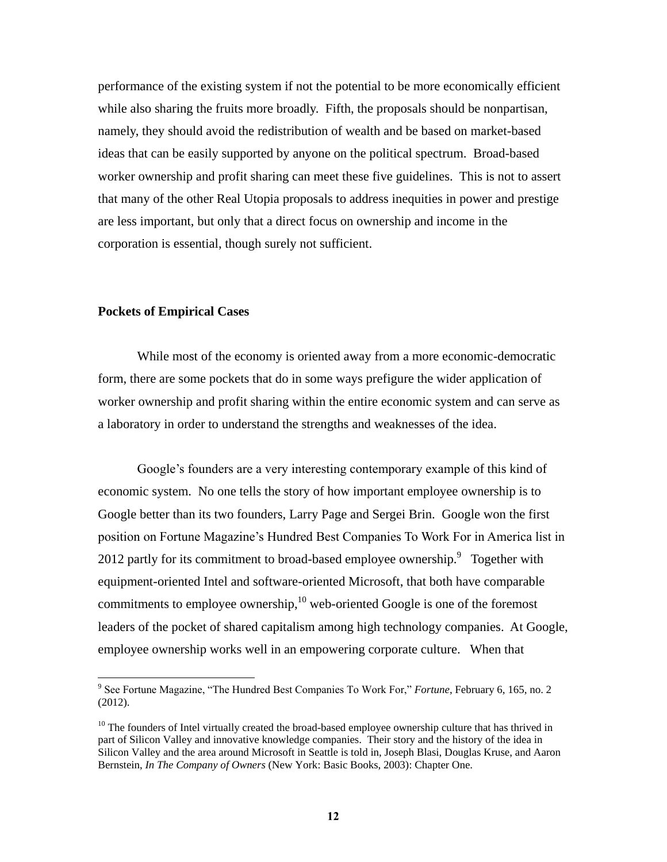performance of the existing system if not the potential to be more economically efficient while also sharing the fruits more broadly. Fifth, the proposals should be nonpartisan, namely, they should avoid the redistribution of wealth and be based on market-based ideas that can be easily supported by anyone on the political spectrum. Broad-based worker ownership and profit sharing can meet these five guidelines. This is not to assert that many of the other Real Utopia proposals to address inequities in power and prestige are less important, but only that a direct focus on ownership and income in the corporation is essential, though surely not sufficient.

### **Pockets of Empirical Cases**

 $\overline{a}$ 

While most of the economy is oriented away from a more economic-democratic form, there are some pockets that do in some ways prefigure the wider application of worker ownership and profit sharing within the entire economic system and can serve as a laboratory in order to understand the strengths and weaknesses of the idea.

Google's founders are a very interesting contemporary example of this kind of economic system. No one tells the story of how important employee ownership is to Google better than its two founders, Larry Page and Sergei Brin. Google won the first position on Fortune Magazine's Hundred Best Companies To Work For in America list in 2012 partly for its commitment to broad-based employee ownership.  $9$  Together with equipment-oriented Intel and software-oriented Microsoft, that both have comparable commitments to employee ownership, $10$  web-oriented Google is one of the foremost leaders of the pocket of shared capitalism among high technology companies. At Google, employee ownership works well in an empowering corporate culture. When that

<sup>&</sup>lt;sup>9</sup> See Fortune Magazine, "The Hundred Best Companies To Work For," *Fortune*, February 6, 165, no. 2 (2012).

<sup>&</sup>lt;sup>10</sup> The founders of Intel virtually created the broad-based employee ownership culture that has thrived in part of Silicon Valley and innovative knowledge companies. Their story and the history of the idea in Silicon Valley and the area around Microsoft in Seattle is told in, Joseph Blasi, Douglas Kruse, and Aaron Bernstein, *In The Company of Owners* (New York: Basic Books, 2003): Chapter One.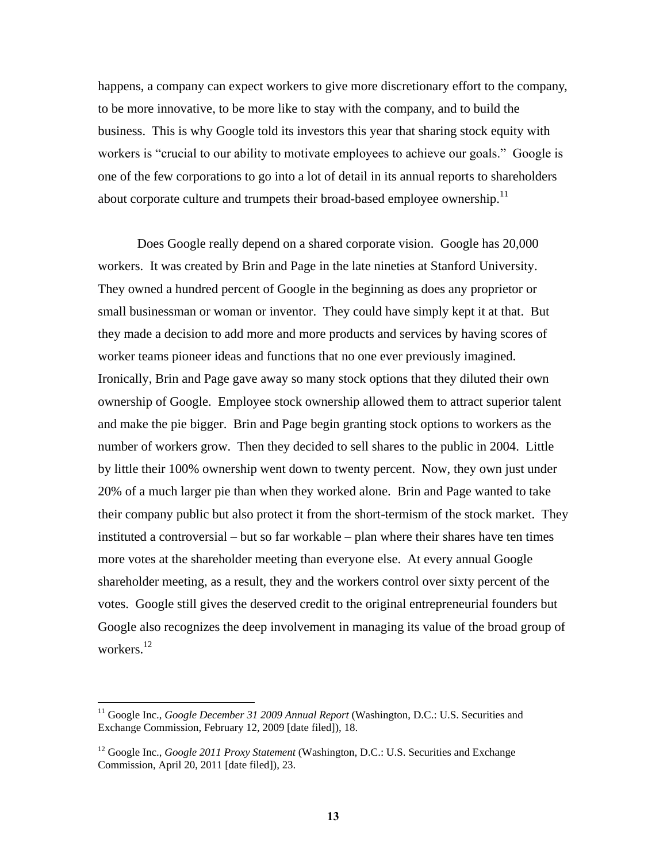happens, a company can expect workers to give more discretionary effort to the company, to be more innovative, to be more like to stay with the company, and to build the business. This is why Google told its investors this year that sharing stock equity with workers is "crucial to our ability to motivate employees to achieve our goals." Google is one of the few corporations to go into a lot of detail in its annual reports to shareholders about corporate culture and trumpets their broad-based employee ownership.<sup>11</sup>

Does Google really depend on a shared corporate vision. Google has 20,000 workers. It was created by Brin and Page in the late nineties at Stanford University. They owned a hundred percent of Google in the beginning as does any proprietor or small businessman or woman or inventor. They could have simply kept it at that. But they made a decision to add more and more products and services by having scores of worker teams pioneer ideas and functions that no one ever previously imagined. Ironically, Brin and Page gave away so many stock options that they diluted their own ownership of Google. Employee stock ownership allowed them to attract superior talent and make the pie bigger. Brin and Page begin granting stock options to workers as the number of workers grow. Then they decided to sell shares to the public in 2004. Little by little their 100% ownership went down to twenty percent. Now, they own just under 20% of a much larger pie than when they worked alone. Brin and Page wanted to take their company public but also protect it from the short-termism of the stock market. They instituted a controversial – but so far workable – plan where their shares have ten times more votes at the shareholder meeting than everyone else. At every annual Google shareholder meeting, as a result, they and the workers control over sixty percent of the votes. Google still gives the deserved credit to the original entrepreneurial founders but Google also recognizes the deep involvement in managing its value of the broad group of workers.<sup>12</sup>

<sup>&</sup>lt;sup>11</sup> Google Inc., *Google December 31 2009 Annual Report* (Washington, D.C.: U.S. Securities and Exchange Commission, February 12, 2009 [date filed]), 18.

<sup>&</sup>lt;sup>12</sup> Google Inc., *Google 2011 Proxy Statement* (Washington, D.C.: U.S. Securities and Exchange Commission, April 20, 2011 [date filed]), 23.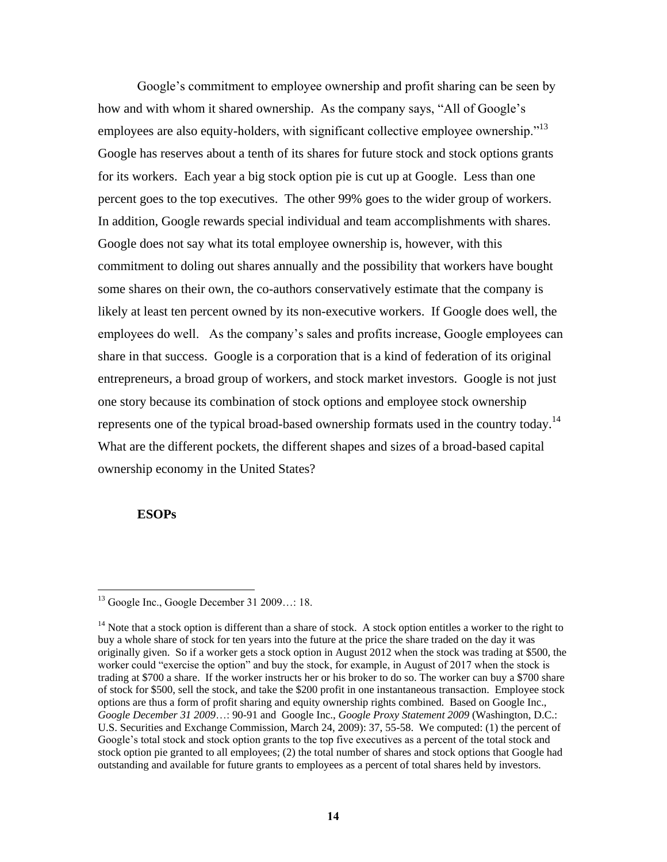Google's commitment to employee ownership and profit sharing can be seen by how and with whom it shared ownership. As the company says, "All of Google's employees are also equity-holders, with significant collective employee ownership.<sup> $13$ </sup> Google has reserves about a tenth of its shares for future stock and stock options grants for its workers. Each year a big stock option pie is cut up at Google. Less than one percent goes to the top executives. The other 99% goes to the wider group of workers. In addition, Google rewards special individual and team accomplishments with shares. Google does not say what its total employee ownership is, however, with this commitment to doling out shares annually and the possibility that workers have bought some shares on their own, the co-authors conservatively estimate that the company is likely at least ten percent owned by its non-executive workers. If Google does well, the employees do well. As the company's sales and profits increase, Google employees can share in that success. Google is a corporation that is a kind of federation of its original entrepreneurs, a broad group of workers, and stock market investors. Google is not just one story because its combination of stock options and employee stock ownership represents one of the typical broad-based ownership formats used in the country today.<sup>14</sup> What are the different pockets, the different shapes and sizes of a broad-based capital ownership economy in the United States?

### **ESOPs**

 $^{13}$  Google Inc., Google December 31 2009...: 18.

 $14$  Note that a stock option is different than a share of stock. A stock option entitles a worker to the right to buy a whole share of stock for ten years into the future at the price the share traded on the day it was originally given. So if a worker gets a stock option in August 2012 when the stock was trading at \$500, the worker could "exercise the option" and buy the stock, for example, in August of 2017 when the stock is trading at \$700 a share. If the worker instructs her or his broker to do so. The worker can buy a \$700 share of stock for \$500, sell the stock, and take the \$200 profit in one instantaneous transaction. Employee stock options are thus a form of profit sharing and equity ownership rights combined. Based on Google Inc., *Google December 31 2009*…: 90-91 and Google Inc., *Google Proxy Statement 2009* (Washington, D.C.: U.S. Securities and Exchange Commission, March 24, 2009): 37, 55-58. We computed: (1) the percent of Google's total stock and stock option grants to the top five executives as a percent of the total stock and stock option pie granted to all employees; (2) the total number of shares and stock options that Google had outstanding and available for future grants to employees as a percent of total shares held by investors.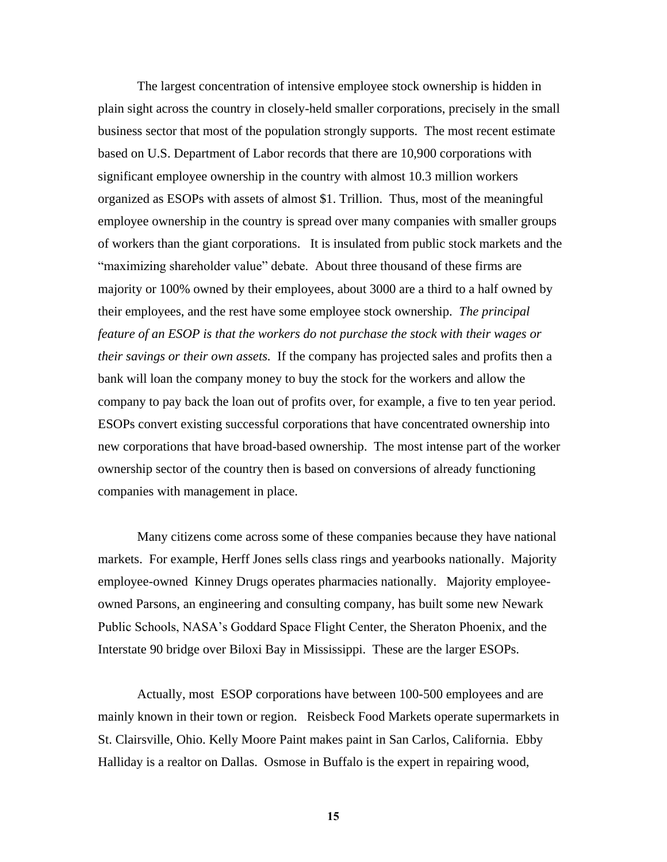The largest concentration of intensive employee stock ownership is hidden in plain sight across the country in closely-held smaller corporations, precisely in the small business sector that most of the population strongly supports. The most recent estimate based on U.S. Department of Labor records that there are 10,900 corporations with significant employee ownership in the country with almost 10.3 million workers organized as ESOPs with assets of almost \$1. Trillion. Thus, most of the meaningful employee ownership in the country is spread over many companies with smaller groups of workers than the giant corporations. It is insulated from public stock markets and the ―maximizing shareholder value‖ debate. About three thousand of these firms are majority or 100% owned by their employees, about 3000 are a third to a half owned by their employees, and the rest have some employee stock ownership. *The principal feature of an ESOP is that the workers do not purchase the stock with their wages or their savings or their own assets.* If the company has projected sales and profits then a bank will loan the company money to buy the stock for the workers and allow the company to pay back the loan out of profits over, for example, a five to ten year period. ESOPs convert existing successful corporations that have concentrated ownership into new corporations that have broad-based ownership. The most intense part of the worker ownership sector of the country then is based on conversions of already functioning companies with management in place.

Many citizens come across some of these companies because they have national markets. For example, Herff Jones sells class rings and yearbooks nationally. Majority employee-owned Kinney Drugs operates pharmacies nationally. Majority employeeowned Parsons, an engineering and consulting company, has built some new Newark Public Schools, NASA's Goddard Space Flight Center, the Sheraton Phoenix, and the Interstate 90 bridge over Biloxi Bay in Mississippi. These are the larger ESOPs.

Actually, most ESOP corporations have between 100-500 employees and are mainly known in their town or region. Reisbeck Food Markets operate supermarkets in St. Clairsville, Ohio. Kelly Moore Paint makes paint in San Carlos, California. Ebby Halliday is a realtor on Dallas. Osmose in Buffalo is the expert in repairing wood,

**15**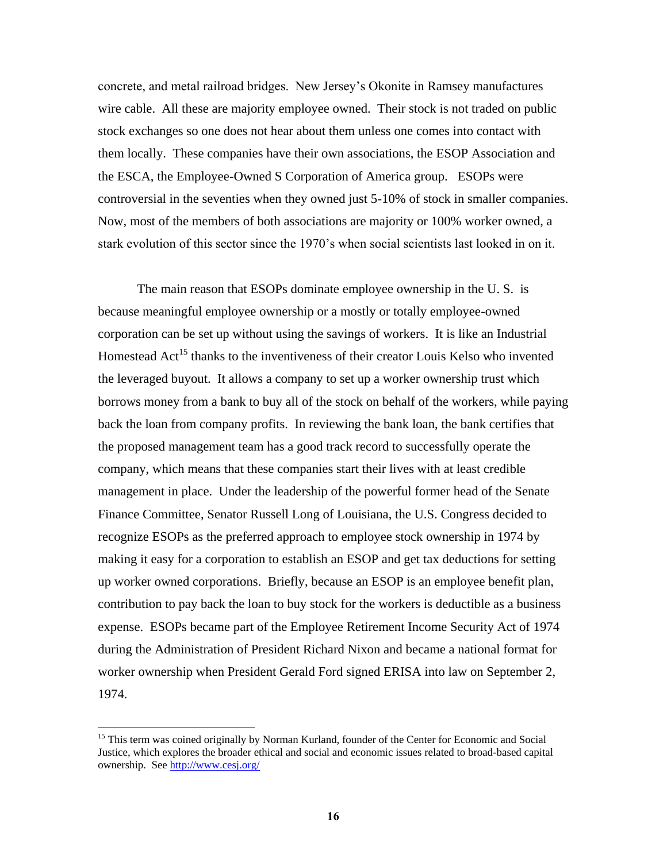concrete, and metal railroad bridges. New Jersey's Okonite in Ramsey manufactures wire cable. All these are majority employee owned. Their stock is not traded on public stock exchanges so one does not hear about them unless one comes into contact with them locally. These companies have their own associations, the ESOP Association and the ESCA, the Employee-Owned S Corporation of America group. ESOPs were controversial in the seventies when they owned just 5-10% of stock in smaller companies. Now, most of the members of both associations are majority or 100% worker owned, a stark evolution of this sector since the 1970's when social scientists last looked in on it.

The main reason that ESOPs dominate employee ownership in the U. S. is because meaningful employee ownership or a mostly or totally employee-owned corporation can be set up without using the savings of workers. It is like an Industrial Homestead Act<sup>15</sup> thanks to the inventiveness of their creator Louis Kelso who invented the leveraged buyout. It allows a company to set up a worker ownership trust which borrows money from a bank to buy all of the stock on behalf of the workers, while paying back the loan from company profits. In reviewing the bank loan, the bank certifies that the proposed management team has a good track record to successfully operate the company, which means that these companies start their lives with at least credible management in place. Under the leadership of the powerful former head of the Senate Finance Committee, Senator Russell Long of Louisiana, the U.S. Congress decided to recognize ESOPs as the preferred approach to employee stock ownership in 1974 by making it easy for a corporation to establish an ESOP and get tax deductions for setting up worker owned corporations. Briefly, because an ESOP is an employee benefit plan, contribution to pay back the loan to buy stock for the workers is deductible as a business expense. ESOPs became part of the Employee Retirement Income Security Act of 1974 during the Administration of President Richard Nixon and became a national format for worker ownership when President Gerald Ford signed ERISA into law on September 2, 1974.

<sup>&</sup>lt;sup>15</sup> This term was coined originally by Norman Kurland, founder of the Center for Economic and Social Justice, which explores the broader ethical and social and economic issues related to broad-based capital ownership. See<http://www.cesj.org/>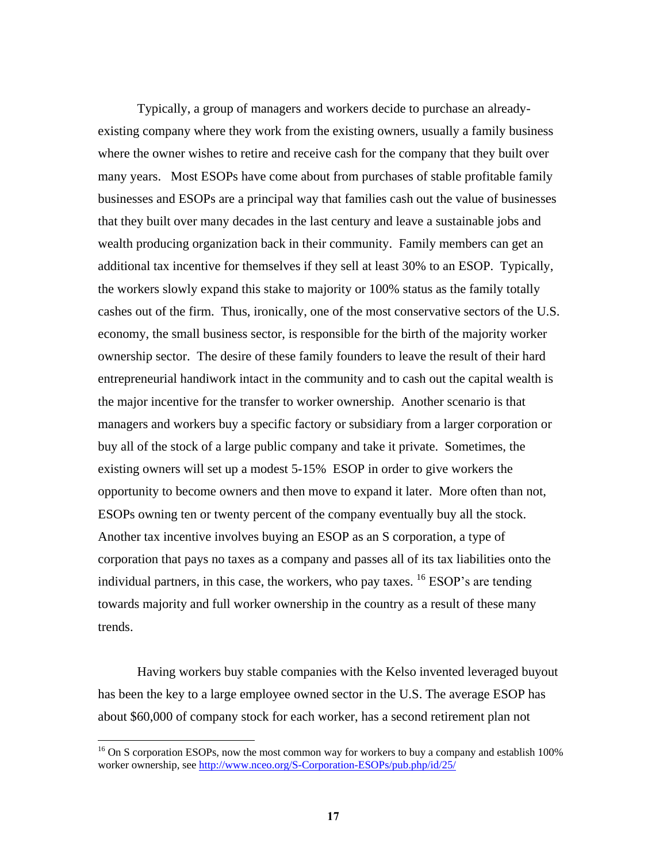Typically, a group of managers and workers decide to purchase an alreadyexisting company where they work from the existing owners, usually a family business where the owner wishes to retire and receive cash for the company that they built over many years. Most ESOPs have come about from purchases of stable profitable family businesses and ESOPs are a principal way that families cash out the value of businesses that they built over many decades in the last century and leave a sustainable jobs and wealth producing organization back in their community. Family members can get an additional tax incentive for themselves if they sell at least 30% to an ESOP. Typically, the workers slowly expand this stake to majority or 100% status as the family totally cashes out of the firm. Thus, ironically, one of the most conservative sectors of the U.S. economy, the small business sector, is responsible for the birth of the majority worker ownership sector. The desire of these family founders to leave the result of their hard entrepreneurial handiwork intact in the community and to cash out the capital wealth is the major incentive for the transfer to worker ownership. Another scenario is that managers and workers buy a specific factory or subsidiary from a larger corporation or buy all of the stock of a large public company and take it private. Sometimes, the existing owners will set up a modest 5-15% ESOP in order to give workers the opportunity to become owners and then move to expand it later. More often than not, ESOPs owning ten or twenty percent of the company eventually buy all the stock. Another tax incentive involves buying an ESOP as an S corporation, a type of corporation that pays no taxes as a company and passes all of its tax liabilities onto the individual partners, in this case, the workers, who pay taxes.  $^{16}$  ESOP's are tending towards majority and full worker ownership in the country as a result of these many trends.

Having workers buy stable companies with the Kelso invented leveraged buyout has been the key to a large employee owned sector in the U.S. The average ESOP has about \$60,000 of company stock for each worker, has a second retirement plan not

<sup>&</sup>lt;sup>16</sup> On S corporation ESOPs, now the most common way for workers to buy a company and establish 100% worker ownership, se[e http://www.nceo.org/S-Corporation-ESOPs/pub.php/id/25/](http://www.nceo.org/S-Corporation-ESOPs/pub.php/id/25/)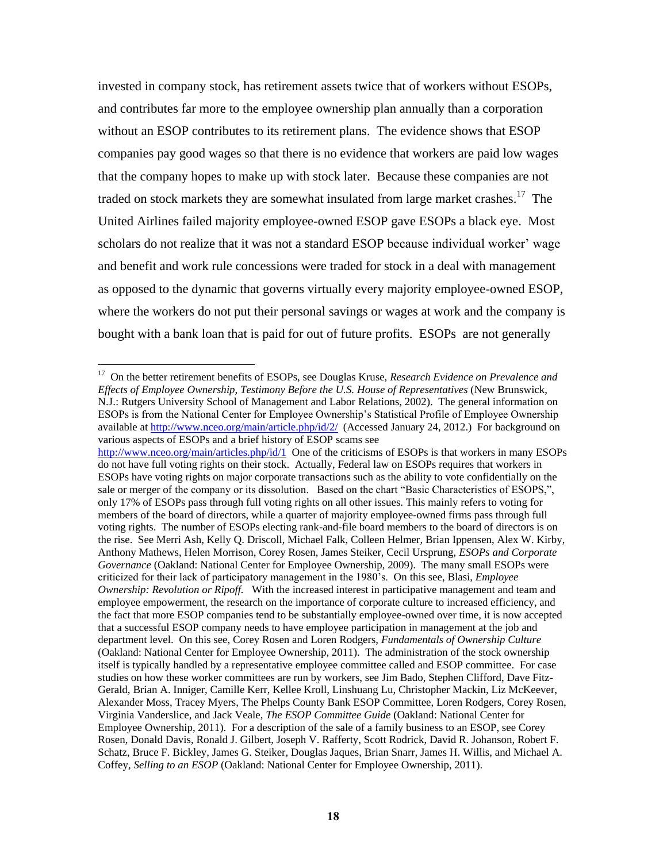invested in company stock, has retirement assets twice that of workers without ESOPs, and contributes far more to the employee ownership plan annually than a corporation without an ESOP contributes to its retirement plans. The evidence shows that ESOP companies pay good wages so that there is no evidence that workers are paid low wages that the company hopes to make up with stock later. Because these companies are not traded on stock markets they are somewhat insulated from large market crashes.<sup>17</sup> The United Airlines failed majority employee-owned ESOP gave ESOPs a black eye. Most scholars do not realize that it was not a standard ESOP because individual worker' wage and benefit and work rule concessions were traded for stock in a deal with management as opposed to the dynamic that governs virtually every majority employee-owned ESOP, where the workers do not put their personal savings or wages at work and the company is bought with a bank loan that is paid for out of future profits. ESOPs are not generally

 17 On the better retirement benefits of ESOPs, see Douglas Kruse, *Research Evidence on Prevalence and Effects of Employee Ownership, Testimony Before the U.S. House of Representatives* (New Brunswick, N.J.: Rutgers University School of Management and Labor Relations, 2002). The general information on ESOPs is from the National Center for Employee Ownership's Statistical Profile of Employee Ownership available at<http://www.nceo.org/main/article.php/id/2/>(Accessed January 24, 2012.) For background on various aspects of ESOPs and a brief history of ESOP scams see

<http://www.nceo.org/main/articles.php/id/1>One of the criticisms of ESOPs is that workers in many ESOPs do not have full voting rights on their stock. Actually, Federal law on ESOPs requires that workers in ESOPs have voting rights on major corporate transactions such as the ability to vote confidentially on the sale or merger of the company or its dissolution. Based on the chart "Basic Characteristics of ESOPS,", only 17% of ESOPs pass through full voting rights on all other issues. This mainly refers to voting for members of the board of directors, while a quarter of majority employee-owned firms pass through full voting rights. The number of ESOPs electing rank-and-file board members to the board of directors is on the rise. See Merri Ash, Kelly Q. Driscoll, Michael Falk, Colleen Helmer, Brian Ippensen, Alex W. Kirby, Anthony Mathews, Helen Morrison, Corey Rosen, James Steiker, Cecil Ursprung, *ESOPs and Corporate Governance* (Oakland: National Center for Employee Ownership, 2009). The many small ESOPs were criticized for their lack of participatory management in the 1980's. On this see, Blasi, *Employee Ownership: Revolution or Ripoff.* With the increased interest in participative management and team and employee empowerment, the research on the importance of corporate culture to increased efficiency, and the fact that more ESOP companies tend to be substantially employee-owned over time, it is now accepted that a successful ESOP company needs to have employee participation in management at the job and department level. On this see, Corey Rosen and Loren Rodgers, *Fundamentals of Ownership Culture* (Oakland: National Center for Employee Ownership, 2011). The administration of the stock ownership itself is typically handled by a representative employee committee called and ESOP committee. For case studies on how these worker committees are run by workers, see Jim Bado, Stephen Clifford, Dave Fitz-Gerald, Brian A. Inniger, Camille Kerr, Kellee Kroll, Linshuang Lu, Christopher Mackin, Liz McKeever, Alexander Moss, Tracey Myers, The Phelps County Bank ESOP Committee, Loren Rodgers, Corey Rosen, Virginia Vanderslice, and Jack Veale, *The ESOP Committee Guide* (Oakland: National Center for Employee Ownership, 2011). For a description of the sale of a family business to an ESOP, see Corey Rosen, Donald Davis, Ronald J. Gilbert, Joseph V. Rafferty, Scott Rodrick, David R. Johanson, Robert F. Schatz, Bruce F. Bickley, James G. Steiker, Douglas Jaques, Brian Snarr, James H. Willis, and Michael A. Coffey, *Selling to an ESOP* (Oakland: National Center for Employee Ownership, 2011).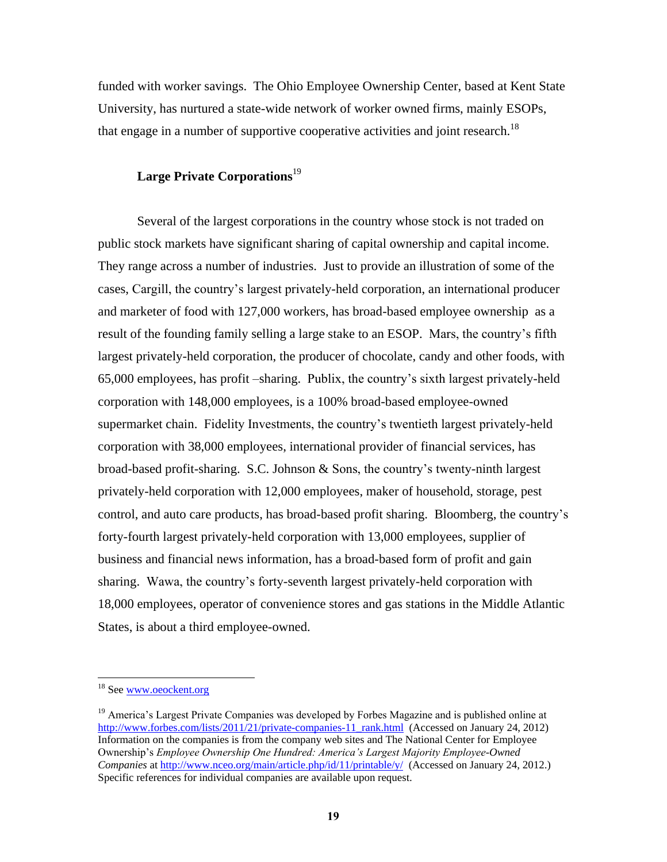funded with worker savings. The Ohio Employee Ownership Center, based at Kent State University, has nurtured a state-wide network of worker owned firms, mainly ESOPs, that engage in a number of supportive cooperative activities and joint research.<sup>18</sup>

## **Large Private Corporations**<sup>19</sup>

Several of the largest corporations in the country whose stock is not traded on public stock markets have significant sharing of capital ownership and capital income. They range across a number of industries. Just to provide an illustration of some of the cases, Cargill, the country's largest privately-held corporation, an international producer and marketer of food with 127,000 workers, has broad-based employee ownership as a result of the founding family selling a large stake to an ESOP. Mars, the country's fifth largest privately-held corporation, the producer of chocolate, candy and other foods, with 65,000 employees, has profit –sharing. Publix, the country's sixth largest privately-held corporation with 148,000 employees, is a 100% broad-based employee-owned supermarket chain. Fidelity Investments, the country's twentieth largest privately-held corporation with 38,000 employees, international provider of financial services, has broad-based profit-sharing. S.C. Johnson & Sons, the country's twenty-ninth largest privately-held corporation with 12,000 employees, maker of household, storage, pest control, and auto care products, has broad-based profit sharing. Bloomberg, the country's forty-fourth largest privately-held corporation with 13,000 employees, supplier of business and financial news information, has a broad-based form of profit and gain sharing. Wawa, the country's forty-seventh largest privately-held corporation with 18,000 employees, operator of convenience stores and gas stations in the Middle Atlantic States, is about a third employee-owned.

<sup>&</sup>lt;sup>18</sup> See [www.oeockent.org](http://www.oeockent.org/)

<sup>&</sup>lt;sup>19</sup> America's Largest Private Companies was developed by Forbes Magazine and is published online at [http://www.forbes.com/lists/2011/21/private-companies-11\\_rank.html](http://www.forbes.com/lists/2011/21/private-companies-11_rank.html) (Accessed on January 24, 2012) Information on the companies is from the company web sites and The National Center for Employee Ownership's *Employee Ownership One Hundred: America's Largest Majority Employee-Owned Companies* at<http://www.nceo.org/main/article.php/id/11/printable/y/>(Accessed on January 24, 2012.) Specific references for individual companies are available upon request.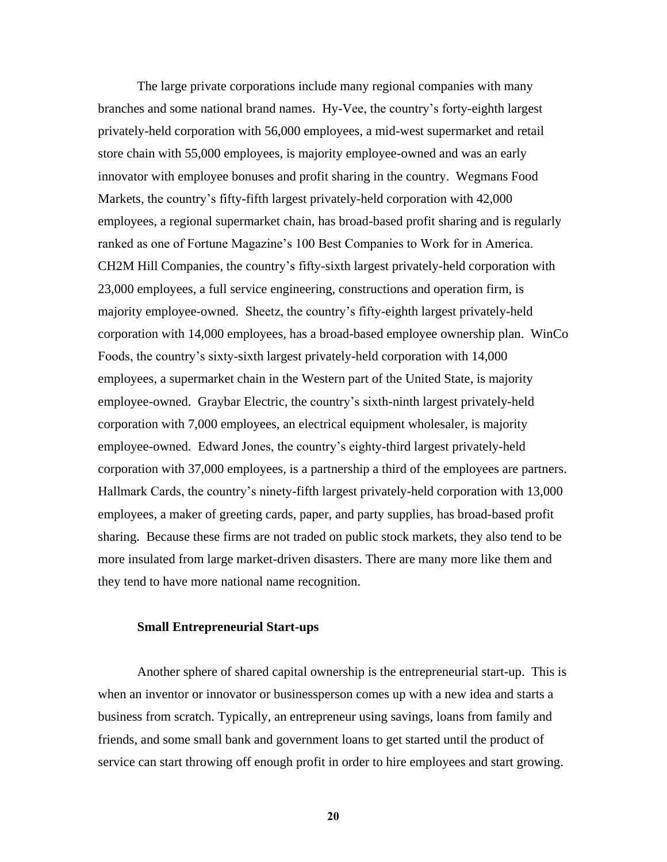The large private corporations include many regional companies with many branches and some national brand names. Hy-Vee, the country's forty-eighth largest privately-held corporation with 56,000 employees, a mid-west supermarket and retail store chain with 55,000 employees, is majority employee-owned and was an early innovator with employee bonuses and profit sharing in the country. Wegmans Food Markets, the country's fifty-fifth largest privately-held corporation with 42,000 employees, a regional supermarket chain, has broad-based profit sharing and is regularly ranked as one of Fortune Magazine's 100 Best Companies to Work for in America. CH2M Hill Companies, the country's fifty-sixth largest privately-held corporation with 23,000 employees, a full service engineering, constructions and operation firm, is majority employee-owned. Sheetz, the country's fifty-eighth largest privately-held corporation with 14,000 employees, has a broad-based employee ownership plan. WinCo Foods, the country's sixty-sixth largest privately-held corporation with 14,000 employees, a supermarket chain in the Western part of the United State, is majority employee-owned. Graybar Electric, the country's sixth-ninth largest privately-held corporation with 7,000 employees, an electrical equipment wholesaler, is majority employee-owned. Edward Jones, the country's eighty-third largest privately-held corporation with 37,000 employees, is a partnership a third of the employees are partners. Hallmark Cards, the country's ninety-fifth largest privately-held corporation with 13,000 employees, a maker of greeting cards, paper, and party supplies, has broad-based profit sharing. Because these firms are not traded on public stock markets, they also tend to be more insulated from large market-driven disasters. There are many more like them and they tend to have more national name recognition.

#### **Small Entrepreneurial Start-ups**

Another sphere of shared capital ownership is the entrepreneurial start-up. This is when an inventor or innovator or businessperson comes up with a new idea and starts a business from scratch. Typically, an entrepreneur using savings, loans from family and friends, and some small bank and government loans to get started until the product of service can start throwing off enough profit in order to hire employees and start growing.

**20**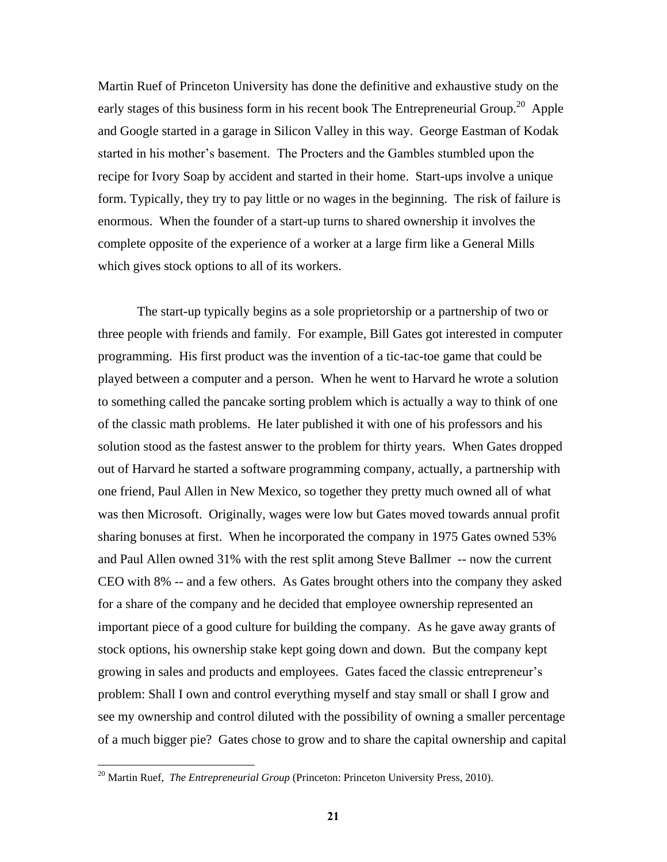Martin Ruef of Princeton University has done the definitive and exhaustive study on the early stages of this business form in his recent book The Entrepreneurial Group.<sup>20</sup> Apple and Google started in a garage in Silicon Valley in this way. George Eastman of Kodak started in his mother's basement. The Procters and the Gambles stumbled upon the recipe for Ivory Soap by accident and started in their home. Start-ups involve a unique form. Typically, they try to pay little or no wages in the beginning. The risk of failure is enormous. When the founder of a start-up turns to shared ownership it involves the complete opposite of the experience of a worker at a large firm like a General Mills which gives stock options to all of its workers.

The start-up typically begins as a sole proprietorship or a partnership of two or three people with friends and family. For example, Bill Gates got interested in computer programming. His first product was the invention of a tic-tac-toe game that could be played between a computer and a person. When he went to Harvard he wrote a solution to something called the pancake sorting problem which is actually a way to think of one of the classic math problems. He later published it with one of his professors and his solution stood as the fastest answer to the problem for thirty years. When Gates dropped out of Harvard he started a software programming company, actually, a partnership with one friend, Paul Allen in New Mexico, so together they pretty much owned all of what was then Microsoft. Originally, wages were low but Gates moved towards annual profit sharing bonuses at first. When he incorporated the company in 1975 Gates owned 53% and Paul Allen owned 31% with the rest split among Steve Ballmer -- now the current CEO with 8% -- and a few others. As Gates brought others into the company they asked for a share of the company and he decided that employee ownership represented an important piece of a good culture for building the company. As he gave away grants of stock options, his ownership stake kept going down and down. But the company kept growing in sales and products and employees. Gates faced the classic entrepreneur's problem: Shall I own and control everything myself and stay small or shall I grow and see my ownership and control diluted with the possibility of owning a smaller percentage of a much bigger pie? Gates chose to grow and to share the capital ownership and capital

<sup>&</sup>lt;sup>20</sup> Martin Ruef, *The Entrepreneurial Group* (Princeton: Princeton University Press, 2010).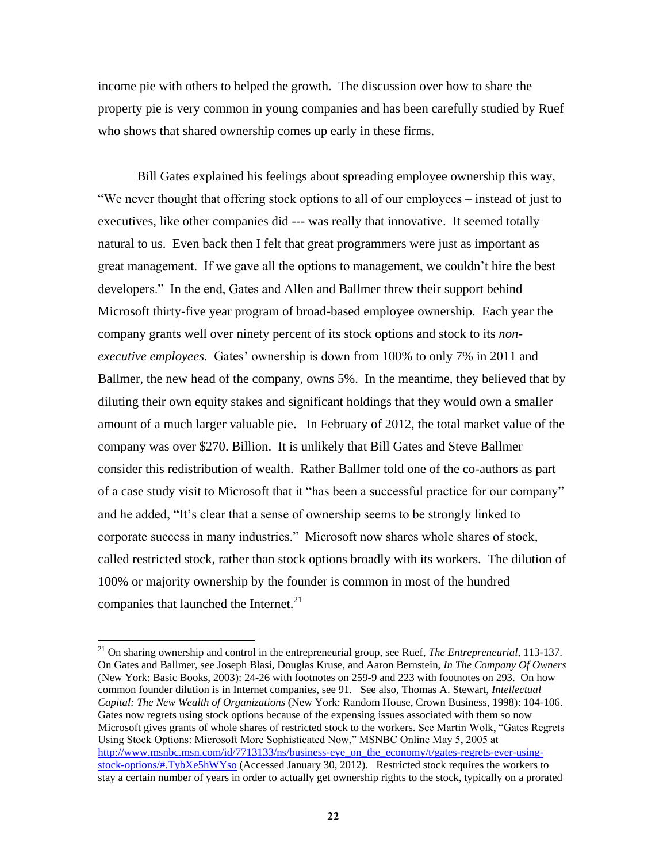income pie with others to helped the growth. The discussion over how to share the property pie is very common in young companies and has been carefully studied by Ruef who shows that shared ownership comes up early in these firms.

Bill Gates explained his feelings about spreading employee ownership this way, ―We never thought that offering stock options to all of our employees – instead of just to executives, like other companies did --- was really that innovative. It seemed totally natural to us. Even back then I felt that great programmers were just as important as great management. If we gave all the options to management, we couldn't hire the best developers.‖ In the end, Gates and Allen and Ballmer threw their support behind Microsoft thirty-five year program of broad-based employee ownership. Each year the company grants well over ninety percent of its stock options and stock to its *nonexecutive employees.* Gates' ownership is down from 100% to only 7% in 2011 and Ballmer, the new head of the company, owns 5%. In the meantime, they believed that by diluting their own equity stakes and significant holdings that they would own a smaller amount of a much larger valuable pie. In February of 2012, the total market value of the company was over \$270. Billion. It is unlikely that Bill Gates and Steve Ballmer consider this redistribution of wealth. Rather Ballmer told one of the co-authors as part of a case study visit to Microsoft that it "has been a successful practice for our company" and he added, "It's clear that a sense of ownership seems to be strongly linked to corporate success in many industries.‖ Microsoft now shares whole shares of stock, called restricted stock, rather than stock options broadly with its workers. The dilution of 100% or majority ownership by the founder is common in most of the hundred companies that launched the Internet. $^{21}$ 

<sup>21</sup> On sharing ownership and control in the entrepreneurial group, see Ruef, *The Entrepreneurial,* 113-137. On Gates and Ballmer, see Joseph Blasi, Douglas Kruse, and Aaron Bernstein, *In The Company Of Owners* (New York: Basic Books, 2003): 24-26 with footnotes on 259-9 and 223 with footnotes on 293. On how common founder dilution is in Internet companies, see 91. See also, Thomas A. Stewart, *Intellectual Capital: The New Wealth of Organizations* (New York: Random House, Crown Business, 1998): 104-106. Gates now regrets using stock options because of the expensing issues associated with them so now Microsoft gives grants of whole shares of restricted stock to the workers. See Martin Wolk, "Gates Regrets" Using Stock Options: Microsoft More Sophisticated Now," MSNBC Online May 5, 2005 at [http://www.msnbc.msn.com/id/7713133/ns/business-eye\\_on\\_the\\_economy/t/gates-regrets-ever-using](http://www.msnbc.msn.com/id/7713133/ns/business-eye_on_the_economy/t/gates-regrets-ever-using-stock-options/#.TybXe5hWYso)[stock-options/#.TybXe5hWYso](http://www.msnbc.msn.com/id/7713133/ns/business-eye_on_the_economy/t/gates-regrets-ever-using-stock-options/#.TybXe5hWYso) (Accessed January 30, 2012). Restricted stock requires the workers to stay a certain number of years in order to actually get ownership rights to the stock, typically on a prorated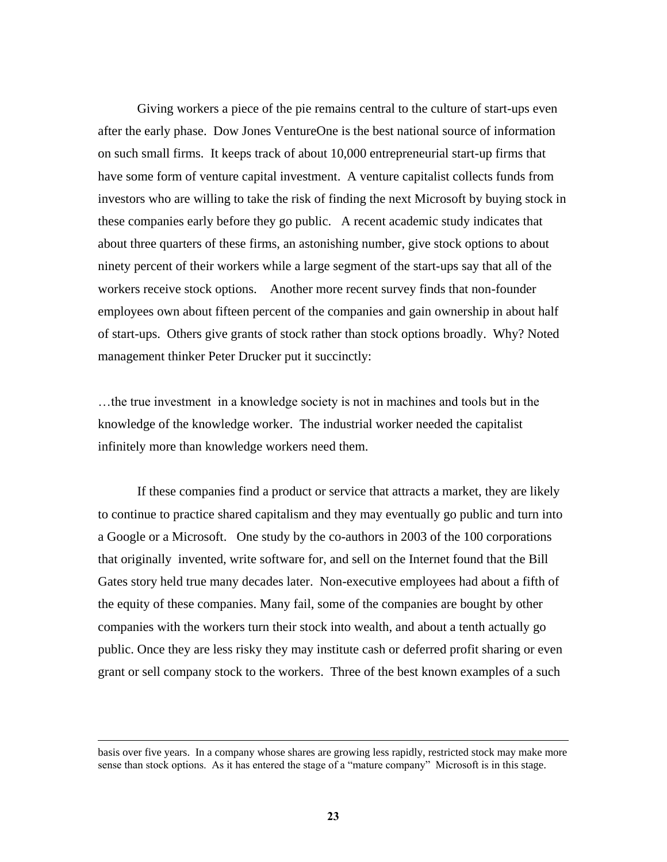Giving workers a piece of the pie remains central to the culture of start-ups even after the early phase. Dow Jones VentureOne is the best national source of information on such small firms. It keeps track of about 10,000 entrepreneurial start-up firms that have some form of venture capital investment. A venture capitalist collects funds from investors who are willing to take the risk of finding the next Microsoft by buying stock in these companies early before they go public. A recent academic study indicates that about three quarters of these firms, an astonishing number, give stock options to about ninety percent of their workers while a large segment of the start-ups say that all of the workers receive stock options. Another more recent survey finds that non-founder employees own about fifteen percent of the companies and gain ownership in about half of start-ups. Others give grants of stock rather than stock options broadly. Why? Noted management thinker Peter Drucker put it succinctly:

…the true investment in a knowledge society is not in machines and tools but in the knowledge of the knowledge worker. The industrial worker needed the capitalist infinitely more than knowledge workers need them.

If these companies find a product or service that attracts a market, they are likely to continue to practice shared capitalism and they may eventually go public and turn into a Google or a Microsoft. One study by the co-authors in 2003 of the 100 corporations that originally invented, write software for, and sell on the Internet found that the Bill Gates story held true many decades later. Non-executive employees had about a fifth of the equity of these companies. Many fail, some of the companies are bought by other companies with the workers turn their stock into wealth, and about a tenth actually go public. Once they are less risky they may institute cash or deferred profit sharing or even grant or sell company stock to the workers. Three of the best known examples of a such

basis over five years. In a company whose shares are growing less rapidly, restricted stock may make more sense than stock options. As it has entered the stage of a "mature company" Microsoft is in this stage.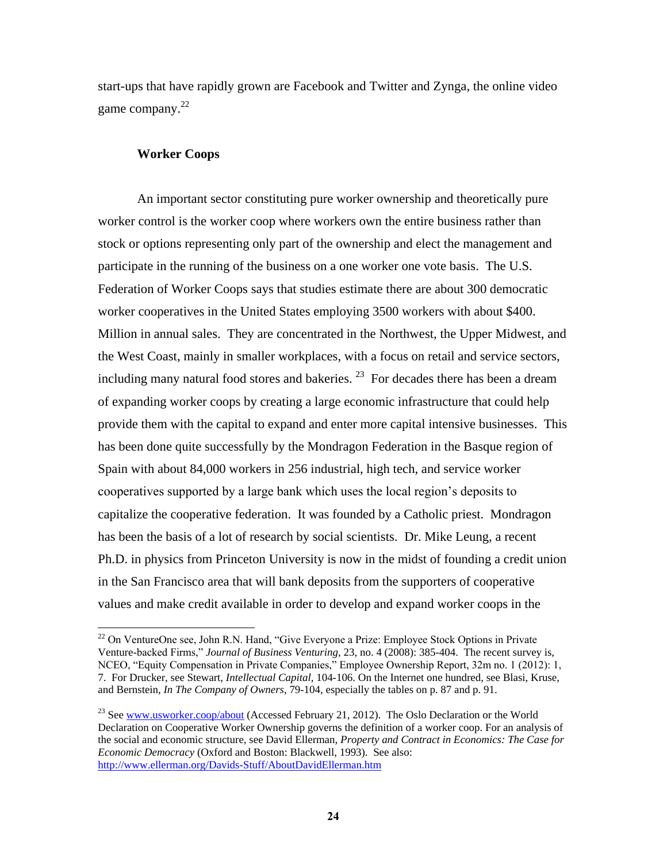start-ups that have rapidly grown are Facebook and Twitter and Zynga, the online video game company.<sup>22</sup>

### **Worker Coops**

 $\overline{a}$ 

An important sector constituting pure worker ownership and theoretically pure worker control is the worker coop where workers own the entire business rather than stock or options representing only part of the ownership and elect the management and participate in the running of the business on a one worker one vote basis. The U.S. Federation of Worker Coops says that studies estimate there are about 300 democratic worker cooperatives in the United States employing 3500 workers with about \$400. Million in annual sales. They are concentrated in the Northwest, the Upper Midwest, and the West Coast, mainly in smaller workplaces, with a focus on retail and service sectors, including many natural food stores and bakeries.  $^{23}$  For decades there has been a dream of expanding worker coops by creating a large economic infrastructure that could help provide them with the capital to expand and enter more capital intensive businesses. This has been done quite successfully by the Mondragon Federation in the Basque region of Spain with about 84,000 workers in 256 industrial, high tech, and service worker cooperatives supported by a large bank which uses the local region's deposits to capitalize the cooperative federation. It was founded by a Catholic priest. Mondragon has been the basis of a lot of research by social scientists. Dr. Mike Leung, a recent Ph.D. in physics from Princeton University is now in the midst of founding a credit union in the San Francisco area that will bank deposits from the supporters of cooperative values and make credit available in order to develop and expand worker coops in the

<sup>&</sup>lt;sup>22</sup> On VentureOne see, John R.N. Hand, "Give Everyone a Prize: Employee Stock Options in Private Venture-backed Firms," *Journal of Business Venturing*, 23, no. 4 (2008): 385-404. The recent survey is, NCEO, "Equity Compensation in Private Companies," Employee Ownership Report, 32m no. 1 (2012): 1, 7. For Drucker, see Stewart, *Intellectual Capital*, 104-106. On the Internet one hundred, see Blasi, Kruse, and Bernstein, *In The Company of Owners*, 79-104, especially the tables on p. 87 and p. 91.

<sup>&</sup>lt;sup>23</sup> See [www.usworker.coop/about](http://www.usworker.coop/about) (Accessed February 21, 2012). The Oslo Declaration or the World Declaration on Cooperative Worker Ownership governs the definition of a worker coop. For an analysis of the social and economic structure, see David Ellerman, *Property and Contract in Economics: The Case for Economic Democracy* (Oxford and Boston: Blackwell, 1993). See also: <http://www.ellerman.org/Davids-Stuff/AboutDavidEllerman.htm>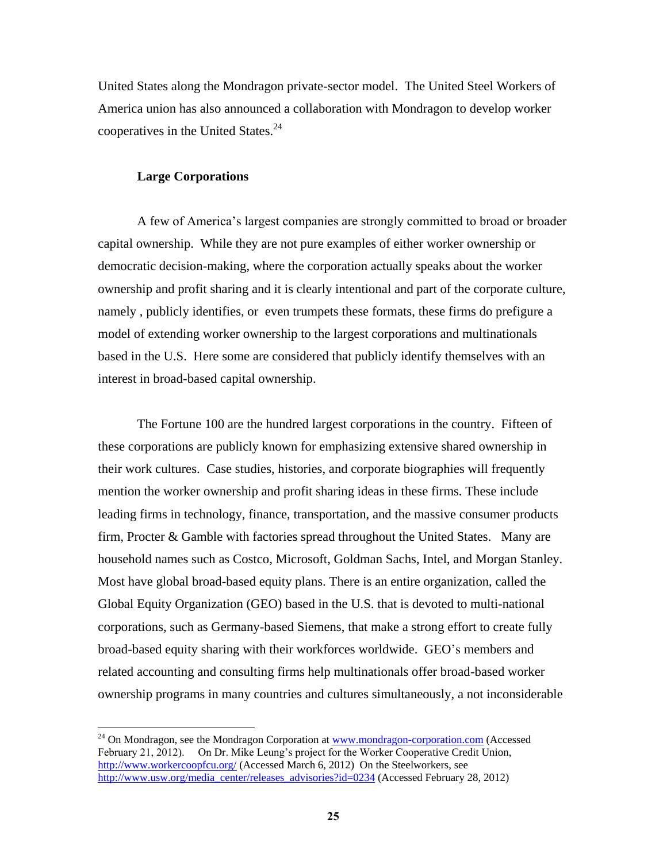United States along the Mondragon private-sector model. The United Steel Workers of America union has also announced a collaboration with Mondragon to develop worker cooperatives in the United States. $^{24}$ 

### **Large Corporations**

 $\overline{a}$ 

A few of America's largest companies are strongly committed to broad or broader capital ownership. While they are not pure examples of either worker ownership or democratic decision-making, where the corporation actually speaks about the worker ownership and profit sharing and it is clearly intentional and part of the corporate culture, namely , publicly identifies, or even trumpets these formats, these firms do prefigure a model of extending worker ownership to the largest corporations and multinationals based in the U.S. Here some are considered that publicly identify themselves with an interest in broad-based capital ownership.

The Fortune 100 are the hundred largest corporations in the country. Fifteen of these corporations are publicly known for emphasizing extensive shared ownership in their work cultures. Case studies, histories, and corporate biographies will frequently mention the worker ownership and profit sharing ideas in these firms. These include leading firms in technology, finance, transportation, and the massive consumer products firm, Procter & Gamble with factories spread throughout the United States. Many are household names such as Costco, Microsoft, Goldman Sachs, Intel, and Morgan Stanley. Most have global broad-based equity plans. There is an entire organization, called the Global Equity Organization (GEO) based in the U.S. that is devoted to multi-national corporations, such as Germany-based Siemens, that make a strong effort to create fully broad-based equity sharing with their workforces worldwide. GEO's members and related accounting and consulting firms help multinationals offer broad-based worker ownership programs in many countries and cultures simultaneously, a not inconsiderable

<sup>&</sup>lt;sup>24</sup> On Mondragon, see the Mondragon Corporation at [www.mondragon-corporation.com](http://www.mondragon-corporation.com/) (Accessed February 21, 2012). On Dr. Mike Leung's project for the Worker Cooperative Credit Union, <http://www.workercoopfcu.org/> (Accessed March 6, 2012) On the Steelworkers, see [http://www.usw.org/media\\_center/releases\\_advisories?id=0234](http://www.usw.org/media_center/releases_advisories?id=0234) (Accessed February 28, 2012)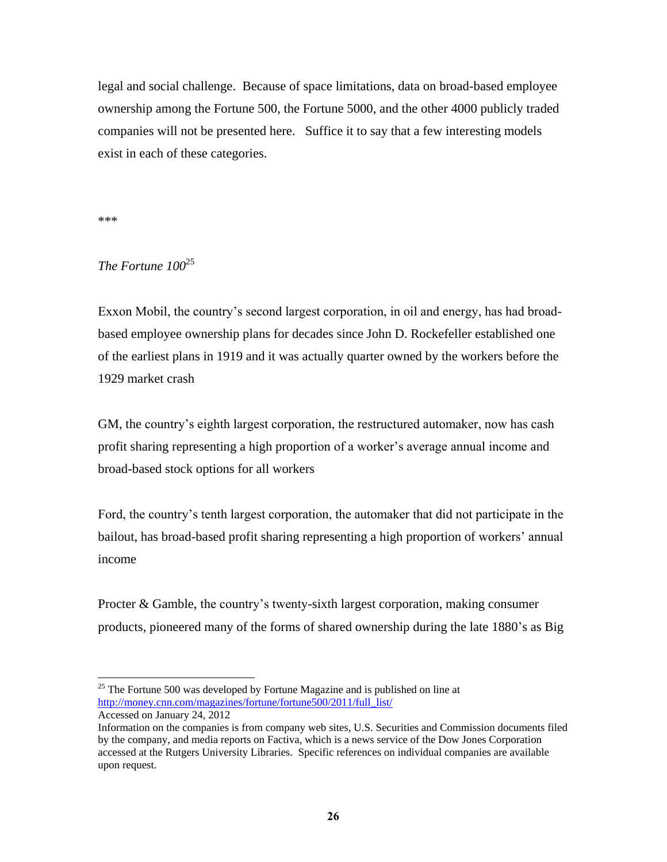legal and social challenge. Because of space limitations, data on broad-based employee ownership among the Fortune 500, the Fortune 5000, and the other 4000 publicly traded companies will not be presented here. Suffice it to say that a few interesting models exist in each of these categories.

\*\*\*

 $\overline{a}$ 

## *The Fortune 100*<sup>25</sup>

Exxon Mobil, the country's second largest corporation, in oil and energy, has had broadbased employee ownership plans for decades since John D. Rockefeller established one of the earliest plans in 1919 and it was actually quarter owned by the workers before the 1929 market crash

GM, the country's eighth largest corporation, the restructured automaker, now has cash profit sharing representing a high proportion of a worker's average annual income and broad-based stock options for all workers

Ford, the country's tenth largest corporation, the automaker that did not participate in the bailout, has broad-based profit sharing representing a high proportion of workers' annual income

Procter & Gamble, the country's twenty-sixth largest corporation, making consumer products, pioneered many of the forms of shared ownership during the late 1880's as Big

 $25$  The Fortune 500 was developed by Fortune Magazine and is published on line at [http://money.cnn.com/magazines/fortune/fortune500/2011/full\\_list/](http://money.cnn.com/magazines/fortune/fortune500/2011/full_list/) Accessed on January 24, 2012

Information on the companies is from company web sites, U.S. Securities and Commission documents filed by the company, and media reports on Factiva, which is a news service of the Dow Jones Corporation accessed at the Rutgers University Libraries. Specific references on individual companies are available upon request.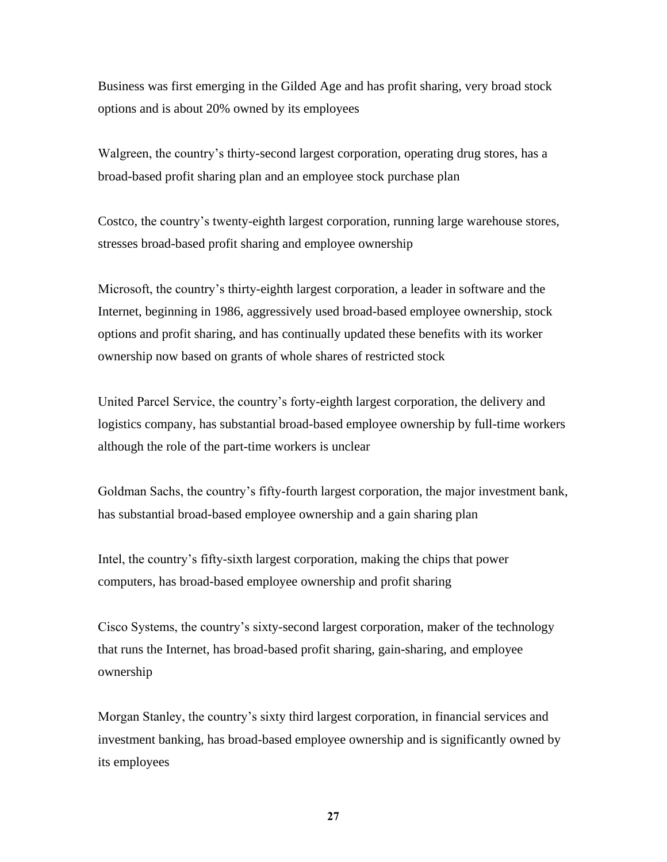Business was first emerging in the Gilded Age and has profit sharing, very broad stock options and is about 20% owned by its employees

Walgreen, the country's thirty-second largest corporation, operating drug stores, has a broad-based profit sharing plan and an employee stock purchase plan

Costco, the country's twenty-eighth largest corporation, running large warehouse stores, stresses broad-based profit sharing and employee ownership

Microsoft, the country's thirty-eighth largest corporation, a leader in software and the Internet, beginning in 1986, aggressively used broad-based employee ownership, stock options and profit sharing, and has continually updated these benefits with its worker ownership now based on grants of whole shares of restricted stock

United Parcel Service, the country's forty-eighth largest corporation, the delivery and logistics company, has substantial broad-based employee ownership by full-time workers although the role of the part-time workers is unclear

Goldman Sachs, the country's fifty-fourth largest corporation, the major investment bank, has substantial broad-based employee ownership and a gain sharing plan

Intel, the country's fifty-sixth largest corporation, making the chips that power computers, has broad-based employee ownership and profit sharing

Cisco Systems, the country's sixty-second largest corporation, maker of the technology that runs the Internet, has broad-based profit sharing, gain-sharing, and employee ownership

Morgan Stanley, the country's sixty third largest corporation, in financial services and investment banking, has broad-based employee ownership and is significantly owned by its employees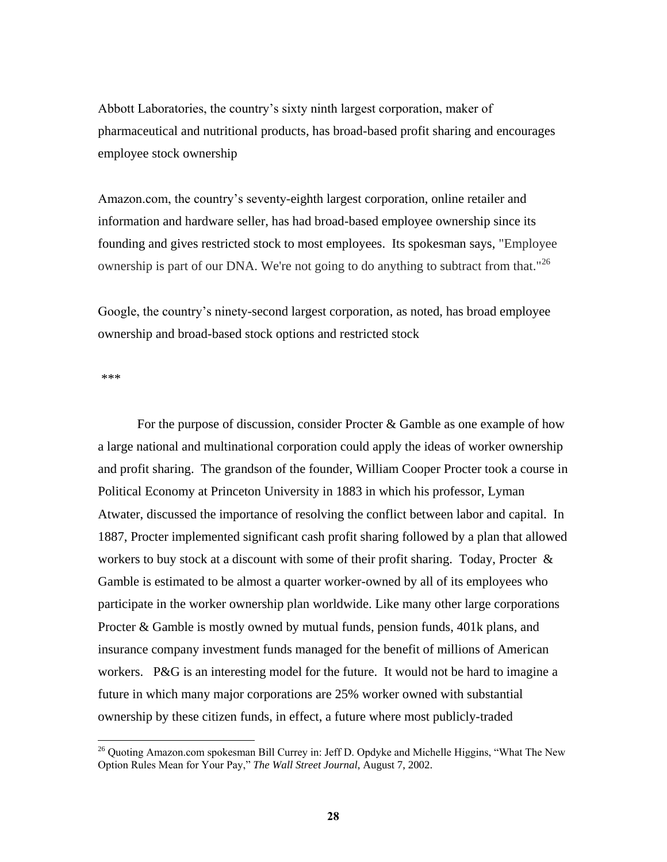Abbott Laboratories, the country's sixty ninth largest corporation, maker of pharmaceutical and nutritional products, has broad-based profit sharing and encourages employee stock ownership

Amazon.com, the country's seventy-eighth largest corporation, online retailer and information and hardware seller, has had broad-based employee ownership since its founding and gives restricted stock to most employees. Its spokesman says, "Employee ownership is part of our DNA. We're not going to do anything to subtract from that."<sup>26</sup>

Google, the country's ninety-second largest corporation, as noted, has broad employee ownership and broad-based stock options and restricted stock

\*\*\*

 $\overline{a}$ 

For the purpose of discussion, consider Procter & Gamble as one example of how a large national and multinational corporation could apply the ideas of worker ownership and profit sharing. The grandson of the founder, William Cooper Procter took a course in Political Economy at Princeton University in 1883 in which his professor, Lyman Atwater, discussed the importance of resolving the conflict between labor and capital. In 1887, Procter implemented significant cash profit sharing followed by a plan that allowed workers to buy stock at a discount with some of their profit sharing. Today, Procter & Gamble is estimated to be almost a quarter worker-owned by all of its employees who participate in the worker ownership plan worldwide. Like many other large corporations Procter & Gamble is mostly owned by mutual funds, pension funds, 401k plans, and insurance company investment funds managed for the benefit of millions of American workers. P&G is an interesting model for the future. It would not be hard to imagine a future in which many major corporations are 25% worker owned with substantial ownership by these citizen funds, in effect, a future where most publicly-traded

<sup>&</sup>lt;sup>26</sup> Quoting Amazon.com spokesman Bill Currey in: Jeff D. Opdyke and Michelle Higgins, "What The New Option Rules Mean for Your Pay," The Wall Street Journal, August 7, 2002.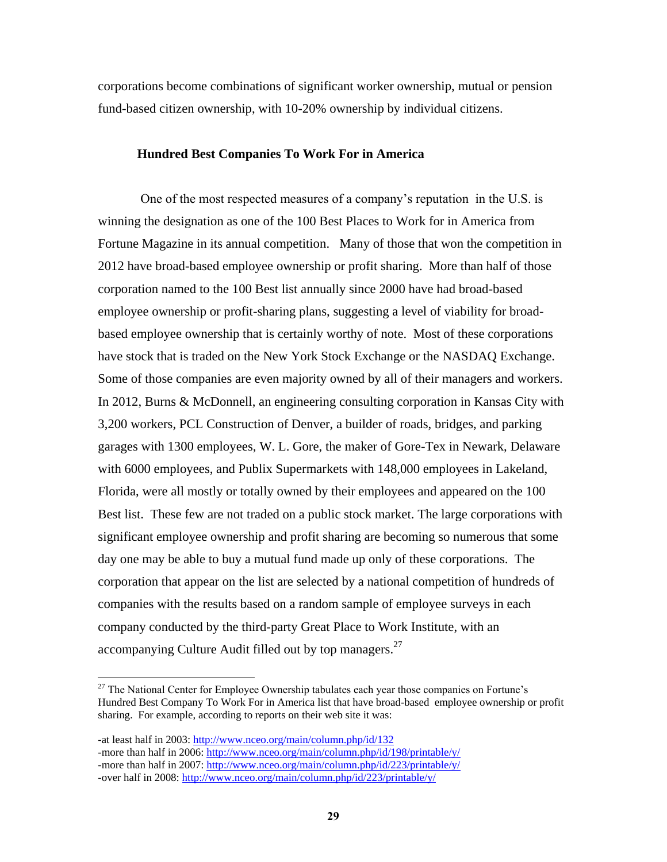corporations become combinations of significant worker ownership, mutual or pension fund-based citizen ownership, with 10-20% ownership by individual citizens.

#### **Hundred Best Companies To Work For in America**

One of the most respected measures of a company's reputation in the U.S. is winning the designation as one of the 100 Best Places to Work for in America from Fortune Magazine in its annual competition. Many of those that won the competition in 2012 have broad-based employee ownership or profit sharing. More than half of those corporation named to the 100 Best list annually since 2000 have had broad-based employee ownership or profit-sharing plans, suggesting a level of viability for broadbased employee ownership that is certainly worthy of note. Most of these corporations have stock that is traded on the New York Stock Exchange or the NASDAQ Exchange. Some of those companies are even majority owned by all of their managers and workers. In 2012, Burns & McDonnell, an engineering consulting corporation in Kansas City with 3,200 workers, PCL Construction of Denver, a builder of roads, bridges, and parking garages with 1300 employees, W. L. Gore, the maker of Gore-Tex in Newark, Delaware with 6000 employees, and Publix Supermarkets with 148,000 employees in Lakeland, Florida, were all mostly or totally owned by their employees and appeared on the 100 Best list. These few are not traded on a public stock market. The large corporations with significant employee ownership and profit sharing are becoming so numerous that some day one may be able to buy a mutual fund made up only of these corporations. The corporation that appear on the list are selected by a national competition of hundreds of companies with the results based on a random sample of employee surveys in each company conducted by the third-party Great Place to Work Institute, with an accompanying Culture Audit filled out by top managers.<sup>27</sup>

 $27$  The National Center for Employee Ownership tabulates each year those companies on Fortune's Hundred Best Company To Work For in America list that have broad-based employee ownership or profit sharing. For example, according to reports on their web site it was:

<sup>-</sup>at least half in 2003[: http://www.nceo.org/main/column.php/id/132](http://www.nceo.org/main/column.php/id/132) -more than half in 2006[: http://www.nceo.org/main/column.php/id/198/printable/y/](http://www.nceo.org/main/column.php/id/198/printable/y/) -more than half in 2007[: http://www.nceo.org/main/column.php/id/223/printable/y/](http://www.nceo.org/main/column.php/id/223/printable/y/) -over half in 2008:<http://www.nceo.org/main/column.php/id/223/printable/y/>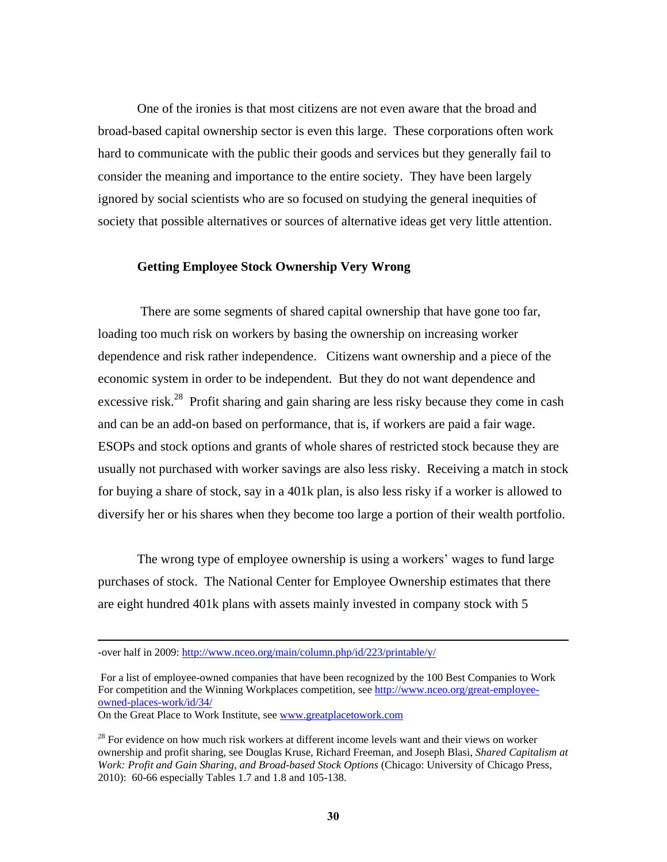One of the ironies is that most citizens are not even aware that the broad and broad-based capital ownership sector is even this large. These corporations often work hard to communicate with the public their goods and services but they generally fail to consider the meaning and importance to the entire society. They have been largely ignored by social scientists who are so focused on studying the general inequities of society that possible alternatives or sources of alternative ideas get very little attention.

### **Getting Employee Stock Ownership Very Wrong**

There are some segments of shared capital ownership that have gone too far, loading too much risk on workers by basing the ownership on increasing worker dependence and risk rather independence. Citizens want ownership and a piece of the economic system in order to be independent. But they do not want dependence and excessive risk.<sup>28</sup> Profit sharing and gain sharing are less risky because they come in cash and can be an add-on based on performance, that is, if workers are paid a fair wage. ESOPs and stock options and grants of whole shares of restricted stock because they are usually not purchased with worker savings are also less risky. Receiving a match in stock for buying a share of stock, say in a 401k plan, is also less risky if a worker is allowed to diversify her or his shares when they become too large a portion of their wealth portfolio.

The wrong type of employee ownership is using a workers' wages to fund large purchases of stock. The National Center for Employee Ownership estimates that there are eight hundred 401k plans with assets mainly invested in company stock with 5

On the Great Place to Work Institute, see [www.greatplacetowork.com](http://www.greatplacetowork.com/)

<sup>-</sup>over half in 2009:<http://www.nceo.org/main/column.php/id/223/printable/y/>

For a list of employee-owned companies that have been recognized by the 100 Best Companies to Work For competition and the Winning Workplaces competition, see [http://www.nceo.org/great-employee](http://www.nceo.org/great-employee-owned-places-work/id/34/)[owned-places-work/id/34/](http://www.nceo.org/great-employee-owned-places-work/id/34/)

 $28$  For evidence on how much risk workers at different income levels want and their views on worker ownership and profit sharing, see Douglas Kruse, Richard Freeman, and Joseph Blasi, *Shared Capitalism at Work: Profit and Gain Sharing, and Broad-based Stock Options* (Chicago: University of Chicago Press, 2010): 60-66 especially Tables 1.7 and 1.8 and 105-138.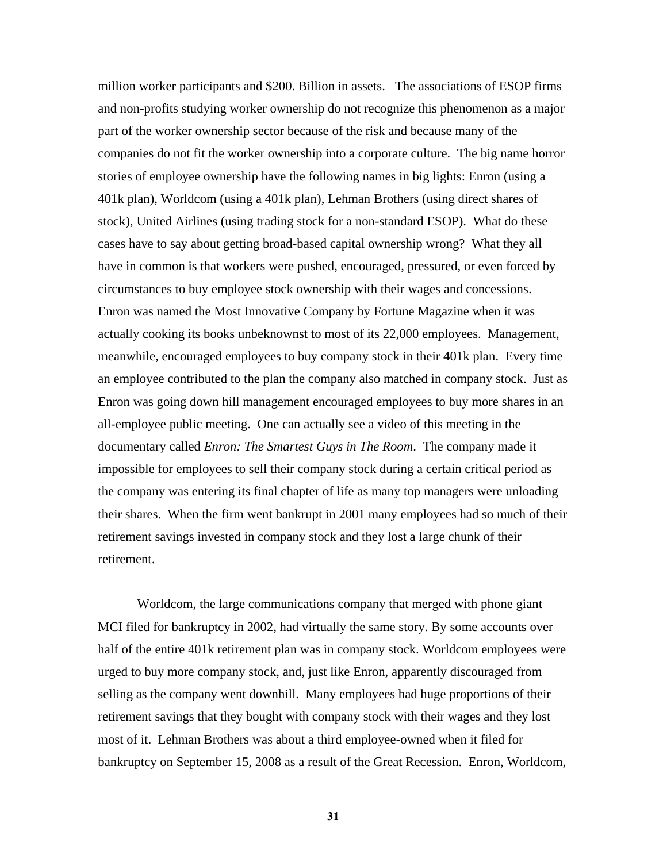million worker participants and \$200. Billion in assets. The associations of ESOP firms and non-profits studying worker ownership do not recognize this phenomenon as a major part of the worker ownership sector because of the risk and because many of the companies do not fit the worker ownership into a corporate culture. The big name horror stories of employee ownership have the following names in big lights: Enron (using a 401k plan), Worldcom (using a 401k plan), Lehman Brothers (using direct shares of stock), United Airlines (using trading stock for a non-standard ESOP). What do these cases have to say about getting broad-based capital ownership wrong? What they all have in common is that workers were pushed, encouraged, pressured, or even forced by circumstances to buy employee stock ownership with their wages and concessions. Enron was named the Most Innovative Company by Fortune Magazine when it was actually cooking its books unbeknownst to most of its 22,000 employees. Management, meanwhile, encouraged employees to buy company stock in their 401k plan. Every time an employee contributed to the plan the company also matched in company stock. Just as Enron was going down hill management encouraged employees to buy more shares in an all-employee public meeting. One can actually see a video of this meeting in the documentary called *Enron: The Smartest Guys in The Room*. The company made it impossible for employees to sell their company stock during a certain critical period as the company was entering its final chapter of life as many top managers were unloading their shares. When the firm went bankrupt in 2001 many employees had so much of their retirement savings invested in company stock and they lost a large chunk of their retirement.

Worldcom, the large communications company that merged with phone giant MCI filed for bankruptcy in 2002, had virtually the same story. By some accounts over half of the entire 401k retirement plan was in company stock. Worldcom employees were urged to buy more company stock, and, just like Enron, apparently discouraged from selling as the company went downhill. Many employees had huge proportions of their retirement savings that they bought with company stock with their wages and they lost most of it. Lehman Brothers was about a third employee-owned when it filed for bankruptcy on September 15, 2008 as a result of the Great Recession. Enron, Worldcom,

**31**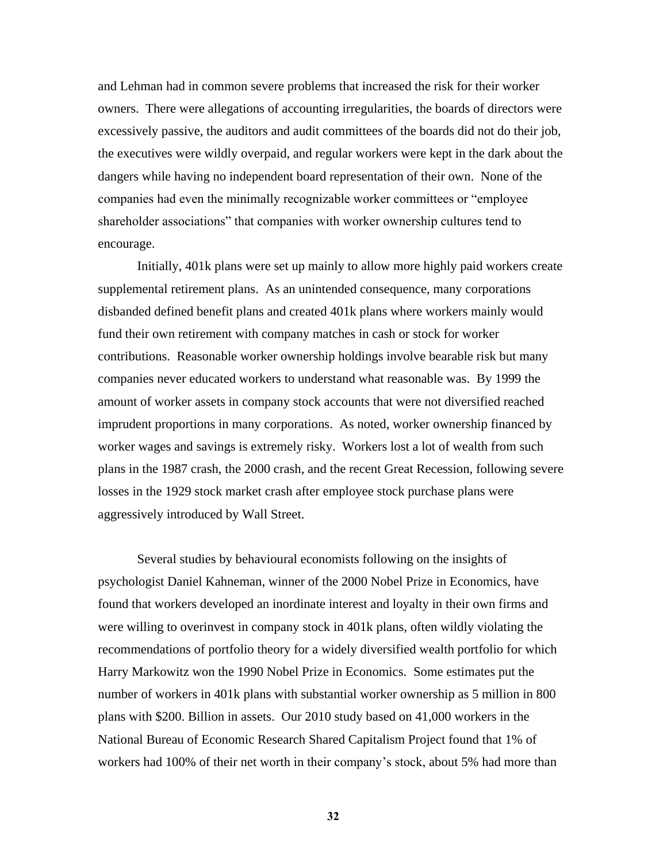and Lehman had in common severe problems that increased the risk for their worker owners. There were allegations of accounting irregularities, the boards of directors were excessively passive, the auditors and audit committees of the boards did not do their job, the executives were wildly overpaid, and regular workers were kept in the dark about the dangers while having no independent board representation of their own. None of the companies had even the minimally recognizable worker committees or "employee" shareholder associations" that companies with worker ownership cultures tend to encourage.

Initially, 401k plans were set up mainly to allow more highly paid workers create supplemental retirement plans. As an unintended consequence, many corporations disbanded defined benefit plans and created 401k plans where workers mainly would fund their own retirement with company matches in cash or stock for worker contributions. Reasonable worker ownership holdings involve bearable risk but many companies never educated workers to understand what reasonable was. By 1999 the amount of worker assets in company stock accounts that were not diversified reached imprudent proportions in many corporations. As noted, worker ownership financed by worker wages and savings is extremely risky. Workers lost a lot of wealth from such plans in the 1987 crash, the 2000 crash, and the recent Great Recession, following severe losses in the 1929 stock market crash after employee stock purchase plans were aggressively introduced by Wall Street.

Several studies by behavioural economists following on the insights of psychologist Daniel Kahneman, winner of the 2000 Nobel Prize in Economics, have found that workers developed an inordinate interest and loyalty in their own firms and were willing to overinvest in company stock in 401k plans, often wildly violating the recommendations of portfolio theory for a widely diversified wealth portfolio for which Harry Markowitz won the 1990 Nobel Prize in Economics. Some estimates put the number of workers in 401k plans with substantial worker ownership as 5 million in 800 plans with \$200. Billion in assets. Our 2010 study based on 41,000 workers in the National Bureau of Economic Research Shared Capitalism Project found that 1% of workers had 100% of their net worth in their company's stock, about 5% had more than

**32**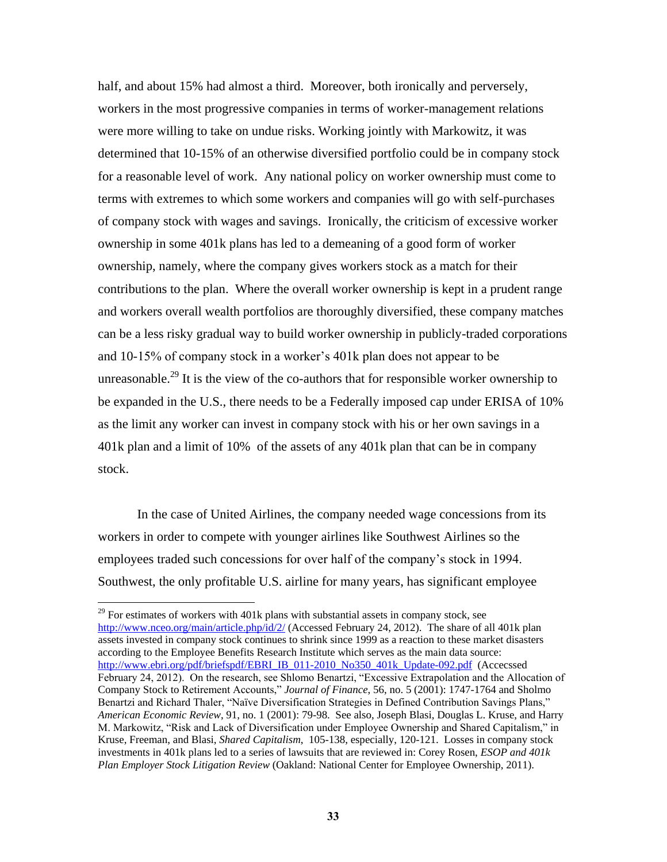half, and about 15% had almost a third. Moreover, both ironically and perversely, workers in the most progressive companies in terms of worker-management relations were more willing to take on undue risks. Working jointly with Markowitz, it was determined that 10-15% of an otherwise diversified portfolio could be in company stock for a reasonable level of work. Any national policy on worker ownership must come to terms with extremes to which some workers and companies will go with self-purchases of company stock with wages and savings. Ironically, the criticism of excessive worker ownership in some 401k plans has led to a demeaning of a good form of worker ownership, namely, where the company gives workers stock as a match for their contributions to the plan. Where the overall worker ownership is kept in a prudent range and workers overall wealth portfolios are thoroughly diversified, these company matches can be a less risky gradual way to build worker ownership in publicly-traded corporations and 10-15% of company stock in a worker's 401k plan does not appear to be unreasonable.<sup>29</sup> It is the view of the co-authors that for responsible worker ownership to be expanded in the U.S., there needs to be a Federally imposed cap under ERISA of 10% as the limit any worker can invest in company stock with his or her own savings in a 401k plan and a limit of 10% of the assets of any 401k plan that can be in company stock.

In the case of United Airlines, the company needed wage concessions from its workers in order to compete with younger airlines like Southwest Airlines so the employees traded such concessions for over half of the company's stock in 1994. Southwest, the only profitable U.S. airline for many years, has significant employee

 $29$  For estimates of workers with 401k plans with substantial assets in company stock, see <http://www.nceo.org/main/article.php/id/2/> (Accessed February 24, 2012). The share of all 401k plan assets invested in company stock continues to shrink since 1999 as a reaction to these market disasters according to the Employee Benefits Research Institute which serves as the main data source: [http://www.ebri.org/pdf/briefspdf/EBRI\\_IB\\_011-2010\\_No350\\_401k\\_Update-092.pdf](http://www.ebri.org/pdf/briefspdf/EBRI_IB_011-2010_No350_401k_Update-092.pdf) (Accecssed February 24, 2012). On the research, see Shlomo Benartzi, "Excessive Extrapolation and the Allocation of Company Stock to Retirement Accounts," Journal of Finance, 56, no. 5 (2001): 1747-1764 and Sholmo Benartzi and Richard Thaler, "Naïve Diversification Strategies in Defined Contribution Savings Plans," *American Economic Review*, 91, no. 1 (2001): 79-98. See also, Joseph Blasi, Douglas L. Kruse, and Harry M. Markowitz, "Risk and Lack of Diversification under Employee Ownership and Shared Capitalism," in Kruse, Freeman, and Blasi, *Shared Capitalism*, 105-138, especially, 120-121. Losses in company stock investments in 401k plans led to a series of lawsuits that are reviewed in: Corey Rosen, *ESOP and 401k Plan Employer Stock Litigation Review* (Oakland: National Center for Employee Ownership, 2011).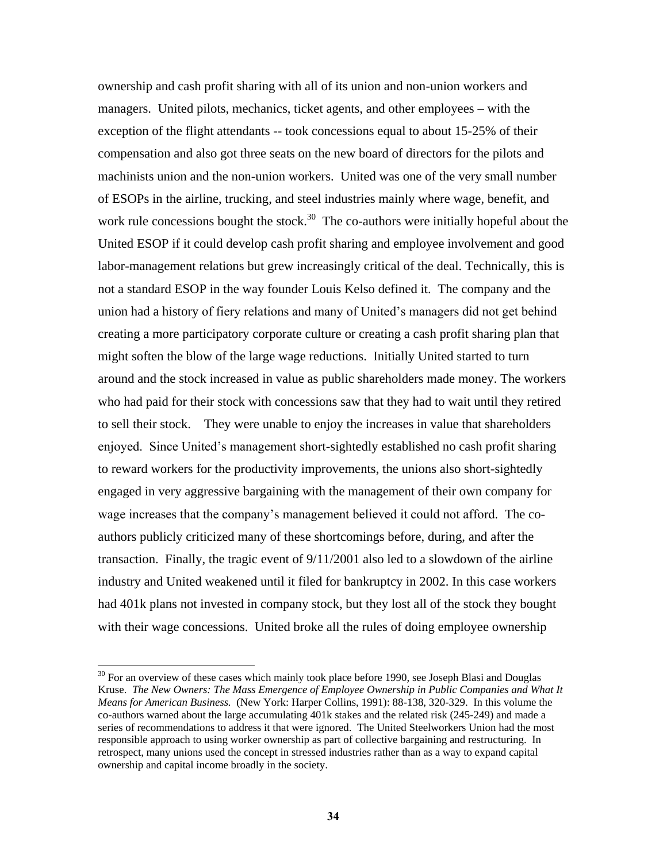ownership and cash profit sharing with all of its union and non-union workers and managers. United pilots, mechanics, ticket agents, and other employees – with the exception of the flight attendants -- took concessions equal to about 15-25% of their compensation and also got three seats on the new board of directors for the pilots and machinists union and the non-union workers. United was one of the very small number of ESOPs in the airline, trucking, and steel industries mainly where wage, benefit, and work rule concessions bought the stock.<sup>30</sup> The co-authors were initially hopeful about the United ESOP if it could develop cash profit sharing and employee involvement and good labor-management relations but grew increasingly critical of the deal. Technically, this is not a standard ESOP in the way founder Louis Kelso defined it. The company and the union had a history of fiery relations and many of United's managers did not get behind creating a more participatory corporate culture or creating a cash profit sharing plan that might soften the blow of the large wage reductions. Initially United started to turn around and the stock increased in value as public shareholders made money. The workers who had paid for their stock with concessions saw that they had to wait until they retired to sell their stock. They were unable to enjoy the increases in value that shareholders enjoyed. Since United's management short-sightedly established no cash profit sharing to reward workers for the productivity improvements, the unions also short-sightedly engaged in very aggressive bargaining with the management of their own company for wage increases that the company's management believed it could not afford. The coauthors publicly criticized many of these shortcomings before, during, and after the transaction. Finally, the tragic event of 9/11/2001 also led to a slowdown of the airline industry and United weakened until it filed for bankruptcy in 2002. In this case workers had 401k plans not invested in company stock, but they lost all of the stock they bought with their wage concessions. United broke all the rules of doing employee ownership

 $30$  For an overview of these cases which mainly took place before 1990, see Joseph Blasi and Douglas Kruse. *The New Owners: The Mass Emergence of Employee Ownership in Public Companies and What It Means for American Business.* (New York: Harper Collins, 1991): 88-138, 320-329. In this volume the co-authors warned about the large accumulating 401k stakes and the related risk (245-249) and made a series of recommendations to address it that were ignored. The United Steelworkers Union had the most responsible approach to using worker ownership as part of collective bargaining and restructuring. In retrospect, many unions used the concept in stressed industries rather than as a way to expand capital ownership and capital income broadly in the society.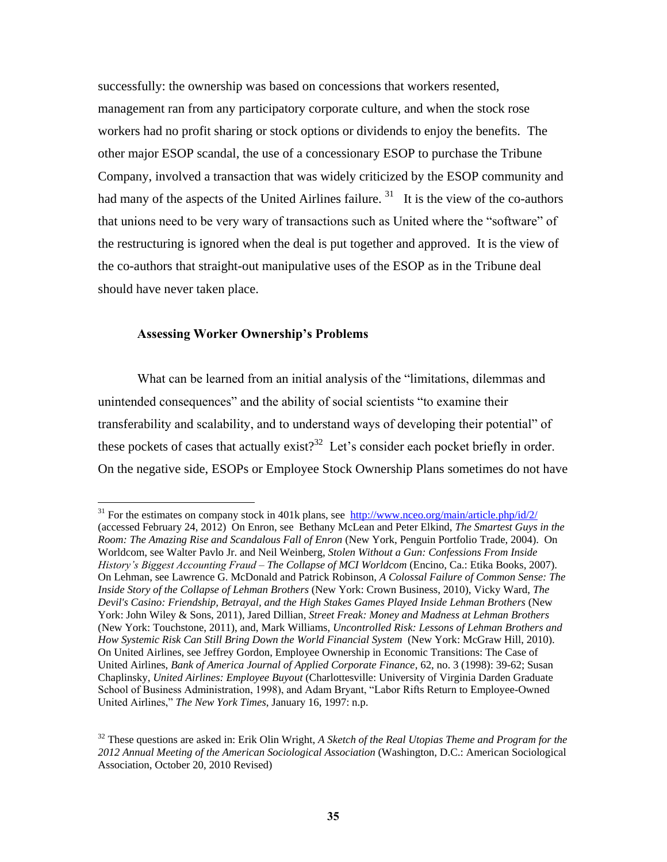successfully: the ownership was based on concessions that workers resented, management ran from any participatory corporate culture, and when the stock rose workers had no profit sharing or stock options or dividends to enjoy the benefits. The other major ESOP scandal, the use of a concessionary ESOP to purchase the Tribune Company, involved a transaction that was widely criticized by the ESOP community and had many of the aspects of the United Airlines failure.  $31$  It is the view of the co-authors that unions need to be very wary of transactions such as United where the "software" of the restructuring is ignored when the deal is put together and approved. It is the view of the co-authors that straight-out manipulative uses of the ESOP as in the Tribune deal should have never taken place.

### **Assessing Worker Ownership's Problems**

 $\overline{a}$ 

What can be learned from an initial analysis of the "limitations, dilemmas and unintended consequences" and the ability of social scientists "to examine their transferability and scalability, and to understand ways of developing their potential" of these pockets of cases that actually exist?<sup>32</sup> Let's consider each pocket briefly in order. On the negative side, ESOPs or Employee Stock Ownership Plans sometimes do not have

 $31$  For the estimates on company stock in 401k plans, see<http://www.nceo.org/main/article.php/id/2/> (accessed February 24, 2012) On Enron, see Bethany McLean and Peter Elkind, *The Smartest Guys in the Room: The Amazing Rise and Scandalous Fall of Enron* (New York, Penguin Portfolio Trade, 2004). On Worldcom, see Walter Pavlo Jr. and Neil Weinberg, *Stolen Without a Gun: Confessions From Inside History's Biggest Accounting Fraud – The Collapse of MCI Worldcom* (Encino, Ca.: Etika Books, 2007). On Lehman, see [Lawrence G. McDonald](http://www.amazon.com/Lawrence-G.-McDonald/e/B002GWGXRO/ref=ntt_athr_dp_pel_1) and [Patrick Robinson,](http://www.amazon.com/Patrick-Robinson/e/B001JPC9CC/ref=ntt_athr_dp_pel_2) *A Colossal Failure of Common Sense: The Inside Story of the Collapse of Lehman Brothers* (New York: Crown Business, 2010), Vicky Ward, *The Devil's Casino: Friendship, Betrayal, and the High Stakes Games Played Inside Lehman Brothers* (New York: John Wiley & Sons, 2011), [Jared Dillian,](http://www.amazon.com/Jared-Dillian/e/B004VC02KG/ref=ntt_athr_dp_pel_1) *Street Freak: Money and Madness at Lehman Brothers* (New York: Touchstone, 2011), and, [Mark Williams,](http://www.amazon.com/Mark-Williams/e/B003FNE7CQ/ref=ntt_athr_dp_pel_1) *Uncontrolled Risk: Lessons of Lehman Brothers and How Systemic Risk Can Still Bring Down the World Financial System* (New York: McGraw Hill, 2010). On United Airlines, see Jeffrey Gordon, Employee Ownership in Economic Transitions: The Case of United Airlines, *Bank of America Journal of Applied Corporate Finance*, 62, no. 3 (1998): 39-62; Susan Chaplinsky, *United Airlines: Employee Buyout* (Charlottesville: University of Virginia Darden Graduate School of Business Administration, 1998), and Adam Bryant, "Labor Rifts Return to Employee-Owned United Airlines," *The New York Times*, January 16, 1997: n.p.

<sup>32</sup> These questions are asked in: Erik Olin Wright, *A Sketch of the Real Utopias Theme and Program for the 2012 Annual Meeting of the American Sociological Association* (Washington, D.C.: American Sociological Association, October 20, 2010 Revised)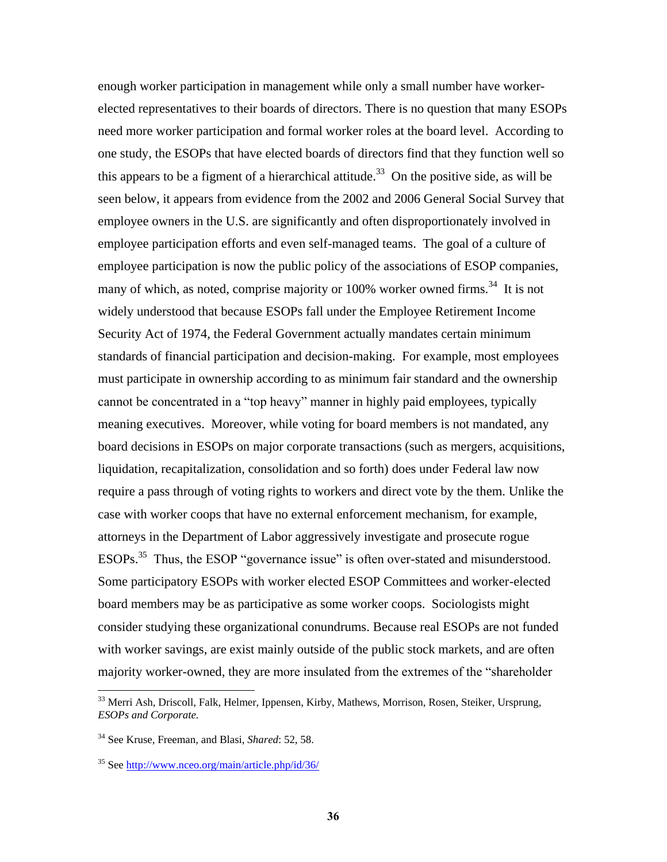enough worker participation in management while only a small number have workerelected representatives to their boards of directors. There is no question that many ESOPs need more worker participation and formal worker roles at the board level. According to one study, the ESOPs that have elected boards of directors find that they function well so this appears to be a figment of a hierarchical attitude.<sup>33</sup> On the positive side, as will be seen below, it appears from evidence from the 2002 and 2006 General Social Survey that employee owners in the U.S. are significantly and often disproportionately involved in employee participation efforts and even self-managed teams. The goal of a culture of employee participation is now the public policy of the associations of ESOP companies, many of which, as noted, comprise majority or 100% worker owned firms.<sup>34</sup> It is not widely understood that because ESOPs fall under the Employee Retirement Income Security Act of 1974, the Federal Government actually mandates certain minimum standards of financial participation and decision-making. For example, most employees must participate in ownership according to as minimum fair standard and the ownership cannot be concentrated in a "top heavy" manner in highly paid employees, typically meaning executives. Moreover, while voting for board members is not mandated, any board decisions in ESOPs on major corporate transactions (such as mergers, acquisitions, liquidation, recapitalization, consolidation and so forth) does under Federal law now require a pass through of voting rights to workers and direct vote by the them. Unlike the case with worker coops that have no external enforcement mechanism, for example, attorneys in the Department of Labor aggressively investigate and prosecute rogue ESOPs.<sup>35</sup> Thus, the ESOP "governance issue" is often over-stated and misunderstood. Some participatory ESOPs with worker elected ESOP Committees and worker-elected board members may be as participative as some worker coops. Sociologists might consider studying these organizational conundrums. Because real ESOPs are not funded with worker savings, are exist mainly outside of the public stock markets, and are often majority worker-owned, they are more insulated from the extremes of the "shareholder"

 $\overline{\phantom{a}}$ 

<sup>&</sup>lt;sup>33</sup> Merri Ash, Driscoll, Falk, Helmer, Ippensen, Kirby, Mathews, Morrison, Rosen, Steiker, Ursprung, *ESOPs and Corporate.*

<sup>34</sup> See Kruse, Freeman, and Blasi, *Shared*: 52, 58.

<sup>35</sup> See<http://www.nceo.org/main/article.php/id/36/>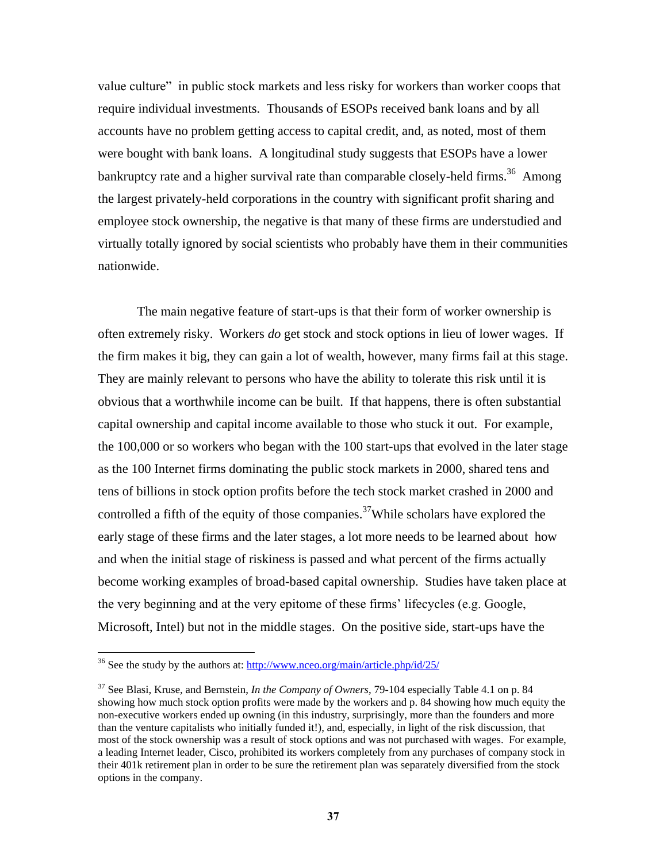value culture" in public stock markets and less risky for workers than worker coops that require individual investments. Thousands of ESOPs received bank loans and by all accounts have no problem getting access to capital credit, and, as noted, most of them were bought with bank loans. A longitudinal study suggests that ESOPs have a lower bankruptcy rate and a higher survival rate than comparable closely-held firms.<sup>36</sup> Among the largest privately-held corporations in the country with significant profit sharing and employee stock ownership, the negative is that many of these firms are understudied and virtually totally ignored by social scientists who probably have them in their communities nationwide.

The main negative feature of start-ups is that their form of worker ownership is often extremely risky. Workers *do* get stock and stock options in lieu of lower wages. If the firm makes it big, they can gain a lot of wealth, however, many firms fail at this stage. They are mainly relevant to persons who have the ability to tolerate this risk until it is obvious that a worthwhile income can be built. If that happens, there is often substantial capital ownership and capital income available to those who stuck it out. For example, the 100,000 or so workers who began with the 100 start-ups that evolved in the later stage as the 100 Internet firms dominating the public stock markets in 2000, shared tens and tens of billions in stock option profits before the tech stock market crashed in 2000 and controlled a fifth of the equity of those companies.<sup>37</sup>While scholars have explored the early stage of these firms and the later stages, a lot more needs to be learned about how and when the initial stage of riskiness is passed and what percent of the firms actually become working examples of broad-based capital ownership. Studies have taken place at the very beginning and at the very epitome of these firms' lifecycles (e.g. Google, Microsoft, Intel) but not in the middle stages. On the positive side, start-ups have the

<sup>&</sup>lt;sup>36</sup> See the study by the authors at:<http://www.nceo.org/main/article.php/id/25/>

<sup>37</sup> See Blasi, Kruse, and Bernstein, *In the Company of Owners*, 79-104 especially Table 4.1 on p. 84 showing how much stock option profits were made by the workers and p. 84 showing how much equity the non-executive workers ended up owning (in this industry, surprisingly, more than the founders and more than the venture capitalists who initially funded it!), and, especially, in light of the risk discussion, that most of the stock ownership was a result of stock options and was not purchased with wages. For example, a leading Internet leader, Cisco, prohibited its workers completely from any purchases of company stock in their 401k retirement plan in order to be sure the retirement plan was separately diversified from the stock options in the company.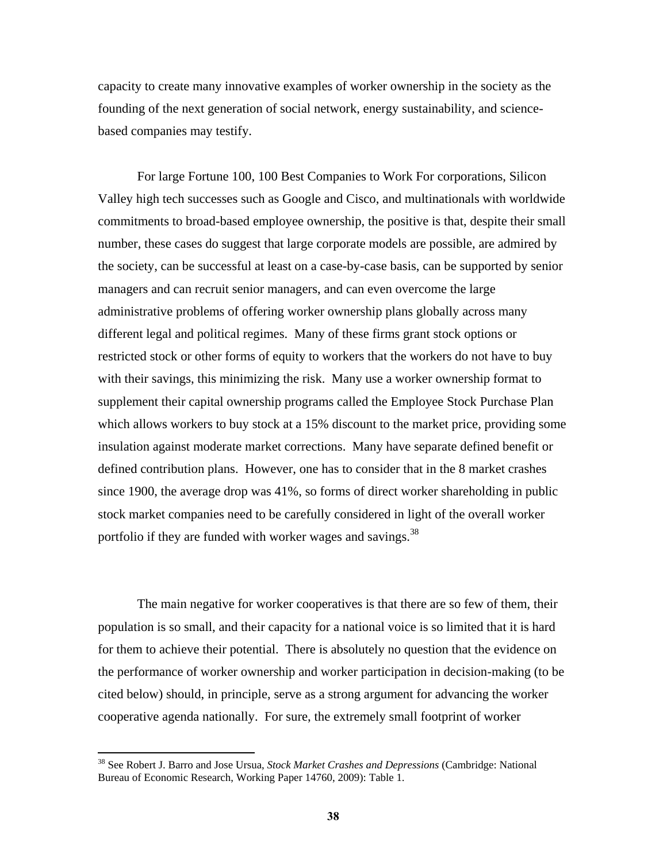capacity to create many innovative examples of worker ownership in the society as the founding of the next generation of social network, energy sustainability, and sciencebased companies may testify.

For large Fortune 100, 100 Best Companies to Work For corporations, Silicon Valley high tech successes such as Google and Cisco, and multinationals with worldwide commitments to broad-based employee ownership, the positive is that, despite their small number, these cases do suggest that large corporate models are possible, are admired by the society, can be successful at least on a case-by-case basis, can be supported by senior managers and can recruit senior managers, and can even overcome the large administrative problems of offering worker ownership plans globally across many different legal and political regimes. Many of these firms grant stock options or restricted stock or other forms of equity to workers that the workers do not have to buy with their savings, this minimizing the risk. Many use a worker ownership format to supplement their capital ownership programs called the Employee Stock Purchase Plan which allows workers to buy stock at a 15% discount to the market price, providing some insulation against moderate market corrections. Many have separate defined benefit or defined contribution plans. However, one has to consider that in the 8 market crashes since 1900, the average drop was 41%, so forms of direct worker shareholding in public stock market companies need to be carefully considered in light of the overall worker portfolio if they are funded with worker wages and savings. $^{38}$ 

The main negative for worker cooperatives is that there are so few of them, their population is so small, and their capacity for a national voice is so limited that it is hard for them to achieve their potential. There is absolutely no question that the evidence on the performance of worker ownership and worker participation in decision-making (to be cited below) should, in principle, serve as a strong argument for advancing the worker cooperative agenda nationally. For sure, the extremely small footprint of worker

<sup>38</sup> See Robert J. Barro and Jose Ursua, *Stock Market Crashes and Depressions* (Cambridge: National Bureau of Economic Research, Working Paper 14760, 2009): Table 1.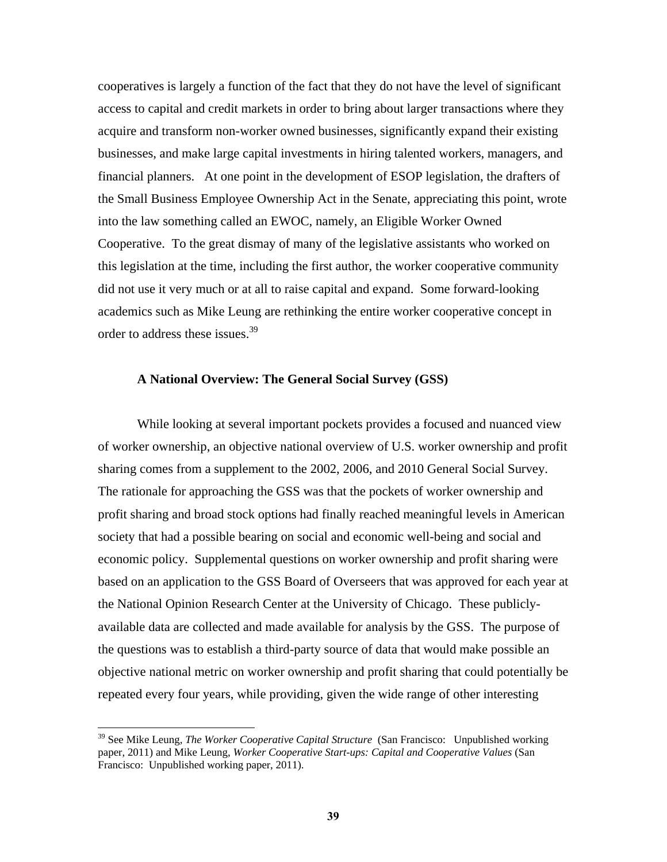cooperatives is largely a function of the fact that they do not have the level of significant access to capital and credit markets in order to bring about larger transactions where they acquire and transform non-worker owned businesses, significantly expand their existing businesses, and make large capital investments in hiring talented workers, managers, and financial planners. At one point in the development of ESOP legislation, the drafters of the Small Business Employee Ownership Act in the Senate, appreciating this point, wrote into the law something called an EWOC, namely, an Eligible Worker Owned Cooperative. To the great dismay of many of the legislative assistants who worked on this legislation at the time, including the first author, the worker cooperative community did not use it very much or at all to raise capital and expand. Some forward-looking academics such as Mike Leung are rethinking the entire worker cooperative concept in order to address these issues.<sup>39</sup>

### **A National Overview: The General Social Survey (GSS)**

While looking at several important pockets provides a focused and nuanced view of worker ownership, an objective national overview of U.S. worker ownership and profit sharing comes from a supplement to the 2002, 2006, and 2010 General Social Survey. The rationale for approaching the GSS was that the pockets of worker ownership and profit sharing and broad stock options had finally reached meaningful levels in American society that had a possible bearing on social and economic well-being and social and economic policy. Supplemental questions on worker ownership and profit sharing were based on an application to the GSS Board of Overseers that was approved for each year at the National Opinion Research Center at the University of Chicago. These publiclyavailable data are collected and made available for analysis by the GSS. The purpose of the questions was to establish a third-party source of data that would make possible an objective national metric on worker ownership and profit sharing that could potentially be repeated every four years, while providing, given the wide range of other interesting

<sup>39</sup> See Mike Leung, *The Worker Cooperative Capital Structure* (San Francisco: Unpublished working paper, 2011) and Mike Leung, *Worker Cooperative Start-ups: Capital and Cooperative Values* (San Francisco: Unpublished working paper, 2011).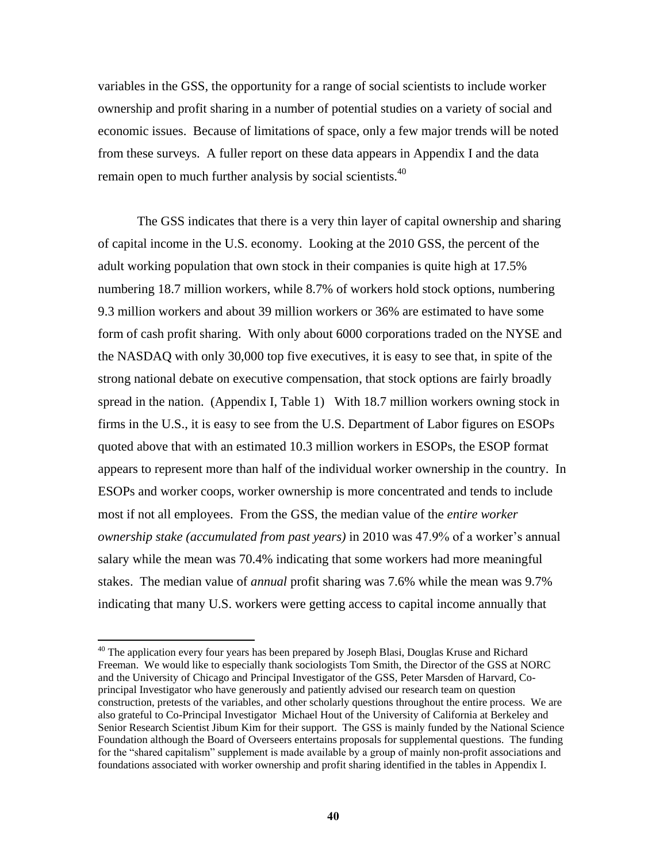variables in the GSS, the opportunity for a range of social scientists to include worker ownership and profit sharing in a number of potential studies on a variety of social and economic issues. Because of limitations of space, only a few major trends will be noted from these surveys. A fuller report on these data appears in Appendix I and the data remain open to much further analysis by social scientists.<sup>40</sup>

The GSS indicates that there is a very thin layer of capital ownership and sharing of capital income in the U.S. economy. Looking at the 2010 GSS, the percent of the adult working population that own stock in their companies is quite high at 17.5% numbering 18.7 million workers, while 8.7% of workers hold stock options, numbering 9.3 million workers and about 39 million workers or 36% are estimated to have some form of cash profit sharing. With only about 6000 corporations traded on the NYSE and the NASDAQ with only 30,000 top five executives, it is easy to see that, in spite of the strong national debate on executive compensation, that stock options are fairly broadly spread in the nation. (Appendix I, Table 1) With 18.7 million workers owning stock in firms in the U.S., it is easy to see from the U.S. Department of Labor figures on ESOPs quoted above that with an estimated 10.3 million workers in ESOPs, the ESOP format appears to represent more than half of the individual worker ownership in the country. In ESOPs and worker coops, worker ownership is more concentrated and tends to include most if not all employees. From the GSS, the median value of the *entire worker ownership stake (accumulated from past years)* in 2010 was 47.9% of a worker's annual salary while the mean was 70.4% indicating that some workers had more meaningful stakes. The median value of *annual* profit sharing was 7.6% while the mean was 9.7% indicating that many U.S. workers were getting access to capital income annually that

<sup>&</sup>lt;sup>40</sup> The application every four years has been prepared by Joseph Blasi, Douglas Kruse and Richard Freeman. We would like to especially thank sociologists Tom Smith, the Director of the GSS at NORC and the University of Chicago and Principal Investigator of the GSS, Peter Marsden of Harvard, Coprincipal Investigator who have generously and patiently advised our research team on question construction, pretests of the variables, and other scholarly questions throughout the entire process. We are also grateful to Co-Principal Investigator Michael Hout of the University of California at Berkeley and Senior Research Scientist Jibum Kim for their support. The GSS is mainly funded by the National Science Foundation although the Board of Overseers entertains proposals for supplemental questions. The funding for the "shared capitalism" supplement is made available by a group of mainly non-profit associations and foundations associated with worker ownership and profit sharing identified in the tables in Appendix I.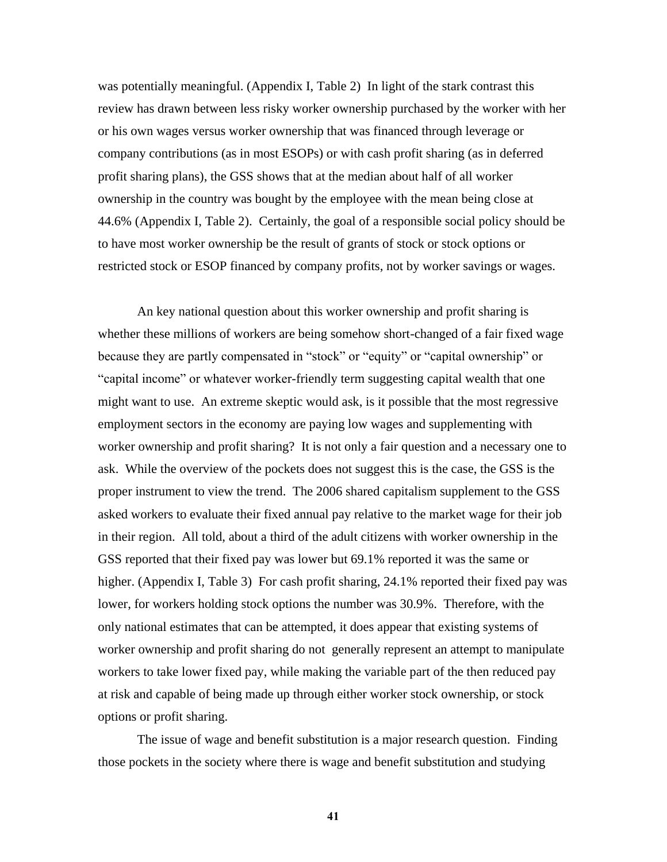was potentially meaningful. (Appendix I, Table 2) In light of the stark contrast this review has drawn between less risky worker ownership purchased by the worker with her or his own wages versus worker ownership that was financed through leverage or company contributions (as in most ESOPs) or with cash profit sharing (as in deferred profit sharing plans), the GSS shows that at the median about half of all worker ownership in the country was bought by the employee with the mean being close at 44.6% (Appendix I, Table 2). Certainly, the goal of a responsible social policy should be to have most worker ownership be the result of grants of stock or stock options or restricted stock or ESOP financed by company profits, not by worker savings or wages.

An key national question about this worker ownership and profit sharing is whether these millions of workers are being somehow short-changed of a fair fixed wage because they are partly compensated in "stock" or "equity" or "capital ownership" or ―capital income‖ or whatever worker-friendly term suggesting capital wealth that one might want to use. An extreme skeptic would ask, is it possible that the most regressive employment sectors in the economy are paying low wages and supplementing with worker ownership and profit sharing? It is not only a fair question and a necessary one to ask. While the overview of the pockets does not suggest this is the case, the GSS is the proper instrument to view the trend. The 2006 shared capitalism supplement to the GSS asked workers to evaluate their fixed annual pay relative to the market wage for their job in their region. All told, about a third of the adult citizens with worker ownership in the GSS reported that their fixed pay was lower but 69.1% reported it was the same or higher. (Appendix I, Table 3) For cash profit sharing, 24.1% reported their fixed pay was lower, for workers holding stock options the number was 30.9%. Therefore, with the only national estimates that can be attempted, it does appear that existing systems of worker ownership and profit sharing do not generally represent an attempt to manipulate workers to take lower fixed pay, while making the variable part of the then reduced pay at risk and capable of being made up through either worker stock ownership, or stock options or profit sharing.

The issue of wage and benefit substitution is a major research question. Finding those pockets in the society where there is wage and benefit substitution and studying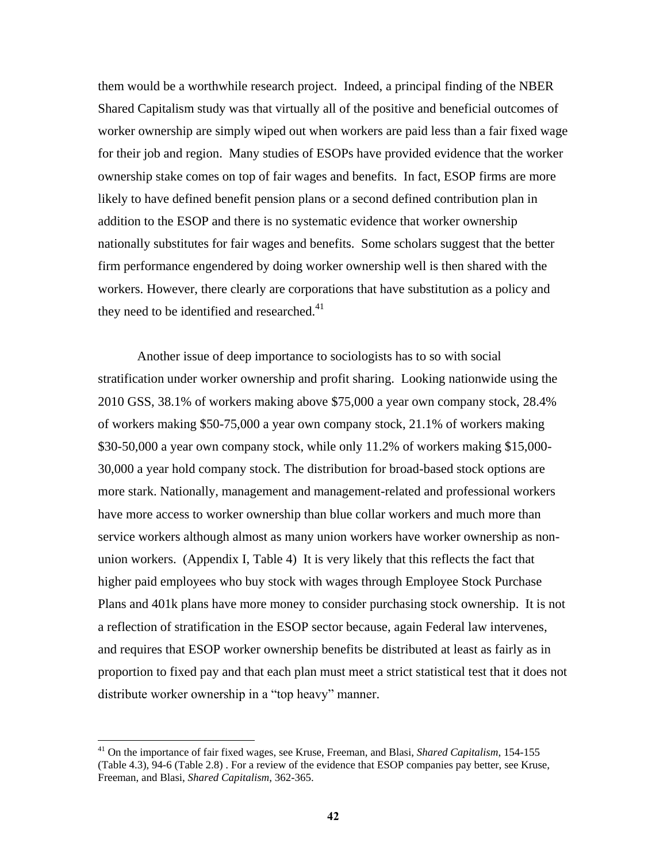them would be a worthwhile research project. Indeed, a principal finding of the NBER Shared Capitalism study was that virtually all of the positive and beneficial outcomes of worker ownership are simply wiped out when workers are paid less than a fair fixed wage for their job and region. Many studies of ESOPs have provided evidence that the worker ownership stake comes on top of fair wages and benefits. In fact, ESOP firms are more likely to have defined benefit pension plans or a second defined contribution plan in addition to the ESOP and there is no systematic evidence that worker ownership nationally substitutes for fair wages and benefits. Some scholars suggest that the better firm performance engendered by doing worker ownership well is then shared with the workers. However, there clearly are corporations that have substitution as a policy and they need to be identified and researched.<sup>41</sup>

Another issue of deep importance to sociologists has to so with social stratification under worker ownership and profit sharing. Looking nationwide using the 2010 GSS, 38.1% of workers making above \$75,000 a year own company stock, 28.4% of workers making \$50-75,000 a year own company stock, 21.1% of workers making \$30-50,000 a year own company stock, while only 11.2% of workers making \$15,000- 30,000 a year hold company stock. The distribution for broad-based stock options are more stark. Nationally, management and management-related and professional workers have more access to worker ownership than blue collar workers and much more than service workers although almost as many union workers have worker ownership as nonunion workers. (Appendix I, Table 4) It is very likely that this reflects the fact that higher paid employees who buy stock with wages through Employee Stock Purchase Plans and 401k plans have more money to consider purchasing stock ownership. It is not a reflection of stratification in the ESOP sector because, again Federal law intervenes, and requires that ESOP worker ownership benefits be distributed at least as fairly as in proportion to fixed pay and that each plan must meet a strict statistical test that it does not distribute worker ownership in a "top heavy" manner.

<sup>41</sup> On the importance of fair fixed wages, see Kruse, Freeman, and Blasi, *Shared Capitalism*, 154-155 (Table 4.3), 94-6 (Table 2.8) . For a review of the evidence that ESOP companies pay better, see Kruse, Freeman, and Blasi, *Shared Capitalism*, 362-365.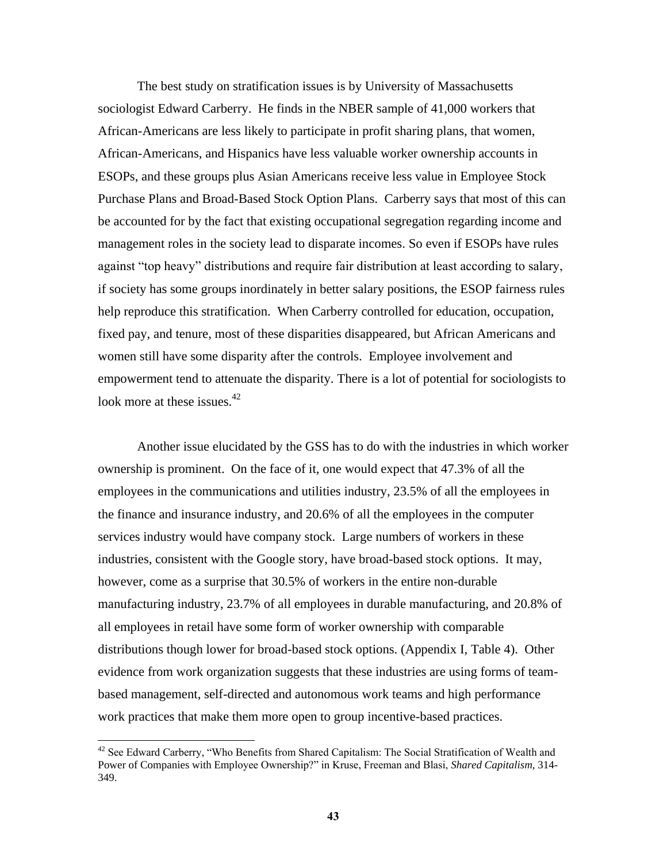The best study on stratification issues is by University of Massachusetts sociologist Edward Carberry. He finds in the NBER sample of 41,000 workers that African-Americans are less likely to participate in profit sharing plans, that women, African-Americans, and Hispanics have less valuable worker ownership accounts in ESOPs, and these groups plus Asian Americans receive less value in Employee Stock Purchase Plans and Broad-Based Stock Option Plans. Carberry says that most of this can be accounted for by the fact that existing occupational segregation regarding income and management roles in the society lead to disparate incomes. So even if ESOPs have rules against "top heavy" distributions and require fair distribution at least according to salary, if society has some groups inordinately in better salary positions, the ESOP fairness rules help reproduce this stratification. When Carberry controlled for education, occupation, fixed pay, and tenure, most of these disparities disappeared, but African Americans and women still have some disparity after the controls. Employee involvement and empowerment tend to attenuate the disparity. There is a lot of potential for sociologists to look more at these issues.<sup>42</sup>

Another issue elucidated by the GSS has to do with the industries in which worker ownership is prominent. On the face of it, one would expect that 47.3% of all the employees in the communications and utilities industry, 23.5% of all the employees in the finance and insurance industry, and 20.6% of all the employees in the computer services industry would have company stock. Large numbers of workers in these industries, consistent with the Google story, have broad-based stock options. It may, however, come as a surprise that 30.5% of workers in the entire non-durable manufacturing industry, 23.7% of all employees in durable manufacturing, and 20.8% of all employees in retail have some form of worker ownership with comparable distributions though lower for broad-based stock options. (Appendix I, Table 4). Other evidence from work organization suggests that these industries are using forms of teambased management, self-directed and autonomous work teams and high performance work practices that make them more open to group incentive-based practices.

<sup>&</sup>lt;sup>42</sup> See Edward Carberry, "Who Benefits from Shared Capitalism: The Social Stratification of Wealth and Power of Companies with Employee Ownership?" in Kruse, Freeman and Blasi, *Shared Capitalism*, 314-349.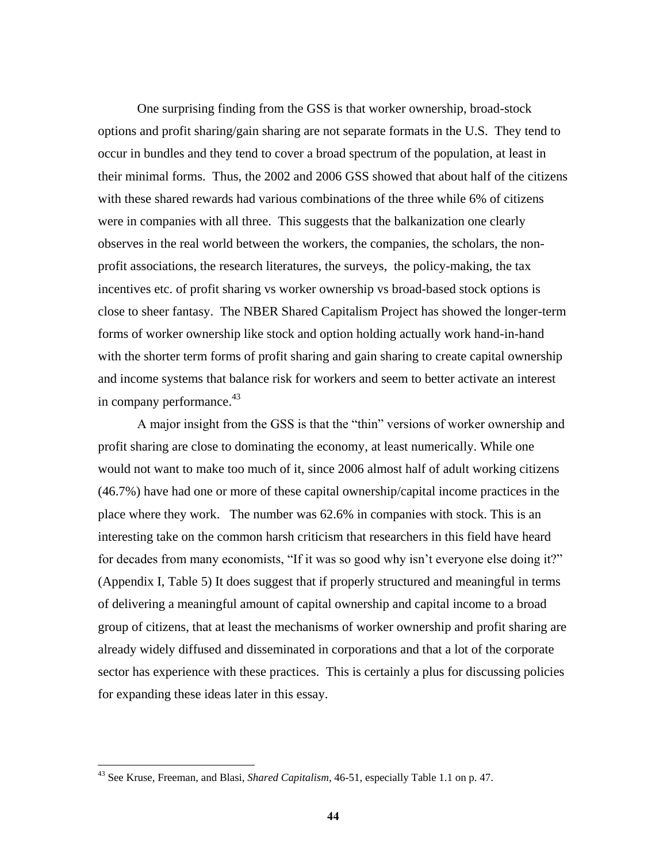One surprising finding from the GSS is that worker ownership, broad-stock options and profit sharing/gain sharing are not separate formats in the U.S. They tend to occur in bundles and they tend to cover a broad spectrum of the population, at least in their minimal forms. Thus, the 2002 and 2006 GSS showed that about half of the citizens with these shared rewards had various combinations of the three while 6% of citizens were in companies with all three. This suggests that the balkanization one clearly observes in the real world between the workers, the companies, the scholars, the nonprofit associations, the research literatures, the surveys, the policy-making, the tax incentives etc. of profit sharing vs worker ownership vs broad-based stock options is close to sheer fantasy. The NBER Shared Capitalism Project has showed the longer-term forms of worker ownership like stock and option holding actually work hand-in-hand with the shorter term forms of profit sharing and gain sharing to create capital ownership and income systems that balance risk for workers and seem to better activate an interest in company performance.<sup>43</sup>

A major insight from the GSS is that the "thin" versions of worker ownership and profit sharing are close to dominating the economy, at least numerically. While one would not want to make too much of it, since 2006 almost half of adult working citizens (46.7%) have had one or more of these capital ownership/capital income practices in the place where they work. The number was 62.6% in companies with stock. This is an interesting take on the common harsh criticism that researchers in this field have heard for decades from many economists, "If it was so good why isn't everyone else doing it?" (Appendix I, Table 5) It does suggest that if properly structured and meaningful in terms of delivering a meaningful amount of capital ownership and capital income to a broad group of citizens, that at least the mechanisms of worker ownership and profit sharing are already widely diffused and disseminated in corporations and that a lot of the corporate sector has experience with these practices. This is certainly a plus for discussing policies for expanding these ideas later in this essay.

<sup>43</sup> See Kruse, Freeman, and Blasi, *Shared Capitalism*, 46-51, especially Table 1.1 on p. 47.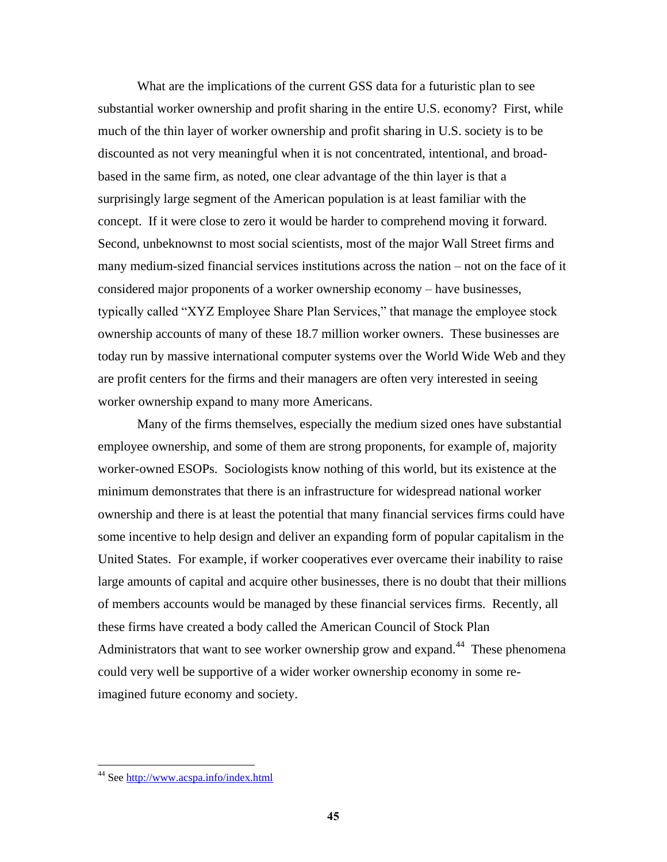What are the implications of the current GSS data for a futuristic plan to see substantial worker ownership and profit sharing in the entire U.S. economy? First, while much of the thin layer of worker ownership and profit sharing in U.S. society is to be discounted as not very meaningful when it is not concentrated, intentional, and broadbased in the same firm, as noted, one clear advantage of the thin layer is that a surprisingly large segment of the American population is at least familiar with the concept. If it were close to zero it would be harder to comprehend moving it forward. Second, unbeknownst to most social scientists, most of the major Wall Street firms and many medium-sized financial services institutions across the nation – not on the face of it considered major proponents of a worker ownership economy – have businesses, typically called "XYZ Employee Share Plan Services," that manage the employee stock ownership accounts of many of these 18.7 million worker owners. These businesses are today run by massive international computer systems over the World Wide Web and they are profit centers for the firms and their managers are often very interested in seeing worker ownership expand to many more Americans.

Many of the firms themselves, especially the medium sized ones have substantial employee ownership, and some of them are strong proponents, for example of, majority worker-owned ESOPs. Sociologists know nothing of this world, but its existence at the minimum demonstrates that there is an infrastructure for widespread national worker ownership and there is at least the potential that many financial services firms could have some incentive to help design and deliver an expanding form of popular capitalism in the United States. For example, if worker cooperatives ever overcame their inability to raise large amounts of capital and acquire other businesses, there is no doubt that their millions of members accounts would be managed by these financial services firms. Recently, all these firms have created a body called the American Council of Stock Plan Administrators that want to see worker ownership grow and expand.<sup>44</sup> These phenomena could very well be supportive of a wider worker ownership economy in some reimagined future economy and society.

<sup>&</sup>lt;sup>44</sup> See<http://www.acspa.info/index.html>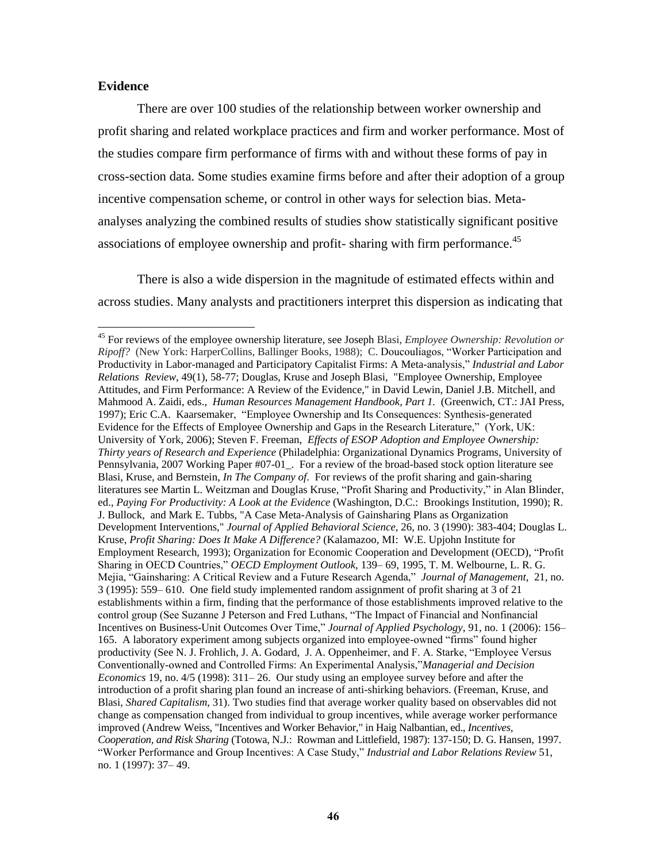## **Evidence**

 $\overline{a}$ 

There are over 100 studies of the relationship between worker ownership and profit sharing and related workplace practices and firm and worker performance. Most of the studies compare firm performance of firms with and without these forms of pay in cross-section data. Some studies examine firms before and after their adoption of a group incentive compensation scheme, or control in other ways for selection bias. Metaanalyses analyzing the combined results of studies show statistically significant positive associations of employee ownership and profit-sharing with firm performance.<sup>45</sup>

There is also a wide dispersion in the magnitude of estimated effects within and across studies. Many analysts and practitioners interpret this dispersion as indicating that

<sup>45</sup> For reviews of the employee ownership literature, see Joseph Blasi, *Employee Ownership: Revolution or Ripoff?* (New York: HarperCollins, Ballinger Books, 1988); C. Doucouliagos, "Worker Participation and Productivity in Labor-managed and Participatory Capitalist Firms: A Meta-analysis," *Industrial and Labor Relations Review*, 49(1), 58-77; Douglas, Kruse and Joseph Blasi, "Employee Ownership, Employee Attitudes, and Firm Performance: A Review of the Evidence," in David Lewin, Daniel J.B. Mitchell, and Mahmood A. Zaidi, eds., *Human Resources Management Handbook, Part 1.* (Greenwich, CT.: JAI Press, 1997); Eric C.A. Kaarsemaker, "Employee Ownership and Its Consequences: Synthesis-generated Evidence for the Effects of Employee Ownership and Gaps in the Research Literature," (York, UK: University of York, 2006); Steven F. Freeman, *Effects of ESOP Adoption and Employee Ownership: Thirty years of Research and Experience* (Philadelphia: Organizational Dynamics Programs, University of Pennsylvania, 2007 Working Paper #07-01\_.For a review of the broad-based stock option literature see Blasi, Kruse, and Bernstein, *In The Company of*. For reviews of the profit sharing and gain-sharing literatures see Martin L. Weitzman and Douglas Kruse, "Profit Sharing and Productivity," in Alan Blinder, ed., *Paying For Productivity: A Look at the Evidence* (Washington, D.C.: Brookings Institution, 1990); R. J. Bullock, and Mark E. Tubbs, "A Case Meta-Analysis of Gainsharing Plans as Organization Development Interventions," *Journal of Applied Behavioral Science,* 26, no. 3 (1990): 383-404; Douglas L. Kruse, *Profit Sharing: Does It Make A Difference?* (Kalamazoo, MI: W.E. Upjohn Institute for Employment Research, 1993); Organization for Economic Cooperation and Development (OECD), "Profit Sharing in OECD Countries," *OECD Employment Outlook*, 139–69, 1995, T. M. Welbourne, L. R. G. Mejia, "Gainsharing: A Critical Review and a Future Research Agenda," *Journal of Management*, 21, no. 3 (1995): 559– 610. One field study implemented random assignment of profit sharing at 3 of 21 establishments within a firm, finding that the performance of those establishments improved relative to the control group (See Suzanne J Peterson and Fred Luthans, "The Impact of Financial and Nonfinancial Incentives on Business-Unit Outcomes Over Time," *Journal of Applied Psychology*, 91, no. 1 (2006): 156– 165. A laboratory experiment among subjects organized into employee-owned "firms" found higher productivity (See N. J. Frohlich, J. A. Godard, J. A. Oppenheimer, and F. A. Starke, "Employee Versus Conventionally-owned and Controlled Firms: An Experimental Analysis,"*Managerial and Decision Economics* 19, no. 4/5 (1998): 311– 26. Our study using an employee survey before and after the introduction of a profit sharing plan found an increase of anti-shirking behaviors. (Freeman, Kruse, and Blasi, *Shared Capitalism*, 31). Two studies find that average worker quality based on observables did not change as compensation changed from individual to group incentives, while average worker performance improved (Andrew Weiss, "Incentives and Worker Behavior," in Haig Nalbantian, ed., *Incentives, Cooperation, and Risk Sharing* (Totowa, N.J.: Rowman and Littlefield, 1987): 137-150; D. G. Hansen, 1997. ―Worker Performance and Group Incentives: A Case Study,‖ *Industrial and Labor Relations Review* 51, no. 1 (1997): 37– 49.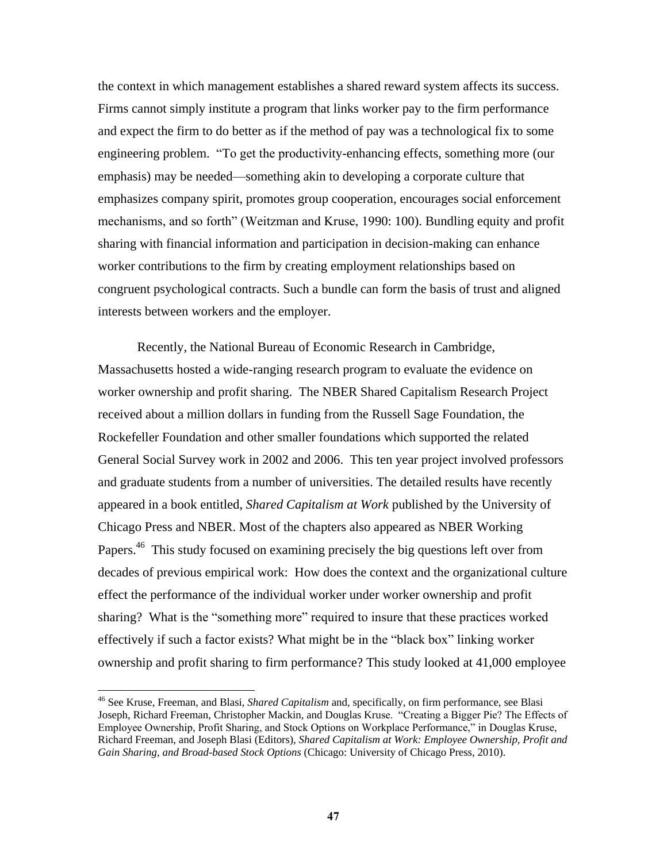the context in which management establishes a shared reward system affects its success. Firms cannot simply institute a program that links worker pay to the firm performance and expect the firm to do better as if the method of pay was a technological fix to some engineering problem. "To get the productivity-enhancing effects, something more (our emphasis) may be needed—something akin to developing a corporate culture that emphasizes company spirit, promotes group cooperation, encourages social enforcement mechanisms, and so forth" (Weitzman and Kruse, 1990: 100). Bundling equity and profit sharing with financial information and participation in decision-making can enhance worker contributions to the firm by creating employment relationships based on congruent psychological contracts. Such a bundle can form the basis of trust and aligned interests between workers and the employer.

Recently, the National Bureau of Economic Research in Cambridge, Massachusetts hosted a wide-ranging research program to evaluate the evidence on worker ownership and profit sharing. The NBER Shared Capitalism Research Project received about a million dollars in funding from the Russell Sage Foundation, the Rockefeller Foundation and other smaller foundations which supported the related General Social Survey work in 2002 and 2006. This ten year project involved professors and graduate students from a number of universities. The detailed results have recently appeared in a book entitled, *Shared Capitalism at Work* published by the University of Chicago Press and NBER. Most of the chapters also appeared as NBER Working Papers.<sup>46</sup> This study focused on examining precisely the big questions left over from decades of previous empirical work: How does the context and the organizational culture effect the performance of the individual worker under worker ownership and profit sharing? What is the "something more" required to insure that these practices worked effectively if such a factor exists? What might be in the "black box" linking worker ownership and profit sharing to firm performance? This study looked at 41,000 employee

<sup>46</sup> See Kruse, Freeman, and Blasi, *Shared Capitalism* and, specifically, on firm performance, see Blasi Joseph, Richard Freeman, Christopher Mackin, and Douglas Kruse. "Creating a Bigger Pie? The Effects of Employee Ownership, Profit Sharing, and Stock Options on Workplace Performance," in Douglas Kruse, Richard Freeman, and Joseph Blasi (Editors), *Shared Capitalism at Work: Employee Ownership, Profit and Gain Sharing, and Broad-based Stock Options* (Chicago: University of Chicago Press, 2010).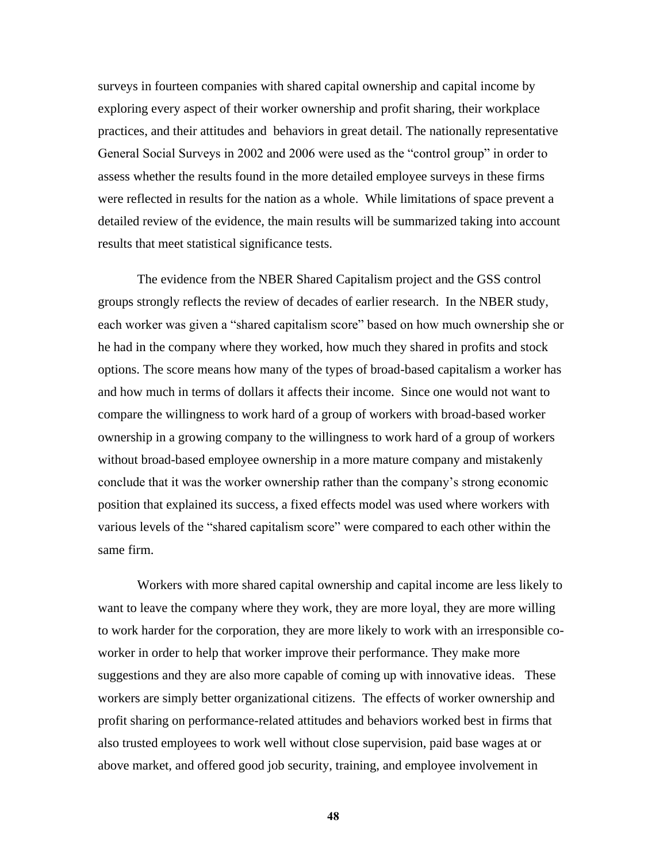surveys in fourteen companies with shared capital ownership and capital income by exploring every aspect of their worker ownership and profit sharing, their workplace practices, and their attitudes and behaviors in great detail. The nationally representative General Social Surveys in 2002 and 2006 were used as the "control group" in order to assess whether the results found in the more detailed employee surveys in these firms were reflected in results for the nation as a whole. While limitations of space prevent a detailed review of the evidence, the main results will be summarized taking into account results that meet statistical significance tests.

The evidence from the NBER Shared Capitalism project and the GSS control groups strongly reflects the review of decades of earlier research. In the NBER study, each worker was given a "shared capitalism score" based on how much ownership she or he had in the company where they worked, how much they shared in profits and stock options. The score means how many of the types of broad-based capitalism a worker has and how much in terms of dollars it affects their income. Since one would not want to compare the willingness to work hard of a group of workers with broad-based worker ownership in a growing company to the willingness to work hard of a group of workers without broad-based employee ownership in a more mature company and mistakenly conclude that it was the worker ownership rather than the company's strong economic position that explained its success, a fixed effects model was used where workers with various levels of the "shared capitalism score" were compared to each other within the same firm.

Workers with more shared capital ownership and capital income are less likely to want to leave the company where they work, they are more loyal, they are more willing to work harder for the corporation, they are more likely to work with an irresponsible coworker in order to help that worker improve their performance. They make more suggestions and they are also more capable of coming up with innovative ideas. These workers are simply better organizational citizens. The effects of worker ownership and profit sharing on performance-related attitudes and behaviors worked best in firms that also trusted employees to work well without close supervision, paid base wages at or above market, and offered good job security, training, and employee involvement in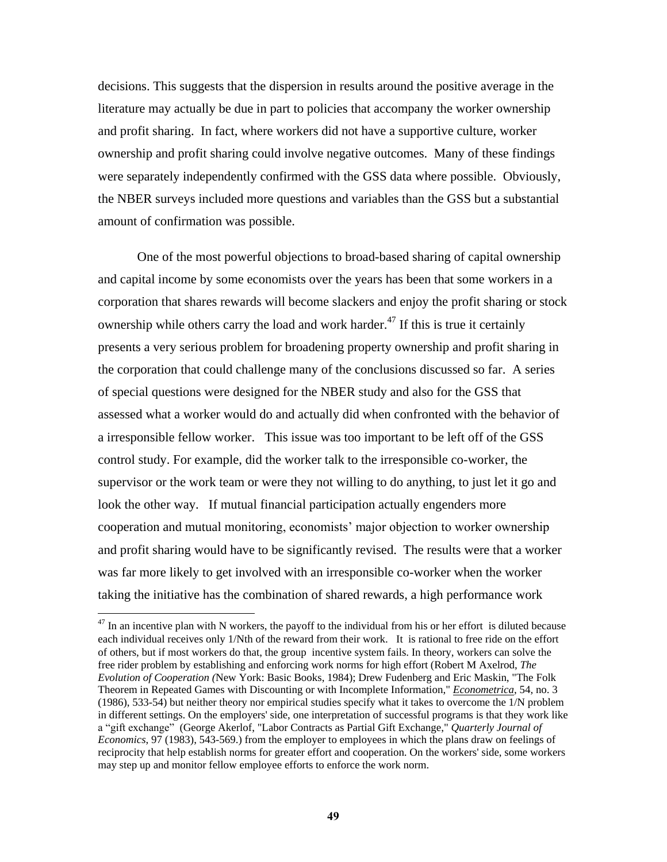decisions. This suggests that the dispersion in results around the positive average in the literature may actually be due in part to policies that accompany the worker ownership and profit sharing. In fact, where workers did not have a supportive culture, worker ownership and profit sharing could involve negative outcomes. Many of these findings were separately independently confirmed with the GSS data where possible. Obviously, the NBER surveys included more questions and variables than the GSS but a substantial amount of confirmation was possible.

One of the most powerful objections to broad-based sharing of capital ownership and capital income by some economists over the years has been that some workers in a corporation that shares rewards will become slackers and enjoy the profit sharing or stock ownership while others carry the load and work harder.<sup>47</sup> If this is true it certainly presents a very serious problem for broadening property ownership and profit sharing in the corporation that could challenge many of the conclusions discussed so far. A series of special questions were designed for the NBER study and also for the GSS that assessed what a worker would do and actually did when confronted with the behavior of a irresponsible fellow worker. This issue was too important to be left off of the GSS control study. For example, did the worker talk to the irresponsible co-worker, the supervisor or the work team or were they not willing to do anything, to just let it go and look the other way. If mutual financial participation actually engenders more cooperation and mutual monitoring, economists' major objection to worker ownership and profit sharing would have to be significantly revised. The results were that a worker was far more likely to get involved with an irresponsible co-worker when the worker taking the initiative has the combination of shared rewards, a high performance work

 $47$  In an incentive plan with N workers, the payoff to the individual from his or her effort is diluted because each individual receives only 1/Nth of the reward from their work. It is rational to free ride on the effort of others, but if most workers do that, the group incentive system fails. In theory, workers can solve the free rider problem by establishing and enforcing work norms for high effort (Robert M Axelrod, *The Evolution of Cooperation (*New York: Basic Books, 1984); Drew Fudenberg and Eric Maskin, "The Folk Theorem in Repeated Games with Discounting or with Incomplete Information," *Econometrica*, 54, no. 3 (1986), 533-54) but neither theory nor empirical studies specify what it takes to overcome the 1/N problem in different settings. On the employers' side, one interpretation of successful programs is that they work like a "gift exchange" (George Akerlof, "Labor Contracts as Partial Gift Exchange," *Quarterly Journal of Economics*, 97 (1983), 543-569.) from the employer to employees in which the plans draw on feelings of reciprocity that help establish norms for greater effort and cooperation. On the workers' side, some workers may step up and monitor fellow employee efforts to enforce the work norm.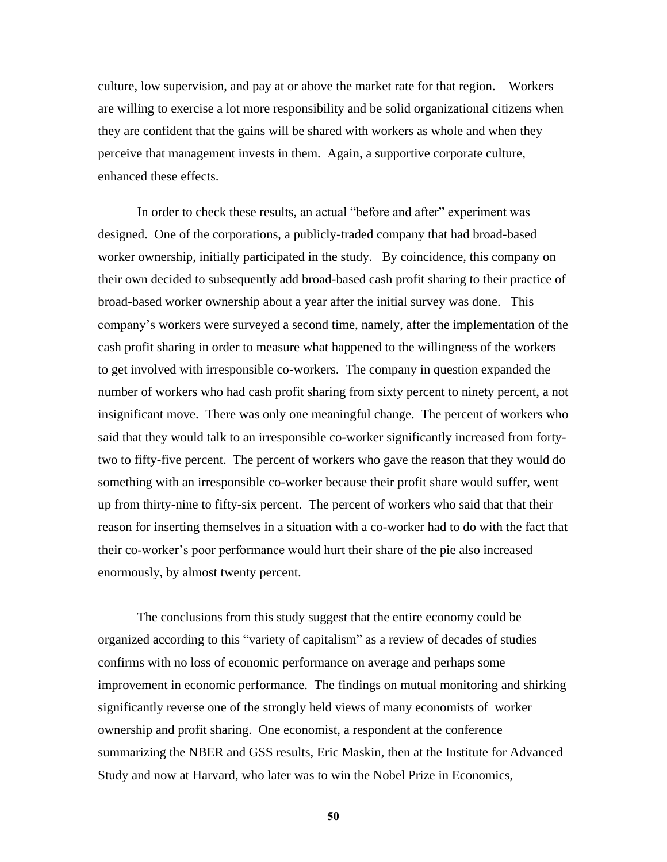culture, low supervision, and pay at or above the market rate for that region. Workers are willing to exercise a lot more responsibility and be solid organizational citizens when they are confident that the gains will be shared with workers as whole and when they perceive that management invests in them. Again, a supportive corporate culture, enhanced these effects.

In order to check these results, an actual "before and after" experiment was designed. One of the corporations, a publicly-traded company that had broad-based worker ownership, initially participated in the study. By coincidence, this company on their own decided to subsequently add broad-based cash profit sharing to their practice of broad-based worker ownership about a year after the initial survey was done. This company's workers were surveyed a second time, namely, after the implementation of the cash profit sharing in order to measure what happened to the willingness of the workers to get involved with irresponsible co-workers. The company in question expanded the number of workers who had cash profit sharing from sixty percent to ninety percent, a not insignificant move. There was only one meaningful change. The percent of workers who said that they would talk to an irresponsible co-worker significantly increased from fortytwo to fifty-five percent. The percent of workers who gave the reason that they would do something with an irresponsible co-worker because their profit share would suffer, went up from thirty-nine to fifty-six percent. The percent of workers who said that that their reason for inserting themselves in a situation with a co-worker had to do with the fact that their co-worker's poor performance would hurt their share of the pie also increased enormously, by almost twenty percent.

The conclusions from this study suggest that the entire economy could be organized according to this "variety of capitalism" as a review of decades of studies confirms with no loss of economic performance on average and perhaps some improvement in economic performance. The findings on mutual monitoring and shirking significantly reverse one of the strongly held views of many economists of worker ownership and profit sharing. One economist, a respondent at the conference summarizing the NBER and GSS results, Eric Maskin, then at the Institute for Advanced Study and now at Harvard, who later was to win the Nobel Prize in Economics,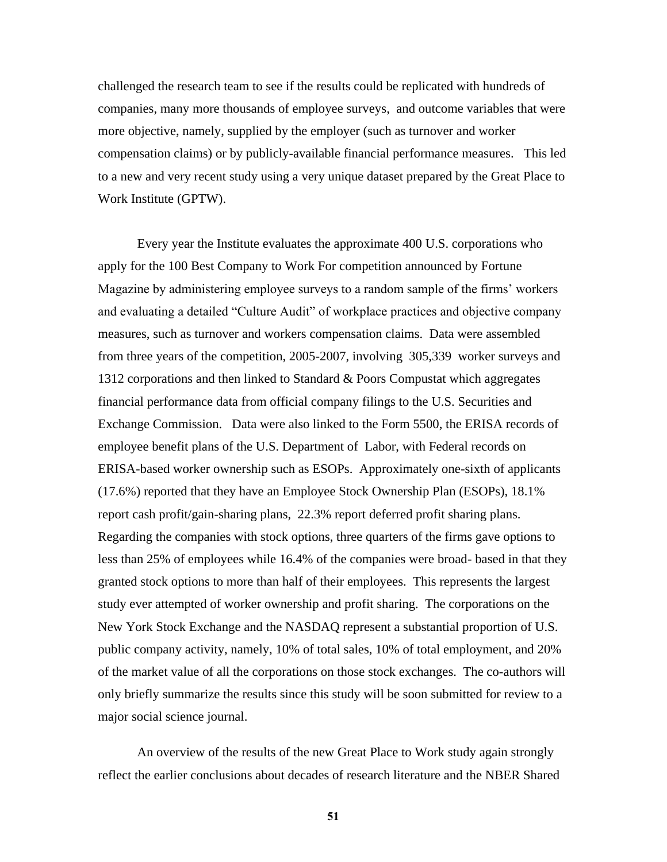challenged the research team to see if the results could be replicated with hundreds of companies, many more thousands of employee surveys, and outcome variables that were more objective, namely, supplied by the employer (such as turnover and worker compensation claims) or by publicly-available financial performance measures. This led to a new and very recent study using a very unique dataset prepared by the Great Place to Work Institute (GPTW).

Every year the Institute evaluates the approximate 400 U.S. corporations who apply for the 100 Best Company to Work For competition announced by Fortune Magazine by administering employee surveys to a random sample of the firms' workers and evaluating a detailed "Culture Audit" of workplace practices and objective company measures, such as turnover and workers compensation claims. Data were assembled from three years of the competition, 2005-2007, involving 305,339 worker surveys and 1312 corporations and then linked to Standard & Poors Compustat which aggregates financial performance data from official company filings to the U.S. Securities and Exchange Commission. Data were also linked to the Form 5500, the ERISA records of employee benefit plans of the U.S. Department of Labor, with Federal records on ERISA-based worker ownership such as ESOPs. Approximately one-sixth of applicants (17.6%) reported that they have an Employee Stock Ownership Plan (ESOPs), 18.1% report cash profit/gain-sharing plans, 22.3% report deferred profit sharing plans. Regarding the companies with stock options, three quarters of the firms gave options to less than 25% of employees while 16.4% of the companies were broad- based in that they granted stock options to more than half of their employees. This represents the largest study ever attempted of worker ownership and profit sharing. The corporations on the New York Stock Exchange and the NASDAQ represent a substantial proportion of U.S. public company activity, namely, 10% of total sales, 10% of total employment, and 20% of the market value of all the corporations on those stock exchanges. The co-authors will only briefly summarize the results since this study will be soon submitted for review to a major social science journal.

An overview of the results of the new Great Place to Work study again strongly reflect the earlier conclusions about decades of research literature and the NBER Shared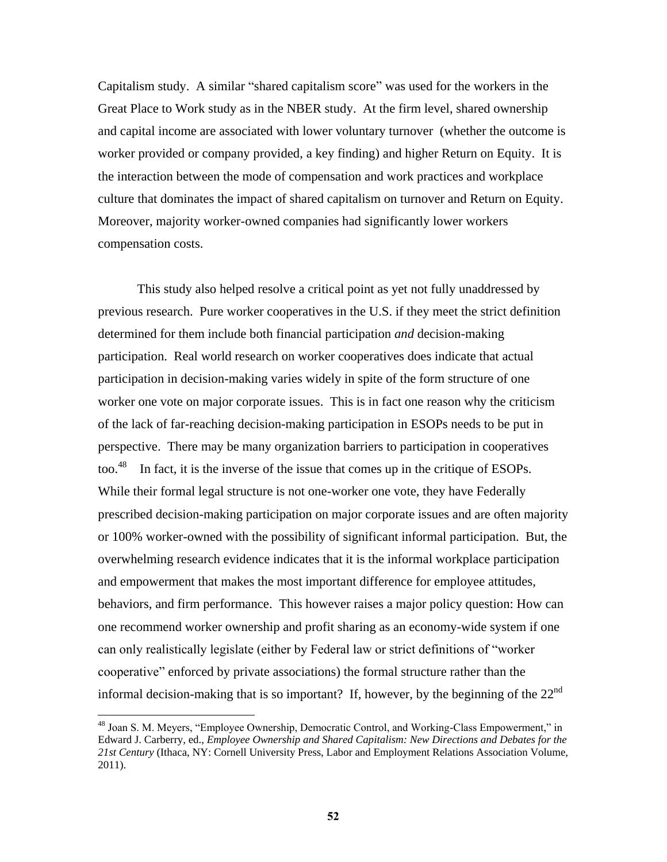Capitalism study. A similar "shared capitalism score" was used for the workers in the Great Place to Work study as in the NBER study. At the firm level, shared ownership and capital income are associated with lower voluntary turnover (whether the outcome is worker provided or company provided, a key finding) and higher Return on Equity. It is the interaction between the mode of compensation and work practices and workplace culture that dominates the impact of shared capitalism on turnover and Return on Equity. Moreover, majority worker-owned companies had significantly lower workers compensation costs.

This study also helped resolve a critical point as yet not fully unaddressed by previous research. Pure worker cooperatives in the U.S. if they meet the strict definition determined for them include both financial participation *and* decision-making participation. Real world research on worker cooperatives does indicate that actual participation in decision-making varies widely in spite of the form structure of one worker one vote on major corporate issues. This is in fact one reason why the criticism of the lack of far-reaching decision-making participation in ESOPs needs to be put in perspective. There may be many organization barriers to participation in cooperatives too. $48$  In fact, it is the inverse of the issue that comes up in the critique of ESOPs. While their formal legal structure is not one-worker one vote, they have Federally prescribed decision-making participation on major corporate issues and are often majority or 100% worker-owned with the possibility of significant informal participation. But, the overwhelming research evidence indicates that it is the informal workplace participation and empowerment that makes the most important difference for employee attitudes, behaviors, and firm performance. This however raises a major policy question: How can one recommend worker ownership and profit sharing as an economy-wide system if one can only realistically legislate (either by Federal law or strict definitions of "worker" cooperative‖ enforced by private associations) the formal structure rather than the informal decision-making that is so important? If, however, by the beginning of the  $22<sup>nd</sup>$ 

<sup>&</sup>lt;sup>48</sup> Joan S. M. Meyers, "Employee Ownership, Democratic Control, and Working-Class Empowerment," in Edward J. Carberry, ed., *Employee Ownership and Shared Capitalism: New Directions and Debates for the 21st Century* (Ithaca, NY: Cornell University Press, Labor and Employment Relations Association Volume, 2011).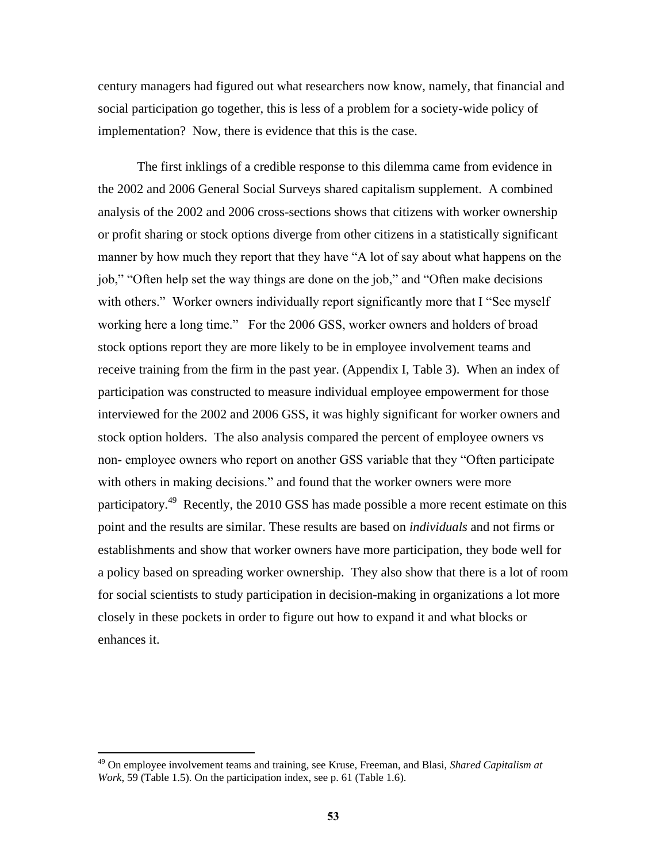century managers had figured out what researchers now know, namely, that financial and social participation go together, this is less of a problem for a society-wide policy of implementation? Now, there is evidence that this is the case.

The first inklings of a credible response to this dilemma came from evidence in the 2002 and 2006 General Social Surveys shared capitalism supplement. A combined analysis of the 2002 and 2006 cross-sections shows that citizens with worker ownership or profit sharing or stock options diverge from other citizens in a statistically significant manner by how much they report that they have "A lot of say about what happens on the job," "Often help set the way things are done on the job," and "Often make decisions" with others." Worker owners individually report significantly more that I "See myself working here a long time." For the 2006 GSS, worker owners and holders of broad stock options report they are more likely to be in employee involvement teams and receive training from the firm in the past year. (Appendix I, Table 3). When an index of participation was constructed to measure individual employee empowerment for those interviewed for the 2002 and 2006 GSS, it was highly significant for worker owners and stock option holders. The also analysis compared the percent of employee owners vs non- employee owners who report on another GSS variable that they "Often participate with others in making decisions." and found that the worker owners were more participatory.<sup>49</sup> Recently, the 2010 GSS has made possible a more recent estimate on this point and the results are similar. These results are based on *individuals* and not firms or establishments and show that worker owners have more participation, they bode well for a policy based on spreading worker ownership. They also show that there is a lot of room for social scientists to study participation in decision-making in organizations a lot more closely in these pockets in order to figure out how to expand it and what blocks or enhances it.

<sup>49</sup> On employee involvement teams and training, see Kruse, Freeman, and Blasi, *Shared Capitalism at Work*, 59 (Table 1.5). On the participation index, see p. 61 (Table 1.6).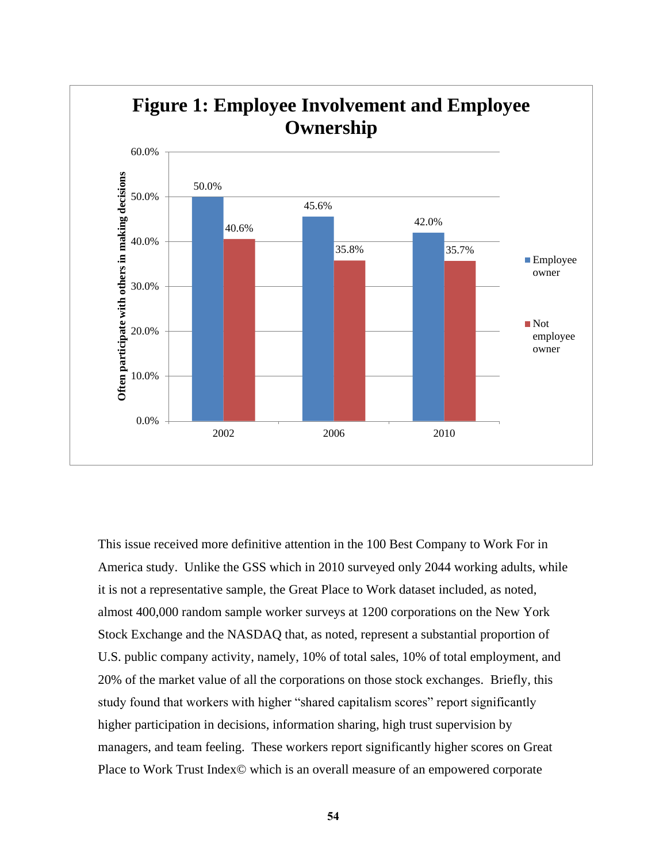

This issue received more definitive attention in the 100 Best Company to Work For in America study. Unlike the GSS which in 2010 surveyed only 2044 working adults, while it is not a representative sample, the Great Place to Work dataset included, as noted, almost 400,000 random sample worker surveys at 1200 corporations on the New York Stock Exchange and the NASDAQ that, as noted, represent a substantial proportion of U.S. public company activity, namely, 10% of total sales, 10% of total employment, and 20% of the market value of all the corporations on those stock exchanges. Briefly, this study found that workers with higher "shared capitalism scores" report significantly higher participation in decisions, information sharing, high trust supervision by managers, and team feeling. These workers report significantly higher scores on Great Place to Work Trust Index© which is an overall measure of an empowered corporate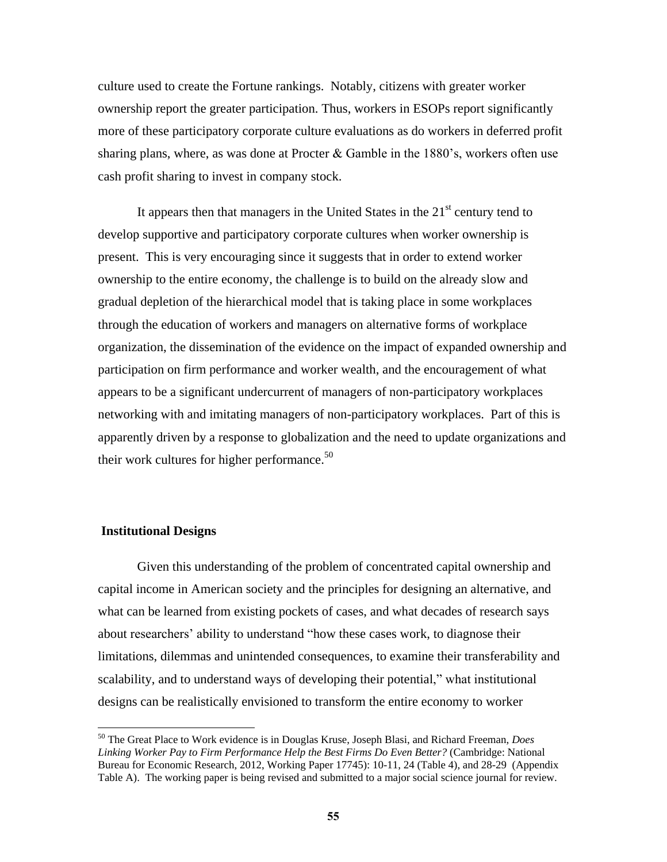culture used to create the Fortune rankings. Notably, citizens with greater worker ownership report the greater participation. Thus, workers in ESOPs report significantly more of these participatory corporate culture evaluations as do workers in deferred profit sharing plans, where, as was done at Procter  $\&$  Gamble in the 1880's, workers often use cash profit sharing to invest in company stock.

It appears then that managers in the United States in the  $21<sup>st</sup>$  century tend to develop supportive and participatory corporate cultures when worker ownership is present. This is very encouraging since it suggests that in order to extend worker ownership to the entire economy, the challenge is to build on the already slow and gradual depletion of the hierarchical model that is taking place in some workplaces through the education of workers and managers on alternative forms of workplace organization, the dissemination of the evidence on the impact of expanded ownership and participation on firm performance and worker wealth, and the encouragement of what appears to be a significant undercurrent of managers of non-participatory workplaces networking with and imitating managers of non-participatory workplaces. Part of this is apparently driven by a response to globalization and the need to update organizations and their work cultures for higher performance. $50$ 

#### **Institutional Designs**

 $\overline{a}$ 

Given this understanding of the problem of concentrated capital ownership and capital income in American society and the principles for designing an alternative, and what can be learned from existing pockets of cases, and what decades of research says about researchers' ability to understand "how these cases work, to diagnose their limitations, dilemmas and unintended consequences, to examine their transferability and scalability, and to understand ways of developing their potential," what institutional designs can be realistically envisioned to transform the entire economy to worker

<sup>50</sup> The Great Place to Work evidence is in Douglas Kruse, Joseph Blasi, and Richard Freeman, *Does Linking Worker Pay to Firm Performance Help the Best Firms Do Even Better?* (Cambridge: National Bureau for Economic Research, 2012, Working Paper 17745): 10-11, 24 (Table 4), and 28-29 (Appendix Table A). The working paper is being revised and submitted to a major social science journal for review.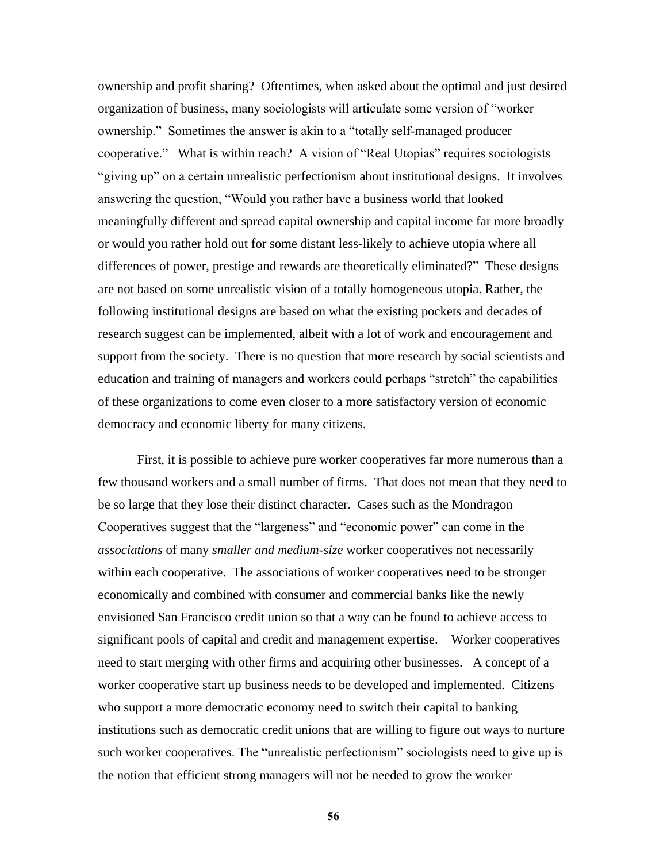ownership and profit sharing? Oftentimes, when asked about the optimal and just desired organization of business, many sociologists will articulate some version of "worker" ownership." Sometimes the answer is akin to a "totally self-managed producer cooperative." What is within reach? A vision of "Real Utopias" requires sociologists "giving up" on a certain unrealistic perfectionism about institutional designs. It involves answering the question, "Would you rather have a business world that looked meaningfully different and spread capital ownership and capital income far more broadly or would you rather hold out for some distant less-likely to achieve utopia where all differences of power, prestige and rewards are theoretically eliminated?" These designs are not based on some unrealistic vision of a totally homogeneous utopia. Rather, the following institutional designs are based on what the existing pockets and decades of research suggest can be implemented, albeit with a lot of work and encouragement and support from the society. There is no question that more research by social scientists and education and training of managers and workers could perhaps "stretch" the capabilities of these organizations to come even closer to a more satisfactory version of economic democracy and economic liberty for many citizens.

First, it is possible to achieve pure worker cooperatives far more numerous than a few thousand workers and a small number of firms. That does not mean that they need to be so large that they lose their distinct character. Cases such as the Mondragon Cooperatives suggest that the "largeness" and "economic power" can come in the *associations* of many *smaller and medium-size* worker cooperatives not necessarily within each cooperative. The associations of worker cooperatives need to be stronger economically and combined with consumer and commercial banks like the newly envisioned San Francisco credit union so that a way can be found to achieve access to significant pools of capital and credit and management expertise. Worker cooperatives need to start merging with other firms and acquiring other businesses. A concept of a worker cooperative start up business needs to be developed and implemented. Citizens who support a more democratic economy need to switch their capital to banking institutions such as democratic credit unions that are willing to figure out ways to nurture such worker cooperatives. The "unrealistic perfectionism" sociologists need to give up is the notion that efficient strong managers will not be needed to grow the worker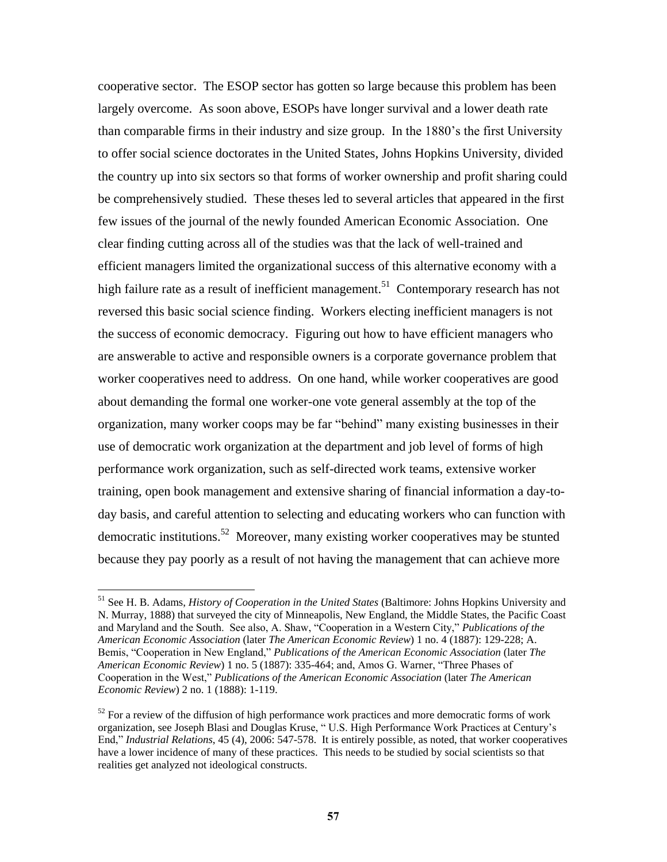cooperative sector. The ESOP sector has gotten so large because this problem has been largely overcome. As soon above, ESOPs have longer survival and a lower death rate than comparable firms in their industry and size group. In the 1880's the first University to offer social science doctorates in the United States, Johns Hopkins University, divided the country up into six sectors so that forms of worker ownership and profit sharing could be comprehensively studied. These theses led to several articles that appeared in the first few issues of the journal of the newly founded American Economic Association. One clear finding cutting across all of the studies was that the lack of well-trained and efficient managers limited the organizational success of this alternative economy with a high failure rate as a result of inefficient management.<sup>51</sup> Contemporary research has not reversed this basic social science finding. Workers electing inefficient managers is not the success of economic democracy. Figuring out how to have efficient managers who are answerable to active and responsible owners is a corporate governance problem that worker cooperatives need to address. On one hand, while worker cooperatives are good about demanding the formal one worker-one vote general assembly at the top of the organization, many worker coops may be far "behind" many existing businesses in their use of democratic work organization at the department and job level of forms of high performance work organization, such as self-directed work teams, extensive worker training, open book management and extensive sharing of financial information a day-today basis, and careful attention to selecting and educating workers who can function with democratic institutions.<sup>52</sup> Moreover, many existing worker cooperatives may be stunted because they pay poorly as a result of not having the management that can achieve more

<sup>51</sup> See H. B. Adams, *History of Cooperation in the United States* (Baltimore: Johns Hopkins University and N. Murray, 1888) that surveyed the city of Minneapolis, New England, the Middle States, the Pacific Coast and Maryland and the South. See also, A. Shaw, "Cooperation in a Western City," Publications of the *American Economic Association* (later *The American Economic Review*) 1 no. 4 (1887): 129-228; A. Bemis, "Cooperation in New England," *Publications of the American Economic Association* (later *The American Economic Review*) 1 no. 5 (1887): 335-464; and, Amos G. Warner, "Three Phases of Cooperation in the West," *Publications of the American Economic Association* (later *The American Economic Review*) 2 no. 1 (1888): 1-119.

 $52$  For a review of the diffusion of high performance work practices and more democratic forms of work organization, see Joseph Blasi and Douglas Kruse, "U.S. High Performance Work Practices at Century's End," *Industrial Relations*, 45 (4), 2006: 547-578. It is entirely possible, as noted, that worker cooperatives have a lower incidence of many of these practices. This needs to be studied by social scientists so that realities get analyzed not ideological constructs.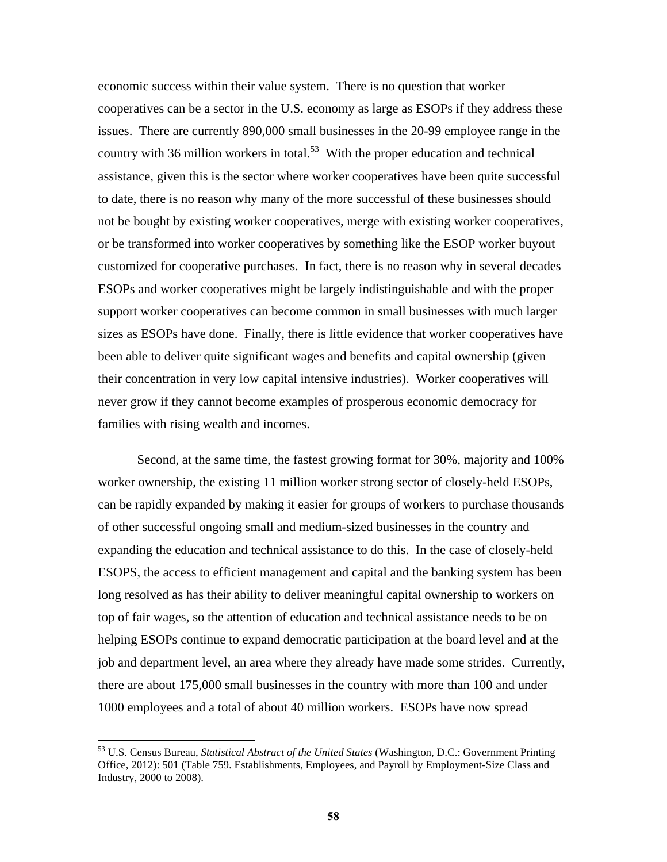economic success within their value system. There is no question that worker cooperatives can be a sector in the U.S. economy as large as ESOPs if they address these issues. There are currently 890,000 small businesses in the 20-99 employee range in the country with 36 million workers in total.<sup>53</sup> With the proper education and technical assistance, given this is the sector where worker cooperatives have been quite successful to date, there is no reason why many of the more successful of these businesses should not be bought by existing worker cooperatives, merge with existing worker cooperatives, or be transformed into worker cooperatives by something like the ESOP worker buyout customized for cooperative purchases. In fact, there is no reason why in several decades ESOPs and worker cooperatives might be largely indistinguishable and with the proper support worker cooperatives can become common in small businesses with much larger sizes as ESOPs have done. Finally, there is little evidence that worker cooperatives have been able to deliver quite significant wages and benefits and capital ownership (given their concentration in very low capital intensive industries). Worker cooperatives will never grow if they cannot become examples of prosperous economic democracy for families with rising wealth and incomes.

Second, at the same time, the fastest growing format for 30%, majority and 100% worker ownership, the existing 11 million worker strong sector of closely-held ESOPs, can be rapidly expanded by making it easier for groups of workers to purchase thousands of other successful ongoing small and medium-sized businesses in the country and expanding the education and technical assistance to do this. In the case of closely-held ESOPS, the access to efficient management and capital and the banking system has been long resolved as has their ability to deliver meaningful capital ownership to workers on top of fair wages, so the attention of education and technical assistance needs to be on helping ESOPs continue to expand democratic participation at the board level and at the job and department level, an area where they already have made some strides. Currently, there are about 175,000 small businesses in the country with more than 100 and under 1000 employees and a total of about 40 million workers. ESOPs have now spread

<sup>53</sup> U.S. Census Bureau, *Statistical Abstract of the United States* (Washington, D.C.: Government Printing Office, 2012): 501 (Table 759. Establishments, Employees, and Payroll by Employment-Size Class and Industry, 2000 to 2008).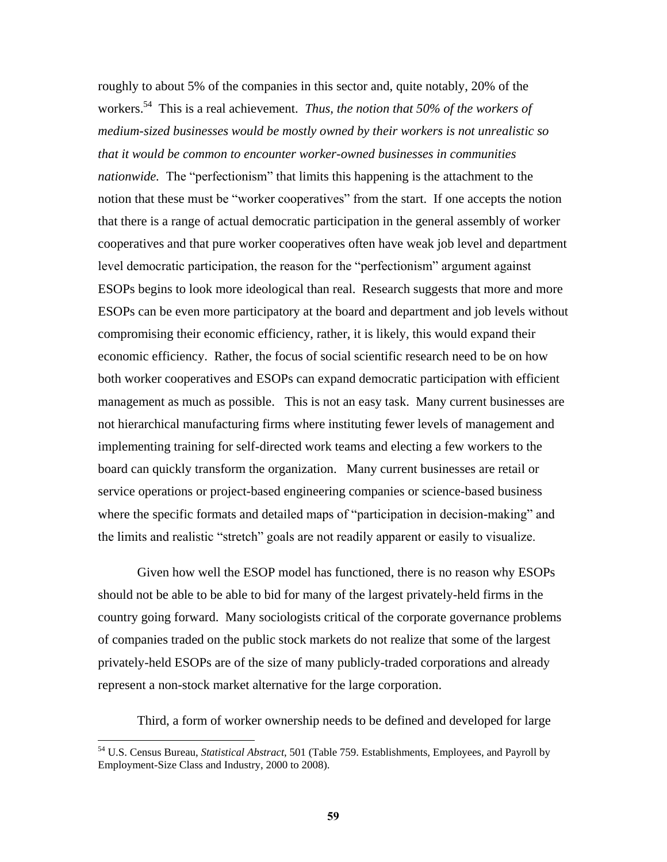roughly to about 5% of the companies in this sector and, quite notably, 20% of the workers. 54 This is a real achievement. *Thus, the notion that 50% of the workers of medium-sized businesses would be mostly owned by their workers is not unrealistic so that it would be common to encounter worker-owned businesses in communities nationwide.* The "perfectionism" that limits this happening is the attachment to the notion that these must be "worker cooperatives" from the start. If one accepts the notion that there is a range of actual democratic participation in the general assembly of worker cooperatives and that pure worker cooperatives often have weak job level and department level democratic participation, the reason for the "perfectionism" argument against ESOPs begins to look more ideological than real. Research suggests that more and more ESOPs can be even more participatory at the board and department and job levels without compromising their economic efficiency, rather, it is likely, this would expand their economic efficiency. Rather, the focus of social scientific research need to be on how both worker cooperatives and ESOPs can expand democratic participation with efficient management as much as possible. This is not an easy task. Many current businesses are not hierarchical manufacturing firms where instituting fewer levels of management and implementing training for self-directed work teams and electing a few workers to the board can quickly transform the organization. Many current businesses are retail or service operations or project-based engineering companies or science-based business where the specific formats and detailed maps of "participation in decision-making" and the limits and realistic "stretch" goals are not readily apparent or easily to visualize.

Given how well the ESOP model has functioned, there is no reason why ESOPs should not be able to be able to bid for many of the largest privately-held firms in the country going forward. Many sociologists critical of the corporate governance problems of companies traded on the public stock markets do not realize that some of the largest privately-held ESOPs are of the size of many publicly-traded corporations and already represent a non-stock market alternative for the large corporation.

Third, a form of worker ownership needs to be defined and developed for large

<sup>54</sup> U.S. Census Bureau, *Statistical Abstract*, 501 (Table 759. Establishments, Employees, and Payroll by Employment-Size Class and Industry, 2000 to 2008).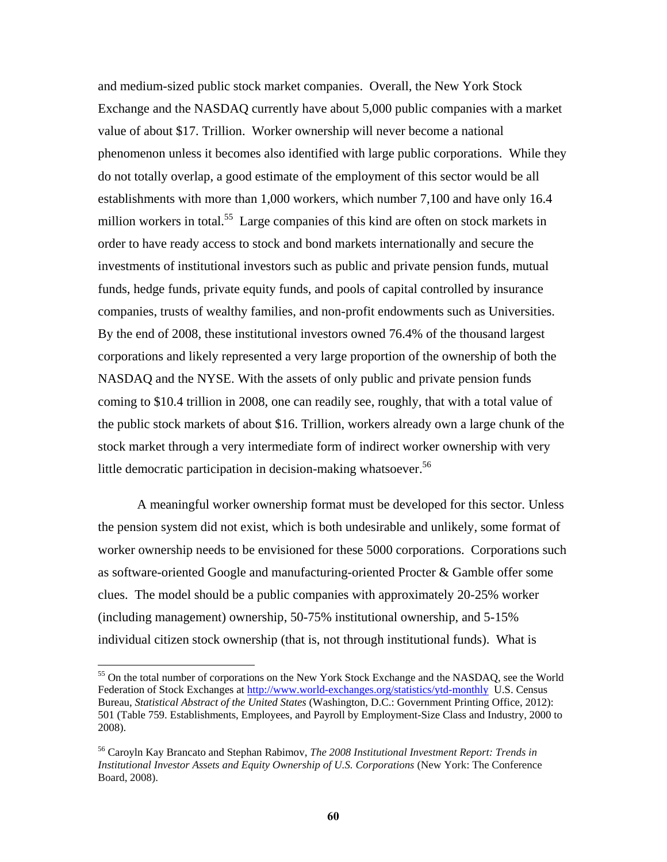and medium-sized public stock market companies. Overall, the New York Stock Exchange and the NASDAQ currently have about 5,000 public companies with a market value of about \$17. Trillion. Worker ownership will never become a national phenomenon unless it becomes also identified with large public corporations. While they do not totally overlap, a good estimate of the employment of this sector would be all establishments with more than 1,000 workers, which number 7,100 and have only 16.4 million workers in total.<sup>55</sup> Large companies of this kind are often on stock markets in order to have ready access to stock and bond markets internationally and secure the investments of institutional investors such as public and private pension funds, mutual funds, hedge funds, private equity funds, and pools of capital controlled by insurance companies, trusts of wealthy families, and non-profit endowments such as Universities. By the end of 2008, these institutional investors owned 76.4% of the thousand largest corporations and likely represented a very large proportion of the ownership of both the NASDAQ and the NYSE. With the assets of only public and private pension funds coming to \$10.4 trillion in 2008, one can readily see, roughly, that with a total value of the public stock markets of about \$16. Trillion, workers already own a large chunk of the stock market through a very intermediate form of indirect worker ownership with very little democratic participation in decision-making whatsoever.<sup>56</sup>

A meaningful worker ownership format must be developed for this sector. Unless the pension system did not exist, which is both undesirable and unlikely, some format of worker ownership needs to be envisioned for these 5000 corporations. Corporations such as software-oriented Google and manufacturing-oriented Procter & Gamble offer some clues. The model should be a public companies with approximately 20-25% worker (including management) ownership, 50-75% institutional ownership, and 5-15% individual citizen stock ownership (that is, not through institutional funds). What is

<sup>&</sup>lt;sup>55</sup> On the total number of corporations on the New York Stock Exchange and the NASDAQ, see the World Federation of Stock Exchanges at<http://www.world-exchanges.org/statistics/ytd-monthly>U.S. Census Bureau, *Statistical Abstract of the United States* (Washington, D.C.: Government Printing Office, 2012): 501 (Table 759. Establishments, Employees, and Payroll by Employment-Size Class and Industry, 2000 to 2008).

<sup>56</sup> Caroyln Kay Brancato and Stephan Rabimov, *The 2008 Institutional Investment Report: Trends in Institutional Investor Assets and Equity Ownership of U.S. Corporations* (New York: The Conference Board, 2008).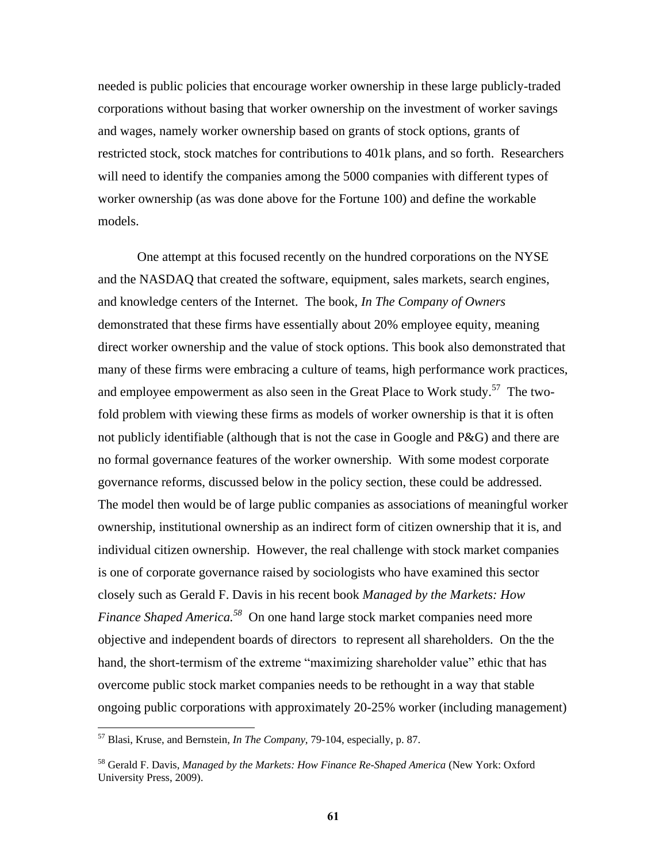needed is public policies that encourage worker ownership in these large publicly-traded corporations without basing that worker ownership on the investment of worker savings and wages, namely worker ownership based on grants of stock options, grants of restricted stock, stock matches for contributions to 401k plans, and so forth. Researchers will need to identify the companies among the 5000 companies with different types of worker ownership (as was done above for the Fortune 100) and define the workable models.

One attempt at this focused recently on the hundred corporations on the NYSE and the NASDAQ that created the software, equipment, sales markets, search engines, and knowledge centers of the Internet. The book, *In The Company of Owners* demonstrated that these firms have essentially about 20% employee equity, meaning direct worker ownership and the value of stock options. This book also demonstrated that many of these firms were embracing a culture of teams, high performance work practices, and employee empowerment as also seen in the Great Place to Work study.<sup>57</sup> The twofold problem with viewing these firms as models of worker ownership is that it is often not publicly identifiable (although that is not the case in Google and  $P\&G$ ) and there are no formal governance features of the worker ownership. With some modest corporate governance reforms, discussed below in the policy section, these could be addressed. The model then would be of large public companies as associations of meaningful worker ownership, institutional ownership as an indirect form of citizen ownership that it is, and individual citizen ownership. However, the real challenge with stock market companies is one of corporate governance raised by sociologists who have examined this sector closely such as Gerald F. Davis in his recent book *Managed by the Markets: How Finance Shaped America.*<sup>58</sup> On one hand large stock market companies need more objective and independent boards of directors to represent all shareholders. On the the hand, the short-termism of the extreme "maximizing shareholder value" ethic that has overcome public stock market companies needs to be rethought in a way that stable ongoing public corporations with approximately 20-25% worker (including management)

<sup>57</sup> Blasi, Kruse, and Bernstein, *In The Company*, 79-104, especially, p. 87.

<sup>58</sup> Gerald F. Davis, *Managed by the Markets: How Finance Re-Shaped America* (New York: Oxford University Press, 2009).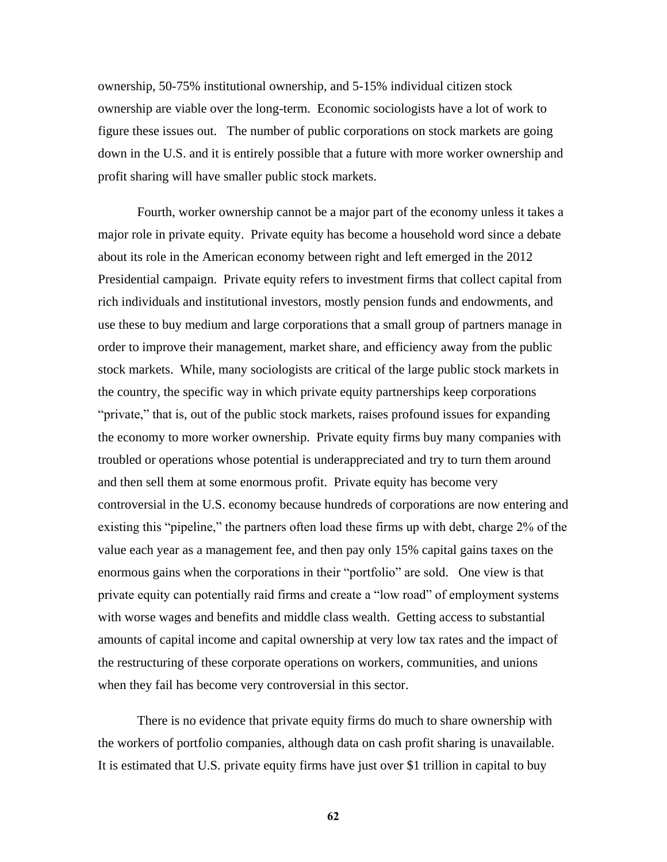ownership, 50-75% institutional ownership, and 5-15% individual citizen stock ownership are viable over the long-term. Economic sociologists have a lot of work to figure these issues out. The number of public corporations on stock markets are going down in the U.S. and it is entirely possible that a future with more worker ownership and profit sharing will have smaller public stock markets.

Fourth, worker ownership cannot be a major part of the economy unless it takes a major role in private equity. Private equity has become a household word since a debate about its role in the American economy between right and left emerged in the 2012 Presidential campaign. Private equity refers to investment firms that collect capital from rich individuals and institutional investors, mostly pension funds and endowments, and use these to buy medium and large corporations that a small group of partners manage in order to improve their management, market share, and efficiency away from the public stock markets. While, many sociologists are critical of the large public stock markets in the country, the specific way in which private equity partnerships keep corporations "private," that is, out of the public stock markets, raises profound issues for expanding the economy to more worker ownership. Private equity firms buy many companies with troubled or operations whose potential is underappreciated and try to turn them around and then sell them at some enormous profit. Private equity has become very controversial in the U.S. economy because hundreds of corporations are now entering and existing this "pipeline," the partners often load these firms up with debt, charge 2% of the value each year as a management fee, and then pay only 15% capital gains taxes on the enormous gains when the corporations in their "portfolio" are sold. One view is that private equity can potentially raid firms and create a "low road" of employment systems with worse wages and benefits and middle class wealth. Getting access to substantial amounts of capital income and capital ownership at very low tax rates and the impact of the restructuring of these corporate operations on workers, communities, and unions when they fail has become very controversial in this sector.

There is no evidence that private equity firms do much to share ownership with the workers of portfolio companies, although data on cash profit sharing is unavailable. It is estimated that U.S. private equity firms have just over \$1 trillion in capital to buy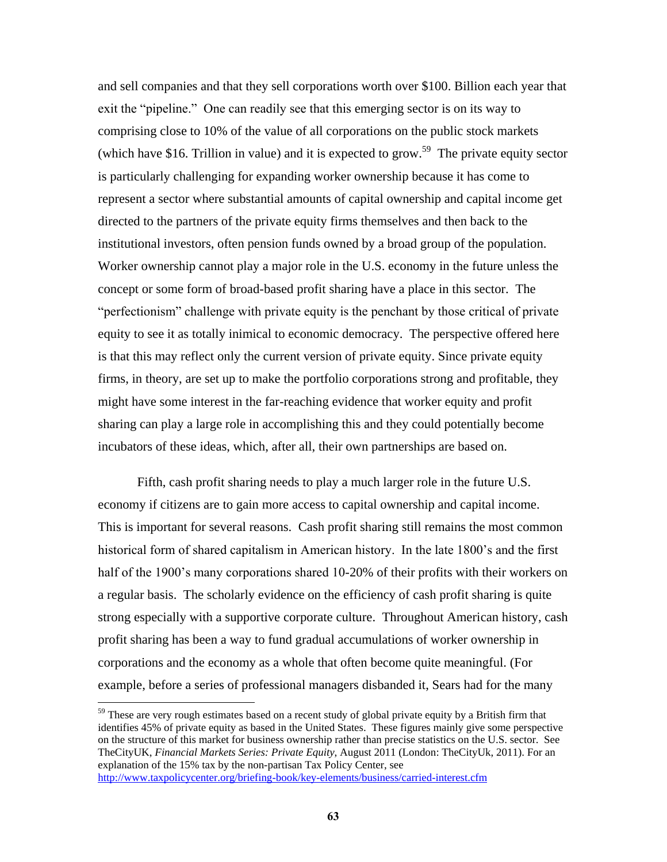and sell companies and that they sell corporations worth over \$100. Billion each year that exit the "pipeline." One can readily see that this emerging sector is on its way to comprising close to 10% of the value of all corporations on the public stock markets (which have \$16. Trillion in value) and it is expected to grow.<sup>59</sup> The private equity sector is particularly challenging for expanding worker ownership because it has come to represent a sector where substantial amounts of capital ownership and capital income get directed to the partners of the private equity firms themselves and then back to the institutional investors, often pension funds owned by a broad group of the population. Worker ownership cannot play a major role in the U.S. economy in the future unless the concept or some form of broad-based profit sharing have a place in this sector. The "perfectionism" challenge with private equity is the penchant by those critical of private equity to see it as totally inimical to economic democracy. The perspective offered here is that this may reflect only the current version of private equity. Since private equity firms, in theory, are set up to make the portfolio corporations strong and profitable, they might have some interest in the far-reaching evidence that worker equity and profit sharing can play a large role in accomplishing this and they could potentially become incubators of these ideas, which, after all, their own partnerships are based on.

Fifth, cash profit sharing needs to play a much larger role in the future U.S. economy if citizens are to gain more access to capital ownership and capital income. This is important for several reasons. Cash profit sharing still remains the most common historical form of shared capitalism in American history. In the late 1800's and the first half of the 1900's many corporations shared 10-20% of their profits with their workers on a regular basis. The scholarly evidence on the efficiency of cash profit sharing is quite strong especially with a supportive corporate culture. Throughout American history, cash profit sharing has been a way to fund gradual accumulations of worker ownership in corporations and the economy as a whole that often become quite meaningful. (For example, before a series of professional managers disbanded it, Sears had for the many

<sup>59</sup> These are very rough estimates based on a recent study of global private equity by a British firm that identifies 45% of private equity as based in the United States. These figures mainly give some perspective on the structure of this market for business ownership rather than precise statistics on the U.S. sector. See TheCityUK, *Financial Markets Series: Private Equity*, August 2011 (London: TheCityUk, 2011). For an explanation of the 15% tax by the non-partisan Tax Policy Center, see <http://www.taxpolicycenter.org/briefing-book/key-elements/business/carried-interest.cfm>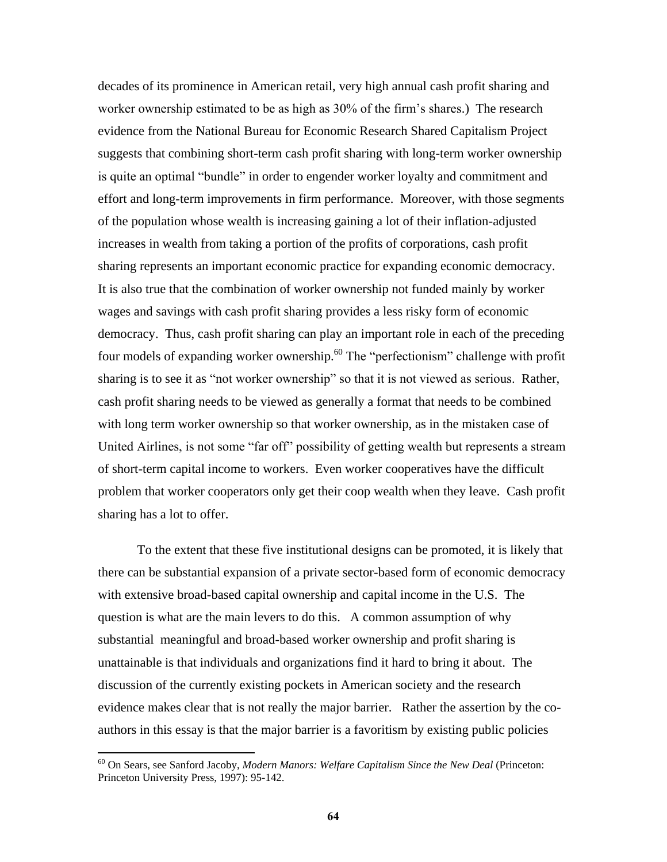decades of its prominence in American retail, very high annual cash profit sharing and worker ownership estimated to be as high as 30% of the firm's shares.) The research evidence from the National Bureau for Economic Research Shared Capitalism Project suggests that combining short-term cash profit sharing with long-term worker ownership is quite an optimal "bundle" in order to engender worker loyalty and commitment and effort and long-term improvements in firm performance. Moreover, with those segments of the population whose wealth is increasing gaining a lot of their inflation-adjusted increases in wealth from taking a portion of the profits of corporations, cash profit sharing represents an important economic practice for expanding economic democracy. It is also true that the combination of worker ownership not funded mainly by worker wages and savings with cash profit sharing provides a less risky form of economic democracy. Thus, cash profit sharing can play an important role in each of the preceding four models of expanding worker ownership.<sup>60</sup> The "perfectionism" challenge with profit sharing is to see it as "not worker ownership" so that it is not viewed as serious. Rather, cash profit sharing needs to be viewed as generally a format that needs to be combined with long term worker ownership so that worker ownership, as in the mistaken case of United Airlines, is not some "far off" possibility of getting wealth but represents a stream of short-term capital income to workers. Even worker cooperatives have the difficult problem that worker cooperators only get their coop wealth when they leave. Cash profit sharing has a lot to offer.

To the extent that these five institutional designs can be promoted, it is likely that there can be substantial expansion of a private sector-based form of economic democracy with extensive broad-based capital ownership and capital income in the U.S. The question is what are the main levers to do this. A common assumption of why substantial meaningful and broad-based worker ownership and profit sharing is unattainable is that individuals and organizations find it hard to bring it about. The discussion of the currently existing pockets in American society and the research evidence makes clear that is not really the major barrier. Rather the assertion by the coauthors in this essay is that the major barrier is a favoritism by existing public policies

<sup>60</sup> On Sears, see Sanford Jacoby, *Modern Manors: Welfare Capitalism Since the New Deal* (Princeton: Princeton University Press, 1997): 95-142.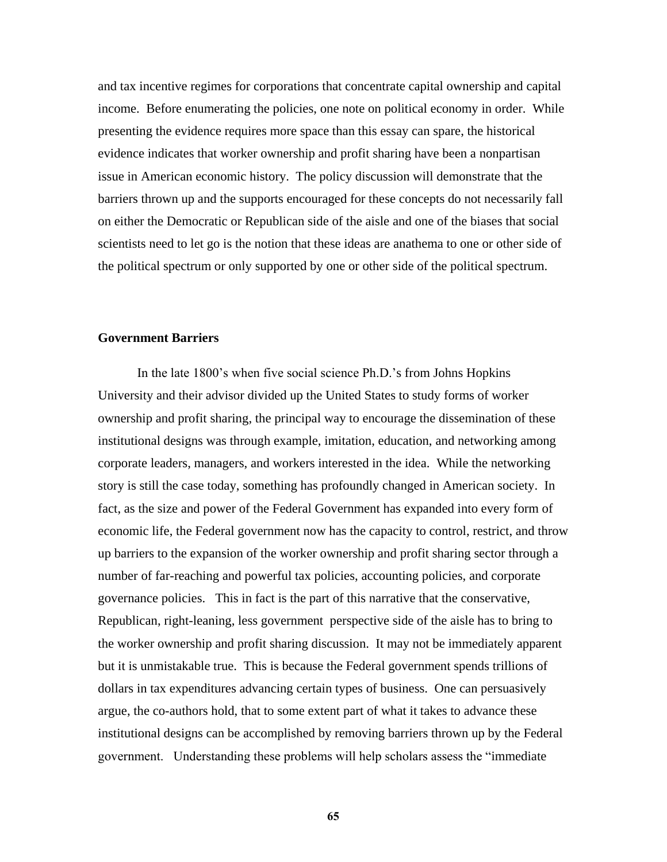and tax incentive regimes for corporations that concentrate capital ownership and capital income. Before enumerating the policies, one note on political economy in order. While presenting the evidence requires more space than this essay can spare, the historical evidence indicates that worker ownership and profit sharing have been a nonpartisan issue in American economic history. The policy discussion will demonstrate that the barriers thrown up and the supports encouraged for these concepts do not necessarily fall on either the Democratic or Republican side of the aisle and one of the biases that social scientists need to let go is the notion that these ideas are anathema to one or other side of the political spectrum or only supported by one or other side of the political spectrum.

### **Government Barriers**

In the late 1800's when five social science Ph.D.'s from Johns Hopkins University and their advisor divided up the United States to study forms of worker ownership and profit sharing, the principal way to encourage the dissemination of these institutional designs was through example, imitation, education, and networking among corporate leaders, managers, and workers interested in the idea. While the networking story is still the case today, something has profoundly changed in American society. In fact, as the size and power of the Federal Government has expanded into every form of economic life, the Federal government now has the capacity to control, restrict, and throw up barriers to the expansion of the worker ownership and profit sharing sector through a number of far-reaching and powerful tax policies, accounting policies, and corporate governance policies. This in fact is the part of this narrative that the conservative, Republican, right-leaning, less government perspective side of the aisle has to bring to the worker ownership and profit sharing discussion. It may not be immediately apparent but it is unmistakable true. This is because the Federal government spends trillions of dollars in tax expenditures advancing certain types of business. One can persuasively argue, the co-authors hold, that to some extent part of what it takes to advance these institutional designs can be accomplished by removing barriers thrown up by the Federal government. Understanding these problems will help scholars assess the "immediate"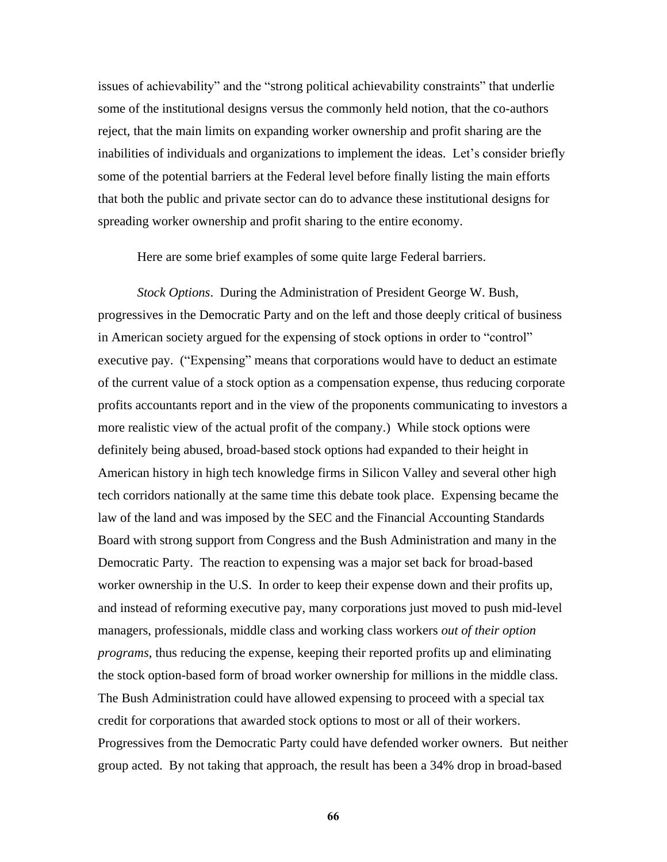issues of achievability" and the "strong political achievability constraints" that underlie some of the institutional designs versus the commonly held notion, that the co-authors reject, that the main limits on expanding worker ownership and profit sharing are the inabilities of individuals and organizations to implement the ideas. Let's consider briefly some of the potential barriers at the Federal level before finally listing the main efforts that both the public and private sector can do to advance these institutional designs for spreading worker ownership and profit sharing to the entire economy.

Here are some brief examples of some quite large Federal barriers.

*Stock Options*. During the Administration of President George W. Bush, progressives in the Democratic Party and on the left and those deeply critical of business in American society argued for the expensing of stock options in order to "control" executive pay. ("Expensing" means that corporations would have to deduct an estimate of the current value of a stock option as a compensation expense, thus reducing corporate profits accountants report and in the view of the proponents communicating to investors a more realistic view of the actual profit of the company.) While stock options were definitely being abused, broad-based stock options had expanded to their height in American history in high tech knowledge firms in Silicon Valley and several other high tech corridors nationally at the same time this debate took place. Expensing became the law of the land and was imposed by the SEC and the Financial Accounting Standards Board with strong support from Congress and the Bush Administration and many in the Democratic Party. The reaction to expensing was a major set back for broad-based worker ownership in the U.S. In order to keep their expense down and their profits up, and instead of reforming executive pay, many corporations just moved to push mid-level managers, professionals, middle class and working class workers *out of their option programs*, thus reducing the expense, keeping their reported profits up and eliminating the stock option-based form of broad worker ownership for millions in the middle class. The Bush Administration could have allowed expensing to proceed with a special tax credit for corporations that awarded stock options to most or all of their workers. Progressives from the Democratic Party could have defended worker owners. But neither group acted. By not taking that approach, the result has been a 34% drop in broad-based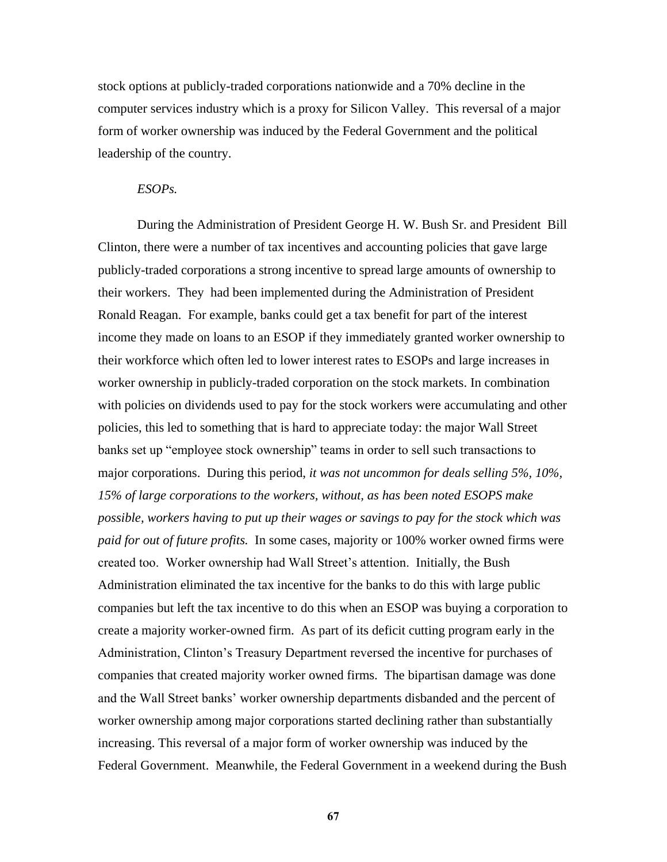stock options at publicly-traded corporations nationwide and a 70% decline in the computer services industry which is a proxy for Silicon Valley. This reversal of a major form of worker ownership was induced by the Federal Government and the political leadership of the country.

### *ESOPs.*

During the Administration of President George H. W. Bush Sr. and President Bill Clinton, there were a number of tax incentives and accounting policies that gave large publicly-traded corporations a strong incentive to spread large amounts of ownership to their workers. They had been implemented during the Administration of President Ronald Reagan. For example, banks could get a tax benefit for part of the interest income they made on loans to an ESOP if they immediately granted worker ownership to their workforce which often led to lower interest rates to ESOPs and large increases in worker ownership in publicly-traded corporation on the stock markets. In combination with policies on dividends used to pay for the stock workers were accumulating and other policies, this led to something that is hard to appreciate today: the major Wall Street banks set up "employee stock ownership" teams in order to sell such transactions to major corporations. During this period, *it was not uncommon for deals selling 5%, 10%, 15% of large corporations to the workers, without, as has been noted ESOPS make possible, workers having to put up their wages or savings to pay for the stock which was paid for out of future profits.* In some cases, majority or 100% worker owned firms were created too. Worker ownership had Wall Street's attention. Initially, the Bush Administration eliminated the tax incentive for the banks to do this with large public companies but left the tax incentive to do this when an ESOP was buying a corporation to create a majority worker-owned firm. As part of its deficit cutting program early in the Administration, Clinton's Treasury Department reversed the incentive for purchases of companies that created majority worker owned firms. The bipartisan damage was done and the Wall Street banks' worker ownership departments disbanded and the percent of worker ownership among major corporations started declining rather than substantially increasing. This reversal of a major form of worker ownership was induced by the Federal Government. Meanwhile, the Federal Government in a weekend during the Bush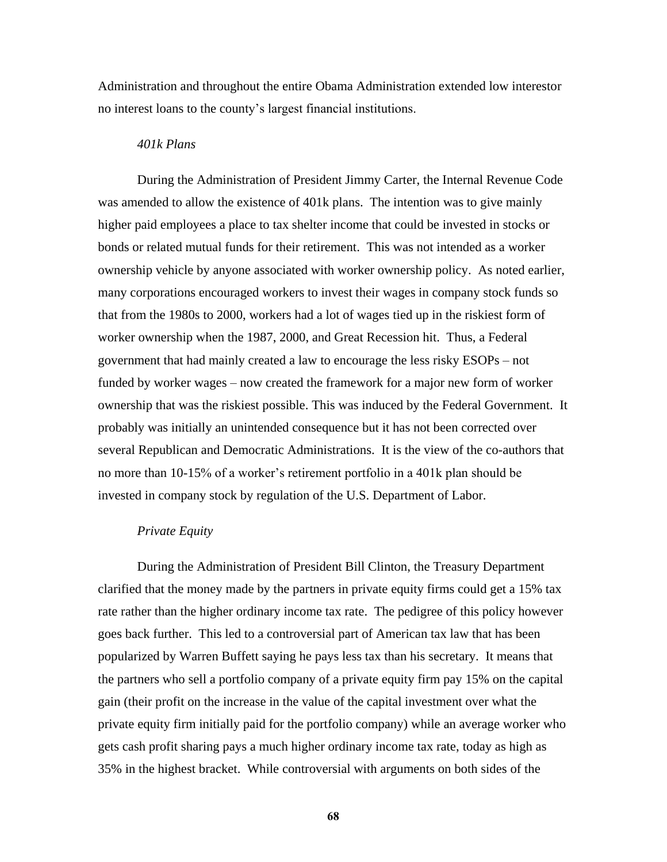Administration and throughout the entire Obama Administration extended low interestor no interest loans to the county's largest financial institutions.

## *401k Plans*

During the Administration of President Jimmy Carter, the Internal Revenue Code was amended to allow the existence of 401k plans. The intention was to give mainly higher paid employees a place to tax shelter income that could be invested in stocks or bonds or related mutual funds for their retirement. This was not intended as a worker ownership vehicle by anyone associated with worker ownership policy. As noted earlier, many corporations encouraged workers to invest their wages in company stock funds so that from the 1980s to 2000, workers had a lot of wages tied up in the riskiest form of worker ownership when the 1987, 2000, and Great Recession hit. Thus, a Federal government that had mainly created a law to encourage the less risky ESOPs – not funded by worker wages – now created the framework for a major new form of worker ownership that was the riskiest possible. This was induced by the Federal Government. It probably was initially an unintended consequence but it has not been corrected over several Republican and Democratic Administrations. It is the view of the co-authors that no more than 10-15% of a worker's retirement portfolio in a 401k plan should be invested in company stock by regulation of the U.S. Department of Labor.

#### *Private Equity*

During the Administration of President Bill Clinton, the Treasury Department clarified that the money made by the partners in private equity firms could get a 15% tax rate rather than the higher ordinary income tax rate. The pedigree of this policy however goes back further. This led to a controversial part of American tax law that has been popularized by Warren Buffett saying he pays less tax than his secretary. It means that the partners who sell a portfolio company of a private equity firm pay 15% on the capital gain (their profit on the increase in the value of the capital investment over what the private equity firm initially paid for the portfolio company) while an average worker who gets cash profit sharing pays a much higher ordinary income tax rate, today as high as 35% in the highest bracket. While controversial with arguments on both sides of the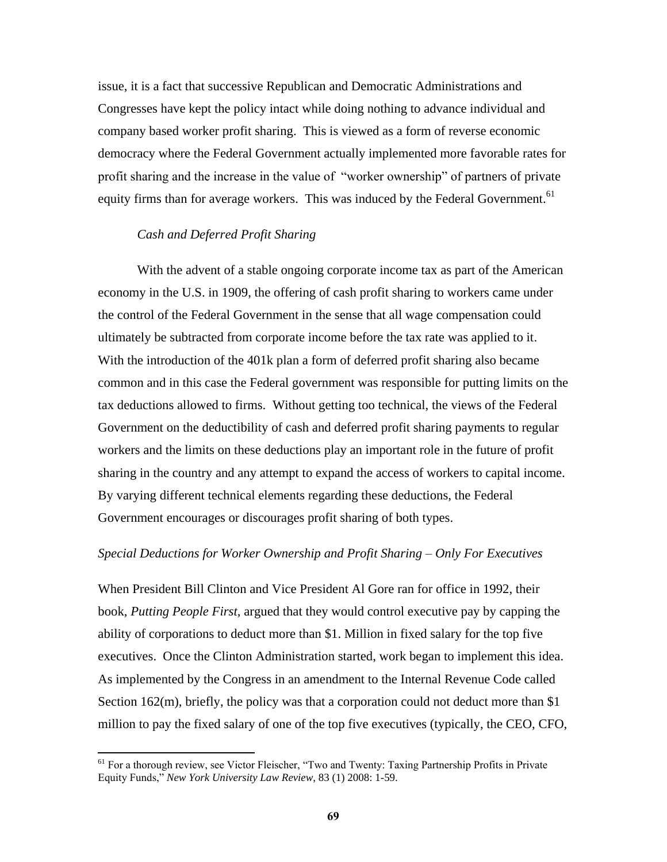issue, it is a fact that successive Republican and Democratic Administrations and Congresses have kept the policy intact while doing nothing to advance individual and company based worker profit sharing. This is viewed as a form of reverse economic democracy where the Federal Government actually implemented more favorable rates for profit sharing and the increase in the value of "worker ownership" of partners of private equity firms than for average workers. This was induced by the Federal Government.<sup>61</sup>

# *Cash and Deferred Profit Sharing*

With the advent of a stable ongoing corporate income tax as part of the American economy in the U.S. in 1909, the offering of cash profit sharing to workers came under the control of the Federal Government in the sense that all wage compensation could ultimately be subtracted from corporate income before the tax rate was applied to it. With the introduction of the 401k plan a form of deferred profit sharing also became common and in this case the Federal government was responsible for putting limits on the tax deductions allowed to firms. Without getting too technical, the views of the Federal Government on the deductibility of cash and deferred profit sharing payments to regular workers and the limits on these deductions play an important role in the future of profit sharing in the country and any attempt to expand the access of workers to capital income. By varying different technical elements regarding these deductions, the Federal Government encourages or discourages profit sharing of both types.

### *Special Deductions for Worker Ownership and Profit Sharing – Only For Executives*

When President Bill Clinton and Vice President Al Gore ran for office in 1992, their book, *Putting People First*, argued that they would control executive pay by capping the ability of corporations to deduct more than \$1. Million in fixed salary for the top five executives. Once the Clinton Administration started, work began to implement this idea. As implemented by the Congress in an amendment to the Internal Revenue Code called Section 162(m), briefly, the policy was that a corporation could not deduct more than \$1 million to pay the fixed salary of one of the top five executives (typically, the CEO, CFO,

<sup>&</sup>lt;sup>61</sup> For a thorough review, see Victor Fleischer, "Two and Twenty: Taxing Partnership Profits in Private Equity Funds," New York University Law Review, 83 (1) 2008: 1-59.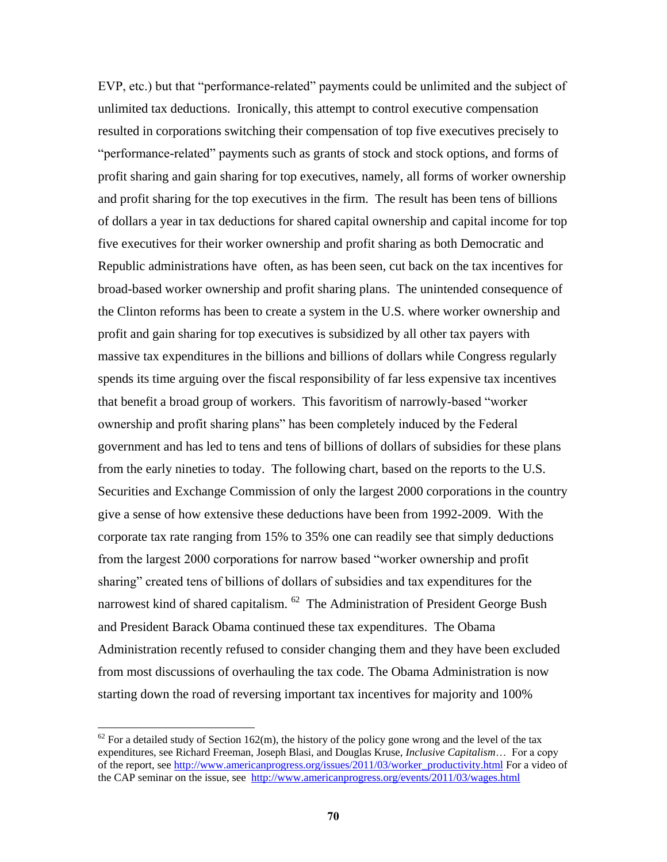EVP, etc.) but that "performance-related" payments could be unlimited and the subject of unlimited tax deductions. Ironically, this attempt to control executive compensation resulted in corporations switching their compensation of top five executives precisely to ―performance-related‖ payments such as grants of stock and stock options, and forms of profit sharing and gain sharing for top executives, namely, all forms of worker ownership and profit sharing for the top executives in the firm. The result has been tens of billions of dollars a year in tax deductions for shared capital ownership and capital income for top five executives for their worker ownership and profit sharing as both Democratic and Republic administrations have often, as has been seen, cut back on the tax incentives for broad-based worker ownership and profit sharing plans. The unintended consequence of the Clinton reforms has been to create a system in the U.S. where worker ownership and profit and gain sharing for top executives is subsidized by all other tax payers with massive tax expenditures in the billions and billions of dollars while Congress regularly spends its time arguing over the fiscal responsibility of far less expensive tax incentives that benefit a broad group of workers. This favoritism of narrowly-based "worker" ownership and profit sharing plans" has been completely induced by the Federal government and has led to tens and tens of billions of dollars of subsidies for these plans from the early nineties to today. The following chart, based on the reports to the U.S. Securities and Exchange Commission of only the largest 2000 corporations in the country give a sense of how extensive these deductions have been from 1992-2009. With the corporate tax rate ranging from 15% to 35% one can readily see that simply deductions from the largest 2000 corporations for narrow based "worker ownership and profit sharing" created tens of billions of dollars of subsidies and tax expenditures for the narrowest kind of shared capitalism. <sup>62</sup> The Administration of President George Bush and President Barack Obama continued these tax expenditures. The Obama Administration recently refused to consider changing them and they have been excluded from most discussions of overhauling the tax code. The Obama Administration is now starting down the road of reversing important tax incentives for majority and 100%

 $62$  For a detailed study of Section 162(m), the history of the policy gone wrong and the level of the tax expenditures, see Richard Freeman, Joseph Blasi, and Douglas Kruse, *Inclusive Capitalism*… For a copy of the report, se[e http://www.americanprogress.org/issues/2011/03/worker\\_productivity.html](http://www.americanprogress.org/issues/2011/03/worker_productivity.html) For a video of the CAP seminar on the issue, see <http://www.americanprogress.org/events/2011/03/wages.html>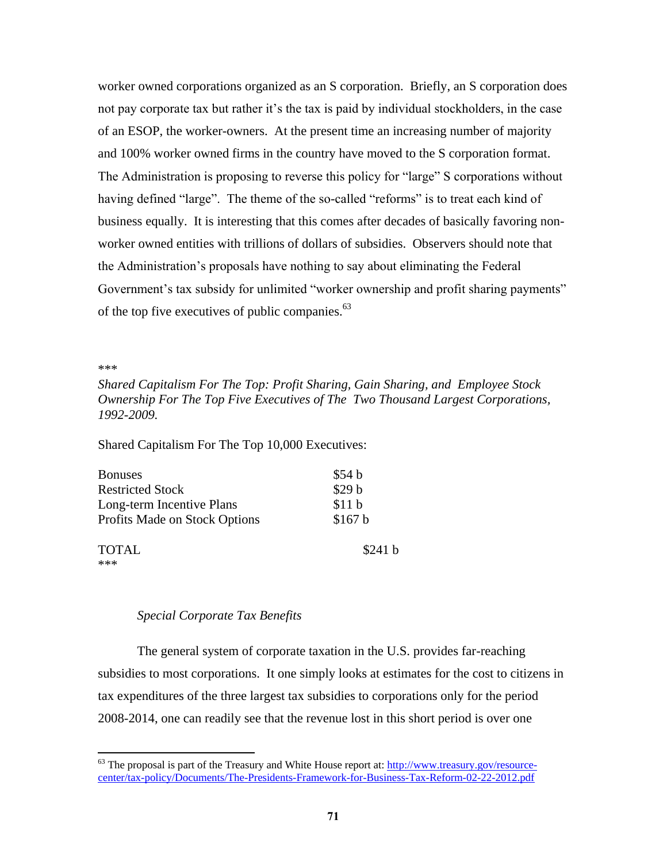worker owned corporations organized as an S corporation. Briefly, an S corporation does not pay corporate tax but rather it's the tax is paid by individual stockholders, in the case of an ESOP, the worker-owners. At the present time an increasing number of majority and 100% worker owned firms in the country have moved to the S corporation format. The Administration is proposing to reverse this policy for "large" S corporations without having defined "large". The theme of the so-called "reforms" is to treat each kind of business equally. It is interesting that this comes after decades of basically favoring nonworker owned entities with trillions of dollars of subsidies. Observers should note that the Administration's proposals have nothing to say about eliminating the Federal Government's tax subsidy for unlimited "worker ownership and profit sharing payments" of the top five executives of public companies.<sup>63</sup>

\*\*\*

 $\overline{a}$ 

*Shared Capitalism For The Top: Profit Sharing, Gain Sharing, and Employee Stock Ownership For The Top Five Executives of The Two Thousand Largest Corporations, 1992-2009.*

Shared Capitalism For The Top 10,000 Executives:

| <b>Bonuses</b>                | \$54 b  |
|-------------------------------|---------|
| <b>Restricted Stock</b>       | \$29 b  |
| Long-term Incentive Plans     | \$11 b  |
| Profits Made on Stock Options | \$167 b |
| <b>TOTAL</b><br>***           | \$241 b |

## *Special Corporate Tax Benefits*

The general system of corporate taxation in the U.S. provides far-reaching subsidies to most corporations. It one simply looks at estimates for the cost to citizens in tax expenditures of the three largest tax subsidies to corporations only for the period 2008-2014, one can readily see that the revenue lost in this short period is over one

 $63$  The proposal is part of the Treasury and White House report at:  $\frac{http://www.treasury.gov/resource-}$ [center/tax-policy/Documents/The-Presidents-Framework-for-Business-Tax-Reform-02-22-2012.pdf](http://www.treasury.gov/resource-center/tax-policy/Documents/The-Presidents-Framework-for-Business-Tax-Reform-02-22-2012.pdf)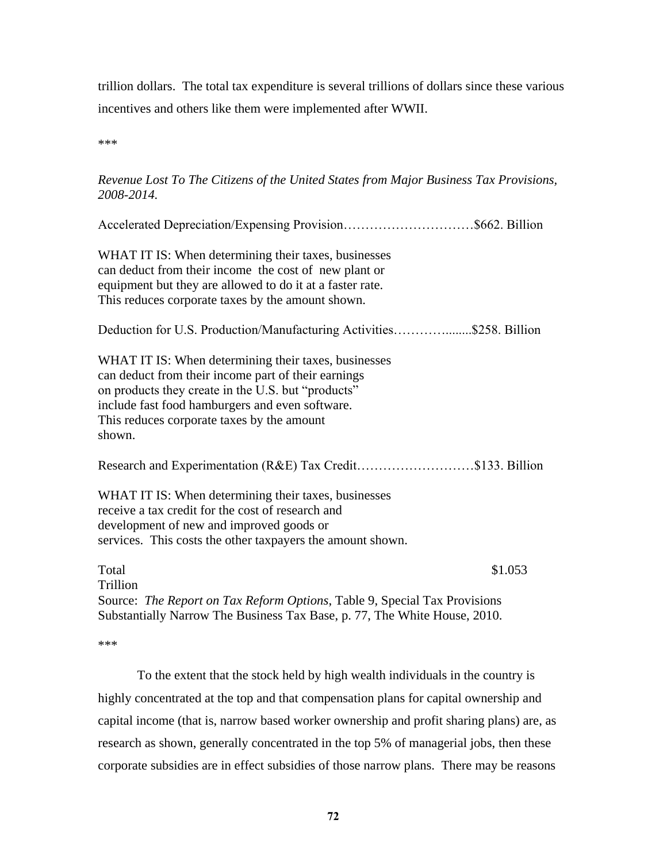trillion dollars. The total tax expenditure is several trillions of dollars since these various incentives and others like them were implemented after WWII.

\*\*\*

# *Revenue Lost To The Citizens of the United States from Major Business Tax Provisions, 2008-2014.*

| Accelerated Depreciation/Expensing Provision\$662. Billion                                                                                                                                                                                                                   |
|------------------------------------------------------------------------------------------------------------------------------------------------------------------------------------------------------------------------------------------------------------------------------|
| WHAT IT IS: When determining their taxes, businesses<br>can deduct from their income the cost of new plant or<br>equipment but they are allowed to do it at a faster rate.<br>This reduces corporate taxes by the amount shown.                                              |
| Deduction for U.S. Production/Manufacturing Activities\$258. Billion                                                                                                                                                                                                         |
| WHAT IT IS: When determining their taxes, businesses<br>can deduct from their income part of their earnings<br>on products they create in the U.S. but "products"<br>include fast food hamburgers and even software.<br>This reduces corporate taxes by the amount<br>shown. |
| Research and Experimentation (R&E) Tax Credit\$133. Billion                                                                                                                                                                                                                  |
| WHAT IT IS: When determining their taxes, businesses<br>receive a tax credit for the cost of research and<br>development of new and improved goods or<br>services. This costs the other taxpayers the amount shown.                                                          |
| Total<br>\$1.053<br>Trillion                                                                                                                                                                                                                                                 |
| Source: The Report on Tax Reform Options, Table 9, Special Tax Provisions<br>Substantially Narrow The Business Tax Base, p. 77, The White House, 2010.                                                                                                                       |

\*\*\*

To the extent that the stock held by high wealth individuals in the country is highly concentrated at the top and that compensation plans for capital ownership and capital income (that is, narrow based worker ownership and profit sharing plans) are, as research as shown, generally concentrated in the top 5% of managerial jobs, then these corporate subsidies are in effect subsidies of those narrow plans. There may be reasons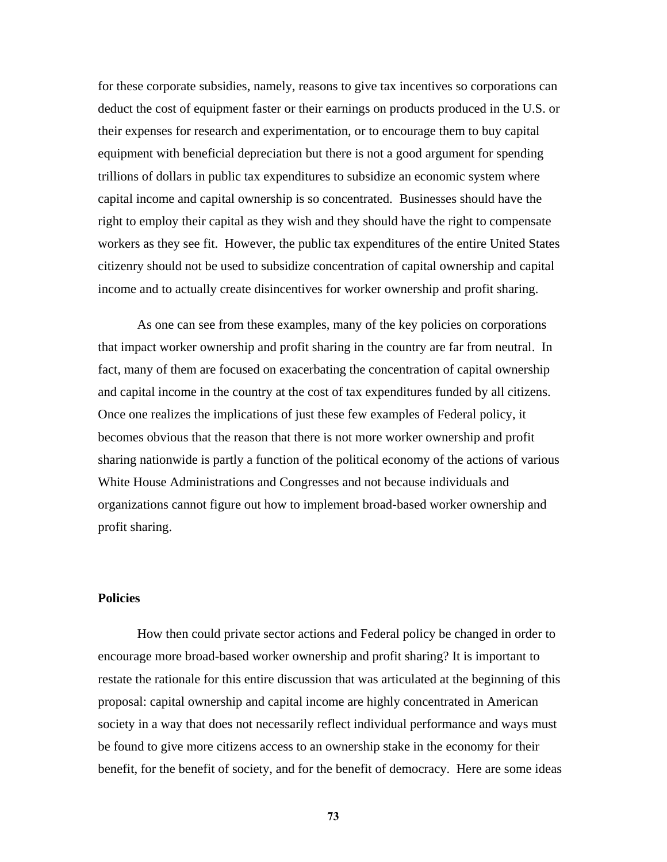for these corporate subsidies, namely, reasons to give tax incentives so corporations can deduct the cost of equipment faster or their earnings on products produced in the U.S. or their expenses for research and experimentation, or to encourage them to buy capital equipment with beneficial depreciation but there is not a good argument for spending trillions of dollars in public tax expenditures to subsidize an economic system where capital income and capital ownership is so concentrated. Businesses should have the right to employ their capital as they wish and they should have the right to compensate workers as they see fit. However, the public tax expenditures of the entire United States citizenry should not be used to subsidize concentration of capital ownership and capital income and to actually create disincentives for worker ownership and profit sharing.

As one can see from these examples, many of the key policies on corporations that impact worker ownership and profit sharing in the country are far from neutral. In fact, many of them are focused on exacerbating the concentration of capital ownership and capital income in the country at the cost of tax expenditures funded by all citizens. Once one realizes the implications of just these few examples of Federal policy, it becomes obvious that the reason that there is not more worker ownership and profit sharing nationwide is partly a function of the political economy of the actions of various White House Administrations and Congresses and not because individuals and organizations cannot figure out how to implement broad-based worker ownership and profit sharing.

## **Policies**

How then could private sector actions and Federal policy be changed in order to encourage more broad-based worker ownership and profit sharing? It is important to restate the rationale for this entire discussion that was articulated at the beginning of this proposal: capital ownership and capital income are highly concentrated in American society in a way that does not necessarily reflect individual performance and ways must be found to give more citizens access to an ownership stake in the economy for their benefit, for the benefit of society, and for the benefit of democracy. Here are some ideas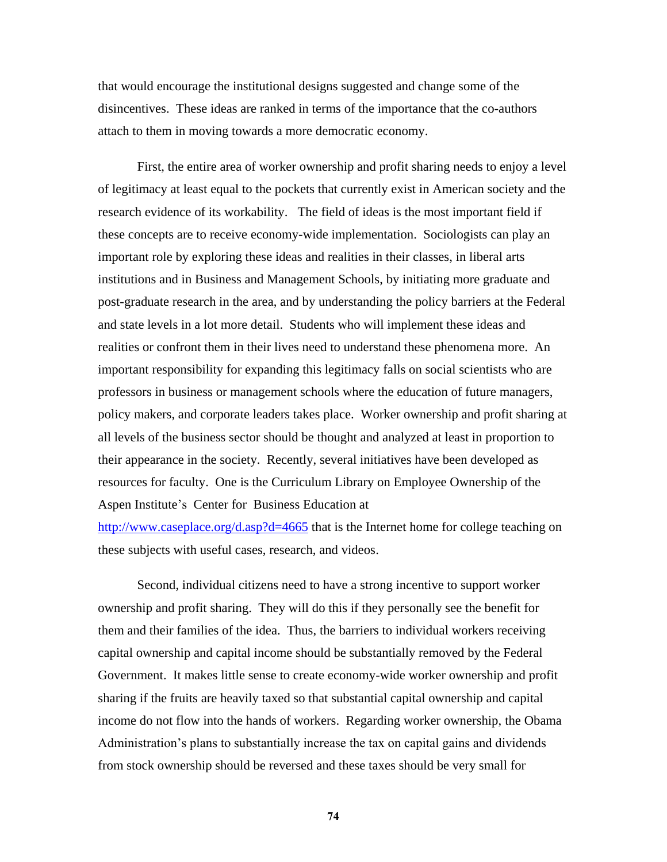that would encourage the institutional designs suggested and change some of the disincentives. These ideas are ranked in terms of the importance that the co-authors attach to them in moving towards a more democratic economy.

First, the entire area of worker ownership and profit sharing needs to enjoy a level of legitimacy at least equal to the pockets that currently exist in American society and the research evidence of its workability. The field of ideas is the most important field if these concepts are to receive economy-wide implementation. Sociologists can play an important role by exploring these ideas and realities in their classes, in liberal arts institutions and in Business and Management Schools, by initiating more graduate and post-graduate research in the area, and by understanding the policy barriers at the Federal and state levels in a lot more detail. Students who will implement these ideas and realities or confront them in their lives need to understand these phenomena more. An important responsibility for expanding this legitimacy falls on social scientists who are professors in business or management schools where the education of future managers, policy makers, and corporate leaders takes place. Worker ownership and profit sharing at all levels of the business sector should be thought and analyzed at least in proportion to their appearance in the society. Recently, several initiatives have been developed as resources for faculty. One is the Curriculum Library on Employee Ownership of the Aspen Institute's Center for Business Education at

<http://www.caseplace.org/d.asp?d=4665> that is the Internet home for college teaching on these subjects with useful cases, research, and videos.

Second, individual citizens need to have a strong incentive to support worker ownership and profit sharing. They will do this if they personally see the benefit for them and their families of the idea. Thus, the barriers to individual workers receiving capital ownership and capital income should be substantially removed by the Federal Government. It makes little sense to create economy-wide worker ownership and profit sharing if the fruits are heavily taxed so that substantial capital ownership and capital income do not flow into the hands of workers. Regarding worker ownership, the Obama Administration's plans to substantially increase the tax on capital gains and dividends from stock ownership should be reversed and these taxes should be very small for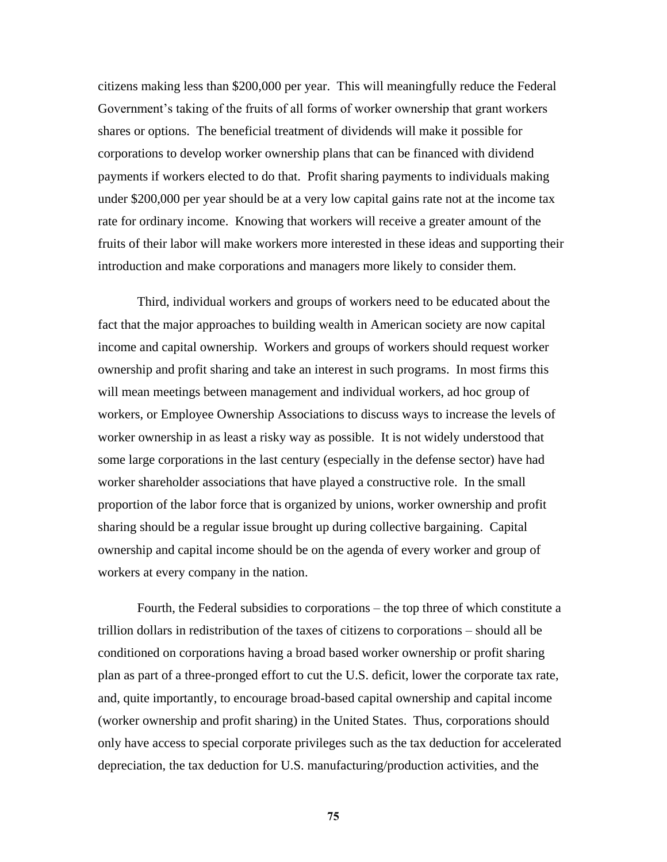citizens making less than \$200,000 per year. This will meaningfully reduce the Federal Government's taking of the fruits of all forms of worker ownership that grant workers shares or options. The beneficial treatment of dividends will make it possible for corporations to develop worker ownership plans that can be financed with dividend payments if workers elected to do that. Profit sharing payments to individuals making under \$200,000 per year should be at a very low capital gains rate not at the income tax rate for ordinary income. Knowing that workers will receive a greater amount of the fruits of their labor will make workers more interested in these ideas and supporting their introduction and make corporations and managers more likely to consider them.

Third, individual workers and groups of workers need to be educated about the fact that the major approaches to building wealth in American society are now capital income and capital ownership. Workers and groups of workers should request worker ownership and profit sharing and take an interest in such programs. In most firms this will mean meetings between management and individual workers, ad hoc group of workers, or Employee Ownership Associations to discuss ways to increase the levels of worker ownership in as least a risky way as possible. It is not widely understood that some large corporations in the last century (especially in the defense sector) have had worker shareholder associations that have played a constructive role. In the small proportion of the labor force that is organized by unions, worker ownership and profit sharing should be a regular issue brought up during collective bargaining. Capital ownership and capital income should be on the agenda of every worker and group of workers at every company in the nation.

Fourth, the Federal subsidies to corporations – the top three of which constitute a trillion dollars in redistribution of the taxes of citizens to corporations – should all be conditioned on corporations having a broad based worker ownership or profit sharing plan as part of a three-pronged effort to cut the U.S. deficit, lower the corporate tax rate, and, quite importantly, to encourage broad-based capital ownership and capital income (worker ownership and profit sharing) in the United States. Thus, corporations should only have access to special corporate privileges such as the tax deduction for accelerated depreciation, the tax deduction for U.S. manufacturing/production activities, and the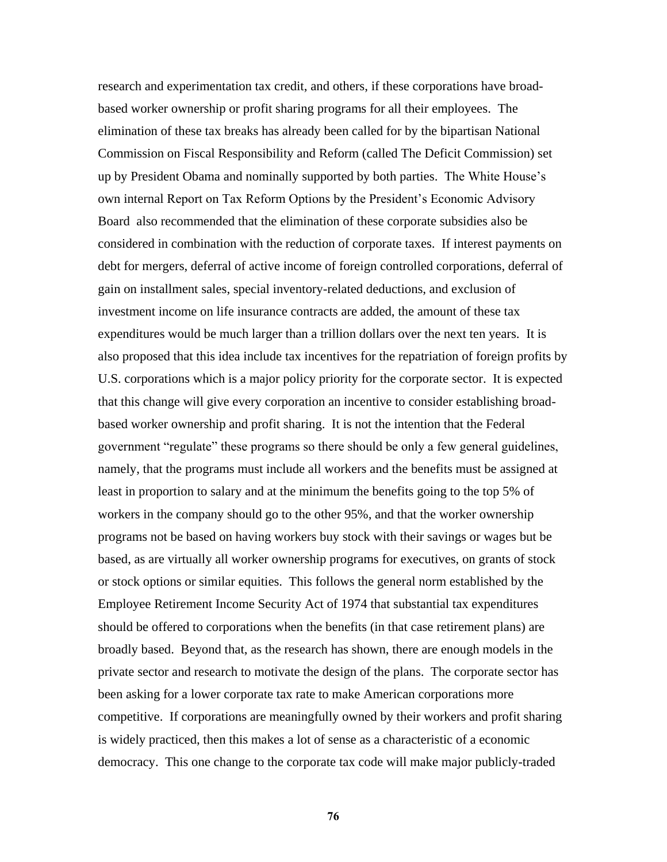research and experimentation tax credit, and others, if these corporations have broadbased worker ownership or profit sharing programs for all their employees. The elimination of these tax breaks has already been called for by the bipartisan National Commission on Fiscal Responsibility and Reform (called The Deficit Commission) set up by President Obama and nominally supported by both parties. The White House's own internal Report on Tax Reform Options by the President's Economic Advisory Board also recommended that the elimination of these corporate subsidies also be considered in combination with the reduction of corporate taxes. If interest payments on debt for mergers, deferral of active income of foreign controlled corporations, deferral of gain on installment sales, special inventory-related deductions, and exclusion of investment income on life insurance contracts are added, the amount of these tax expenditures would be much larger than a trillion dollars over the next ten years. It is also proposed that this idea include tax incentives for the repatriation of foreign profits by U.S. corporations which is a major policy priority for the corporate sector. It is expected that this change will give every corporation an incentive to consider establishing broadbased worker ownership and profit sharing. It is not the intention that the Federal government "regulate" these programs so there should be only a few general guidelines, namely, that the programs must include all workers and the benefits must be assigned at least in proportion to salary and at the minimum the benefits going to the top 5% of workers in the company should go to the other 95%, and that the worker ownership programs not be based on having workers buy stock with their savings or wages but be based, as are virtually all worker ownership programs for executives, on grants of stock or stock options or similar equities. This follows the general norm established by the Employee Retirement Income Security Act of 1974 that substantial tax expenditures should be offered to corporations when the benefits (in that case retirement plans) are broadly based. Beyond that, as the research has shown, there are enough models in the private sector and research to motivate the design of the plans. The corporate sector has been asking for a lower corporate tax rate to make American corporations more competitive. If corporations are meaningfully owned by their workers and profit sharing is widely practiced, then this makes a lot of sense as a characteristic of a economic democracy. This one change to the corporate tax code will make major publicly-traded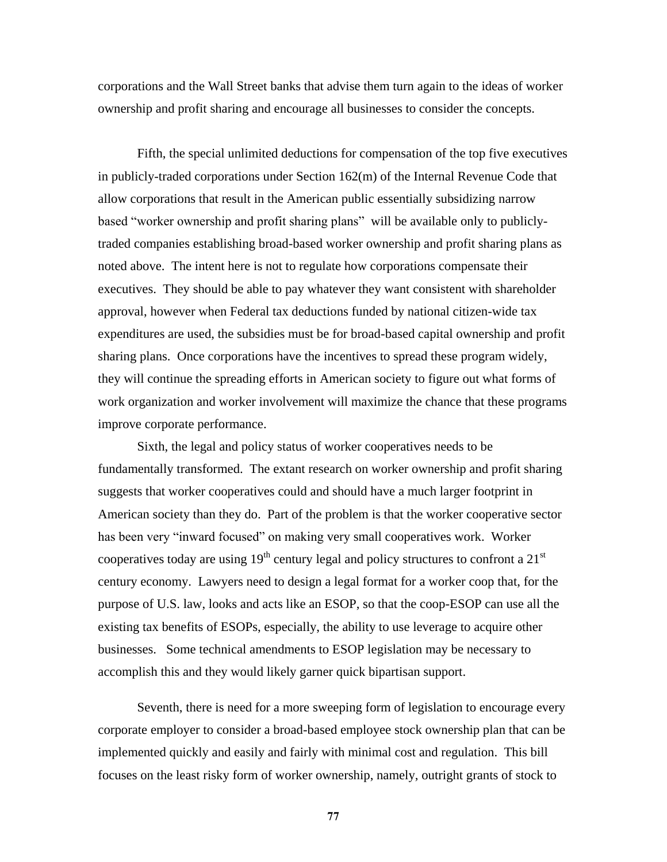corporations and the Wall Street banks that advise them turn again to the ideas of worker ownership and profit sharing and encourage all businesses to consider the concepts.

Fifth, the special unlimited deductions for compensation of the top five executives in publicly-traded corporations under Section 162(m) of the Internal Revenue Code that allow corporations that result in the American public essentially subsidizing narrow based "worker ownership and profit sharing plans" will be available only to publiclytraded companies establishing broad-based worker ownership and profit sharing plans as noted above. The intent here is not to regulate how corporations compensate their executives. They should be able to pay whatever they want consistent with shareholder approval, however when Federal tax deductions funded by national citizen-wide tax expenditures are used, the subsidies must be for broad-based capital ownership and profit sharing plans. Once corporations have the incentives to spread these program widely, they will continue the spreading efforts in American society to figure out what forms of work organization and worker involvement will maximize the chance that these programs improve corporate performance.

Sixth, the legal and policy status of worker cooperatives needs to be fundamentally transformed. The extant research on worker ownership and profit sharing suggests that worker cooperatives could and should have a much larger footprint in American society than they do. Part of the problem is that the worker cooperative sector has been very "inward focused" on making very small cooperatives work. Worker cooperatives today are using  $19<sup>th</sup>$  century legal and policy structures to confront a  $21<sup>st</sup>$ century economy. Lawyers need to design a legal format for a worker coop that, for the purpose of U.S. law, looks and acts like an ESOP, so that the coop-ESOP can use all the existing tax benefits of ESOPs, especially, the ability to use leverage to acquire other businesses. Some technical amendments to ESOP legislation may be necessary to accomplish this and they would likely garner quick bipartisan support.

Seventh, there is need for a more sweeping form of legislation to encourage every corporate employer to consider a broad-based employee stock ownership plan that can be implemented quickly and easily and fairly with minimal cost and regulation. This bill focuses on the least risky form of worker ownership, namely, outright grants of stock to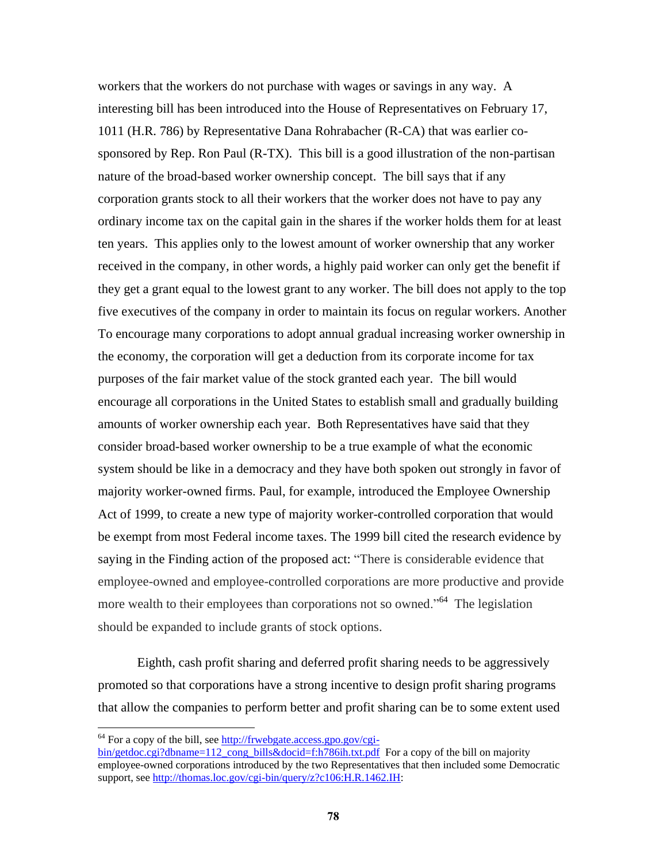workers that the workers do not purchase with wages or savings in any way. A interesting bill has been introduced into the House of Representatives on February 17, 1011 (H.R. 786) by Representative Dana Rohrabacher (R-CA) that was earlier cosponsored by Rep. Ron Paul (R-TX). This bill is a good illustration of the non-partisan nature of the broad-based worker ownership concept. The bill says that if any corporation grants stock to all their workers that the worker does not have to pay any ordinary income tax on the capital gain in the shares if the worker holds them for at least ten years. This applies only to the lowest amount of worker ownership that any worker received in the company, in other words, a highly paid worker can only get the benefit if they get a grant equal to the lowest grant to any worker. The bill does not apply to the top five executives of the company in order to maintain its focus on regular workers. Another To encourage many corporations to adopt annual gradual increasing worker ownership in the economy, the corporation will get a deduction from its corporate income for tax purposes of the fair market value of the stock granted each year. The bill would encourage all corporations in the United States to establish small and gradually building amounts of worker ownership each year. Both Representatives have said that they consider broad-based worker ownership to be a true example of what the economic system should be like in a democracy and they have both spoken out strongly in favor of majority worker-owned firms. Paul, for example, introduced the Employee Ownership Act of 1999, to create a new type of majority worker-controlled corporation that would be exempt from most Federal income taxes. The 1999 bill cited the research evidence by saying in the Finding action of the proposed act: "There is considerable evidence that employee-owned and employee-controlled corporations are more productive and provide more wealth to their employees than corporations not so owned."<sup>64</sup> The legislation should be expanded to include grants of stock options.

Eighth, cash profit sharing and deferred profit sharing needs to be aggressively promoted so that corporations have a strong incentive to design profit sharing programs that allow the companies to perform better and profit sharing can be to some extent used

 $\overline{a}$ 

[bin/getdoc.cgi?dbname=112\\_cong\\_bills&docid=f:h786ih.txt.pdf](http://frwebgate.access.gpo.gov/cgi-bin/getdoc.cgi?dbname=112_cong_bills&docid=f:h786ih.txt.pdf) For a copy of the bill on majority employee-owned corporations introduced by the two Representatives that then included some Democratic support, see [http://thomas.loc.gov/cgi-bin/query/z?c106:H.R.1462.IH:](http://thomas.loc.gov/cgi-bin/query/z?c106:H.R.1462.IH)

 $64$  For a copy of the bill, see [http://frwebgate.access.gpo.gov/cgi-](http://frwebgate.access.gpo.gov/cgi-bin/getdoc.cgi?dbname=112_cong_bills&docid=f:h786ih.txt.pdf)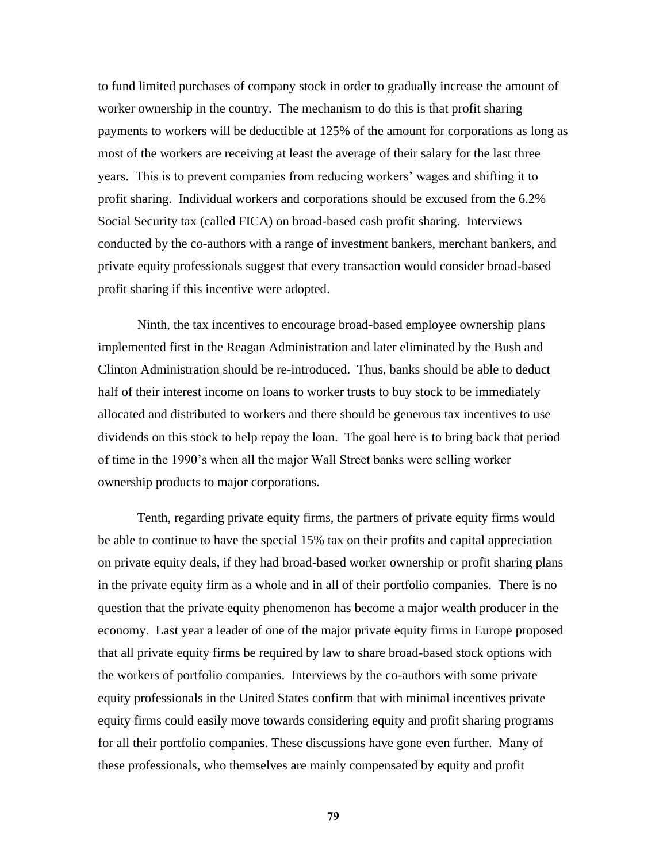to fund limited purchases of company stock in order to gradually increase the amount of worker ownership in the country. The mechanism to do this is that profit sharing payments to workers will be deductible at 125% of the amount for corporations as long as most of the workers are receiving at least the average of their salary for the last three years. This is to prevent companies from reducing workers' wages and shifting it to profit sharing. Individual workers and corporations should be excused from the 6.2% Social Security tax (called FICA) on broad-based cash profit sharing. Interviews conducted by the co-authors with a range of investment bankers, merchant bankers, and private equity professionals suggest that every transaction would consider broad-based profit sharing if this incentive were adopted.

Ninth, the tax incentives to encourage broad-based employee ownership plans implemented first in the Reagan Administration and later eliminated by the Bush and Clinton Administration should be re-introduced. Thus, banks should be able to deduct half of their interest income on loans to worker trusts to buy stock to be immediately allocated and distributed to workers and there should be generous tax incentives to use dividends on this stock to help repay the loan. The goal here is to bring back that period of time in the 1990's when all the major Wall Street banks were selling worker ownership products to major corporations.

Tenth, regarding private equity firms, the partners of private equity firms would be able to continue to have the special 15% tax on their profits and capital appreciation on private equity deals, if they had broad-based worker ownership or profit sharing plans in the private equity firm as a whole and in all of their portfolio companies. There is no question that the private equity phenomenon has become a major wealth producer in the economy. Last year a leader of one of the major private equity firms in Europe proposed that all private equity firms be required by law to share broad-based stock options with the workers of portfolio companies. Interviews by the co-authors with some private equity professionals in the United States confirm that with minimal incentives private equity firms could easily move towards considering equity and profit sharing programs for all their portfolio companies. These discussions have gone even further. Many of these professionals, who themselves are mainly compensated by equity and profit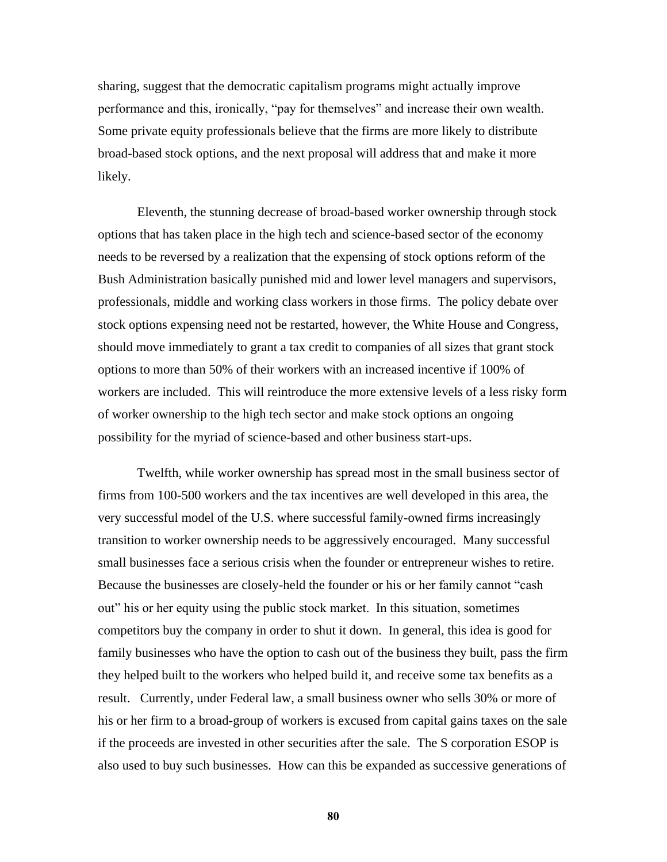sharing, suggest that the democratic capitalism programs might actually improve performance and this, ironically, "pay for themselves" and increase their own wealth. Some private equity professionals believe that the firms are more likely to distribute broad-based stock options, and the next proposal will address that and make it more likely.

Eleventh, the stunning decrease of broad-based worker ownership through stock options that has taken place in the high tech and science-based sector of the economy needs to be reversed by a realization that the expensing of stock options reform of the Bush Administration basically punished mid and lower level managers and supervisors, professionals, middle and working class workers in those firms. The policy debate over stock options expensing need not be restarted, however, the White House and Congress, should move immediately to grant a tax credit to companies of all sizes that grant stock options to more than 50% of their workers with an increased incentive if 100% of workers are included. This will reintroduce the more extensive levels of a less risky form of worker ownership to the high tech sector and make stock options an ongoing possibility for the myriad of science-based and other business start-ups.

Twelfth, while worker ownership has spread most in the small business sector of firms from 100-500 workers and the tax incentives are well developed in this area, the very successful model of the U.S. where successful family-owned firms increasingly transition to worker ownership needs to be aggressively encouraged. Many successful small businesses face a serious crisis when the founder or entrepreneur wishes to retire. Because the businesses are closely-held the founder or his or her family cannot "cash" out" his or her equity using the public stock market. In this situation, sometimes competitors buy the company in order to shut it down. In general, this idea is good for family businesses who have the option to cash out of the business they built, pass the firm they helped built to the workers who helped build it, and receive some tax benefits as a result. Currently, under Federal law, a small business owner who sells 30% or more of his or her firm to a broad-group of workers is excused from capital gains taxes on the sale if the proceeds are invested in other securities after the sale. The S corporation ESOP is also used to buy such businesses. How can this be expanded as successive generations of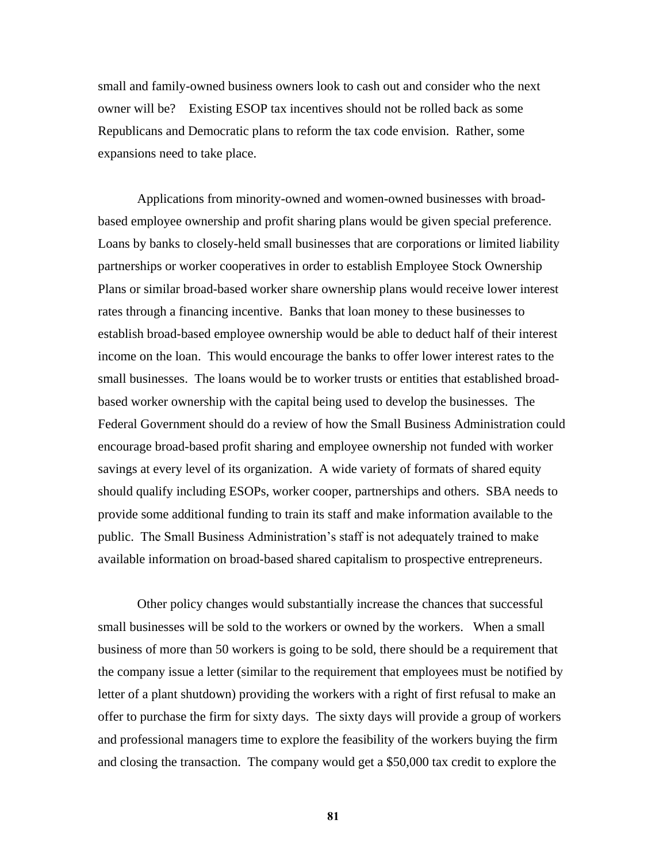small and family-owned business owners look to cash out and consider who the next owner will be? Existing ESOP tax incentives should not be rolled back as some Republicans and Democratic plans to reform the tax code envision. Rather, some expansions need to take place.

Applications from minority-owned and women-owned businesses with broadbased employee ownership and profit sharing plans would be given special preference. Loans by banks to closely-held small businesses that are corporations or limited liability partnerships or worker cooperatives in order to establish Employee Stock Ownership Plans or similar broad-based worker share ownership plans would receive lower interest rates through a financing incentive. Banks that loan money to these businesses to establish broad-based employee ownership would be able to deduct half of their interest income on the loan. This would encourage the banks to offer lower interest rates to the small businesses. The loans would be to worker trusts or entities that established broadbased worker ownership with the capital being used to develop the businesses. The Federal Government should do a review of how the Small Business Administration could encourage broad-based profit sharing and employee ownership not funded with worker savings at every level of its organization. A wide variety of formats of shared equity should qualify including ESOPs, worker cooper, partnerships and others. SBA needs to provide some additional funding to train its staff and make information available to the public. The Small Business Administration's staff is not adequately trained to make available information on broad-based shared capitalism to prospective entrepreneurs.

Other policy changes would substantially increase the chances that successful small businesses will be sold to the workers or owned by the workers. When a small business of more than 50 workers is going to be sold, there should be a requirement that the company issue a letter (similar to the requirement that employees must be notified by letter of a plant shutdown) providing the workers with a right of first refusal to make an offer to purchase the firm for sixty days. The sixty days will provide a group of workers and professional managers time to explore the feasibility of the workers buying the firm and closing the transaction. The company would get a \$50,000 tax credit to explore the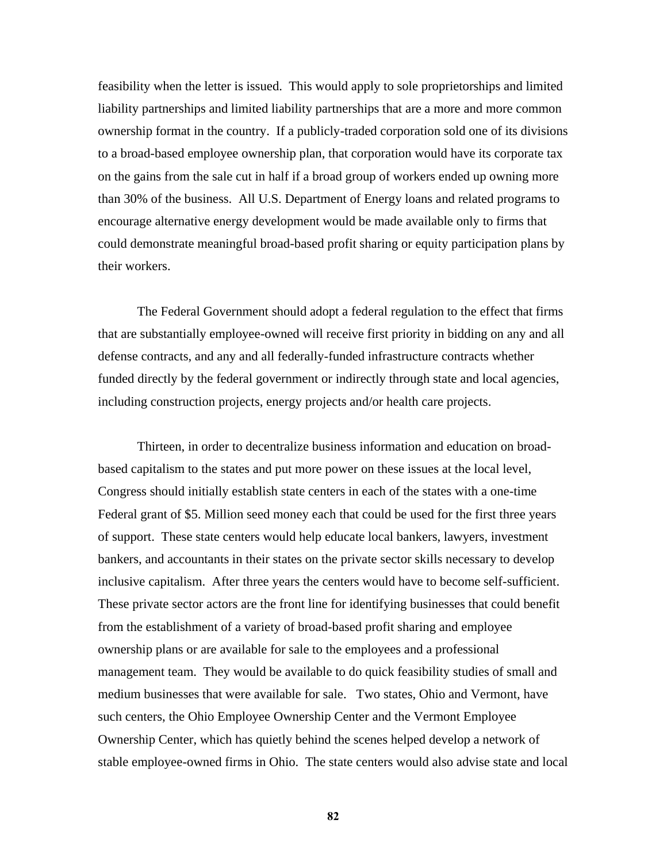feasibility when the letter is issued. This would apply to sole proprietorships and limited liability partnerships and limited liability partnerships that are a more and more common ownership format in the country. If a publicly-traded corporation sold one of its divisions to a broad-based employee ownership plan, that corporation would have its corporate tax on the gains from the sale cut in half if a broad group of workers ended up owning more than 30% of the business. All U.S. Department of Energy loans and related programs to encourage alternative energy development would be made available only to firms that could demonstrate meaningful broad-based profit sharing or equity participation plans by their workers.

The Federal Government should adopt a federal regulation to the effect that firms that are substantially employee-owned will receive first priority in bidding on any and all defense contracts, and any and all federally-funded infrastructure contracts whether funded directly by the federal government or indirectly through state and local agencies, including construction projects, energy projects and/or health care projects.

Thirteen, in order to decentralize business information and education on broadbased capitalism to the states and put more power on these issues at the local level, Congress should initially establish state centers in each of the states with a one-time Federal grant of \$5. Million seed money each that could be used for the first three years of support. These state centers would help educate local bankers, lawyers, investment bankers, and accountants in their states on the private sector skills necessary to develop inclusive capitalism. After three years the centers would have to become self-sufficient. These private sector actors are the front line for identifying businesses that could benefit from the establishment of a variety of broad-based profit sharing and employee ownership plans or are available for sale to the employees and a professional management team. They would be available to do quick feasibility studies of small and medium businesses that were available for sale. Two states, Ohio and Vermont, have such centers, the Ohio Employee Ownership Center and the Vermont Employee Ownership Center, which has quietly behind the scenes helped develop a network of stable employee-owned firms in Ohio. The state centers would also advise state and local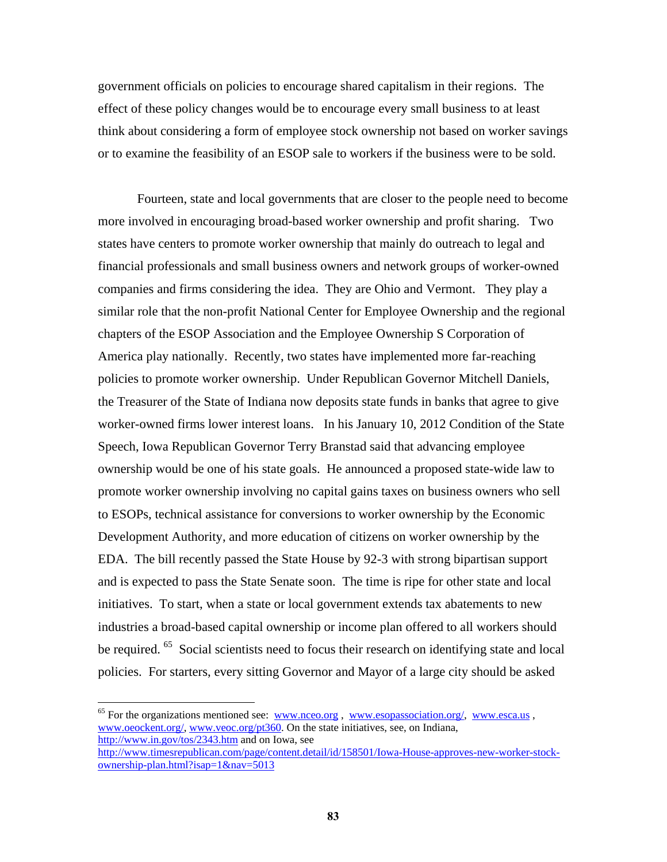government officials on policies to encourage shared capitalism in their regions. The effect of these policy changes would be to encourage every small business to at least think about considering a form of employee stock ownership not based on worker savings or to examine the feasibility of an ESOP sale to workers if the business were to be sold.

Fourteen, state and local governments that are closer to the people need to become more involved in encouraging broad-based worker ownership and profit sharing. Two states have centers to promote worker ownership that mainly do outreach to legal and financial professionals and small business owners and network groups of worker-owned companies and firms considering the idea. They are Ohio and Vermont. They play a similar role that the non-profit National Center for Employee Ownership and the regional chapters of the ESOP Association and the Employee Ownership S Corporation of America play nationally. Recently, two states have implemented more far-reaching policies to promote worker ownership. Under Republican Governor Mitchell Daniels, the Treasurer of the State of Indiana now deposits state funds in banks that agree to give worker-owned firms lower interest loans. In his January 10, 2012 Condition of the State Speech, Iowa Republican Governor Terry Branstad said that advancing employee ownership would be one of his state goals. He announced a proposed state-wide law to promote worker ownership involving no capital gains taxes on business owners who sell to ESOPs, technical assistance for conversions to worker ownership by the Economic Development Authority, and more education of citizens on worker ownership by the EDA. The bill recently passed the State House by 92-3 with strong bipartisan support and is expected to pass the State Senate soon. The time is ripe for other state and local initiatives. To start, when a state or local government extends tax abatements to new industries a broad-based capital ownership or income plan offered to all workers should be required. <sup>65</sup> Social scientists need to focus their research on identifying state and local policies. For starters, every sitting Governor and Mayor of a large city should be asked

 $65$  For the organizations mentioned see: [www.nceo.org](http://www.nceo.org/), [www.esopassociation.org/,](http://www.esopassociation.org/) [www.esca.us](http://www.esca.us/), [www.oeockent.org/,](http://www.oeockent.org/) [www.veoc.org/pt360.](http://www.veoc.org/pt360) On the state initiatives, see, on Indiana, <http://www.in.gov/tos/2343.htm> and on Iowa, see

[http://www.timesrepublican.com/page/content.detail/id/158501/Iowa-House-approves-new-worker-stock](http://www.timesrepublican.com/page/content.detail/id/158501/Iowa-House-approves-new-worker-stock-ownership-plan.html?isap=1&nav=5013)[ownership-plan.html?isap=1&nav=5013](http://www.timesrepublican.com/page/content.detail/id/158501/Iowa-House-approves-new-worker-stock-ownership-plan.html?isap=1&nav=5013)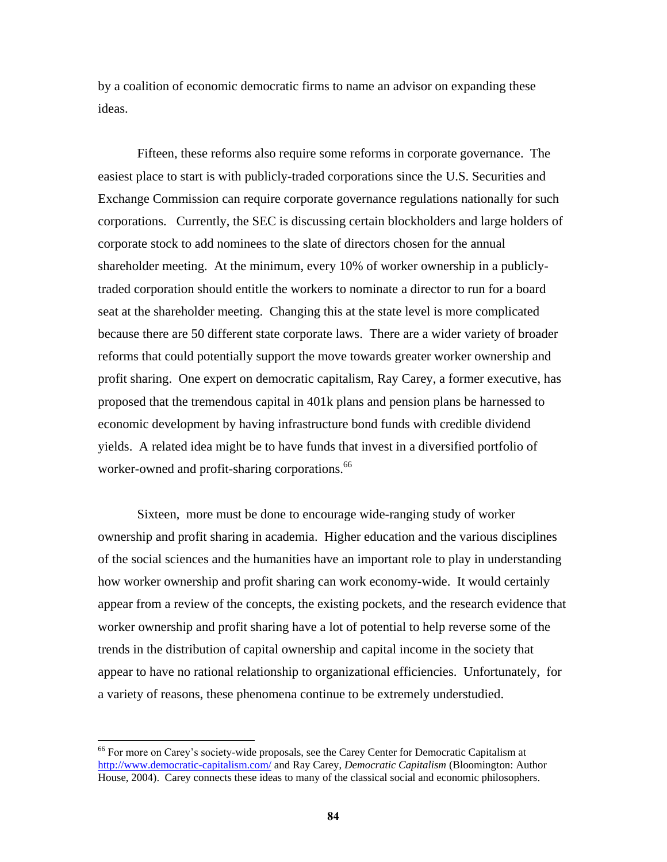by a coalition of economic democratic firms to name an advisor on expanding these ideas.

Fifteen, these reforms also require some reforms in corporate governance. The easiest place to start is with publicly-traded corporations since the U.S. Securities and Exchange Commission can require corporate governance regulations nationally for such corporations. Currently, the SEC is discussing certain blockholders and large holders of corporate stock to add nominees to the slate of directors chosen for the annual shareholder meeting. At the minimum, every 10% of worker ownership in a publiclytraded corporation should entitle the workers to nominate a director to run for a board seat at the shareholder meeting. Changing this at the state level is more complicated because there are 50 different state corporate laws. There are a wider variety of broader reforms that could potentially support the move towards greater worker ownership and profit sharing. One expert on democratic capitalism, Ray Carey, a former executive, has proposed that the tremendous capital in 401k plans and pension plans be harnessed to economic development by having infrastructure bond funds with credible dividend yields. A related idea might be to have funds that invest in a diversified portfolio of worker-owned and profit-sharing corporations.<sup>66</sup>

Sixteen, more must be done to encourage wide-ranging study of worker ownership and profit sharing in academia. Higher education and the various disciplines of the social sciences and the humanities have an important role to play in understanding how worker ownership and profit sharing can work economy-wide. It would certainly appear from a review of the concepts, the existing pockets, and the research evidence that worker ownership and profit sharing have a lot of potential to help reverse some of the trends in the distribution of capital ownership and capital income in the society that appear to have no rational relationship to organizational efficiencies. Unfortunately, for a variety of reasons, these phenomena continue to be extremely understudied.

<sup>&</sup>lt;sup>66</sup> For more on Carey's society-wide proposals, see the Carey Center for Democratic Capitalism at <http://www.democratic-capitalism.com/> and Ray Carey, *Democratic Capitalism* (Bloomington: Author House, 2004). Carey connects these ideas to many of the classical social and economic philosophers.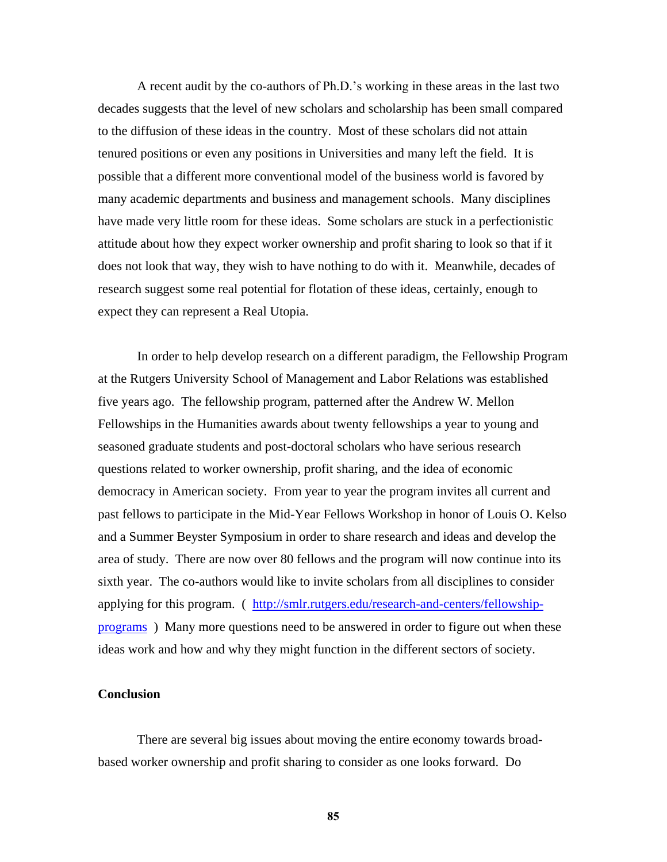A recent audit by the co-authors of Ph.D.'s working in these areas in the last two decades suggests that the level of new scholars and scholarship has been small compared to the diffusion of these ideas in the country. Most of these scholars did not attain tenured positions or even any positions in Universities and many left the field. It is possible that a different more conventional model of the business world is favored by many academic departments and business and management schools. Many disciplines have made very little room for these ideas. Some scholars are stuck in a perfectionistic attitude about how they expect worker ownership and profit sharing to look so that if it does not look that way, they wish to have nothing to do with it. Meanwhile, decades of research suggest some real potential for flotation of these ideas, certainly, enough to expect they can represent a Real Utopia.

In order to help develop research on a different paradigm, the Fellowship Program at the Rutgers University School of Management and Labor Relations was established five years ago. The fellowship program, patterned after the Andrew W. Mellon Fellowships in the Humanities awards about twenty fellowships a year to young and seasoned graduate students and post-doctoral scholars who have serious research questions related to worker ownership, profit sharing, and the idea of economic democracy in American society. From year to year the program invites all current and past fellows to participate in the Mid-Year Fellows Workshop in honor of Louis O. Kelso and a Summer Beyster Symposium in order to share research and ideas and develop the area of study. There are now over 80 fellows and the program will now continue into its sixth year. The co-authors would like to invite scholars from all disciplines to consider applying for this program. ( [http://smlr.rutgers.edu/research-and-centers/fellowship](http://smlr.rutgers.edu/research-and-centers/fellowship-programs)[programs](http://smlr.rutgers.edu/research-and-centers/fellowship-programs) ) Many more questions need to be answered in order to figure out when these ideas work and how and why they might function in the different sectors of society.

## **Conclusion**

There are several big issues about moving the entire economy towards broadbased worker ownership and profit sharing to consider as one looks forward. Do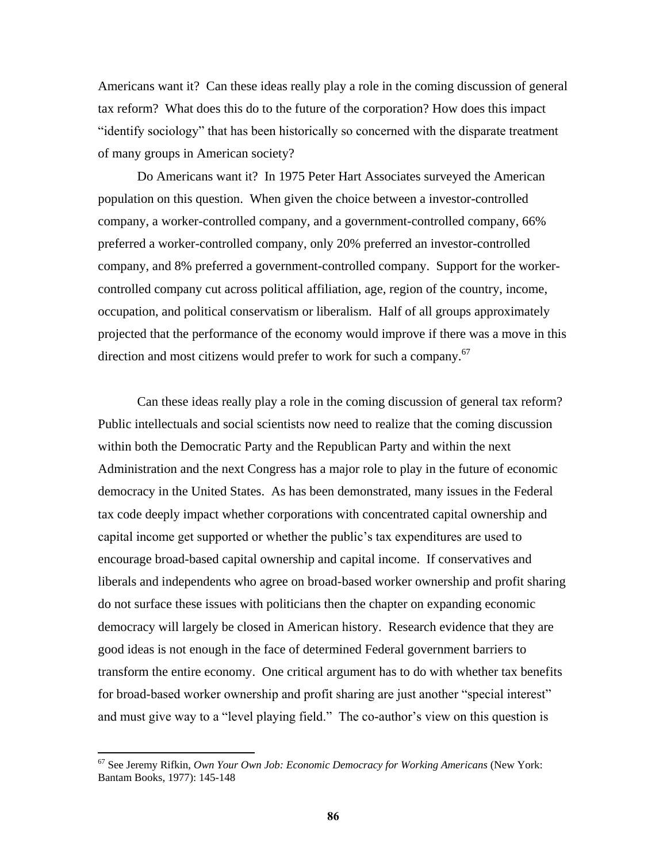Americans want it? Can these ideas really play a role in the coming discussion of general tax reform? What does this do to the future of the corporation? How does this impact ―identify sociology‖ that has been historically so concerned with the disparate treatment of many groups in American society?

Do Americans want it? In 1975 Peter Hart Associates surveyed the American population on this question. When given the choice between a investor-controlled company, a worker-controlled company, and a government-controlled company, 66% preferred a worker-controlled company, only 20% preferred an investor-controlled company, and 8% preferred a government-controlled company. Support for the workercontrolled company cut across political affiliation, age, region of the country, income, occupation, and political conservatism or liberalism. Half of all groups approximately projected that the performance of the economy would improve if there was a move in this direction and most citizens would prefer to work for such a company.<sup>67</sup>

Can these ideas really play a role in the coming discussion of general tax reform? Public intellectuals and social scientists now need to realize that the coming discussion within both the Democratic Party and the Republican Party and within the next Administration and the next Congress has a major role to play in the future of economic democracy in the United States. As has been demonstrated, many issues in the Federal tax code deeply impact whether corporations with concentrated capital ownership and capital income get supported or whether the public's tax expenditures are used to encourage broad-based capital ownership and capital income. If conservatives and liberals and independents who agree on broad-based worker ownership and profit sharing do not surface these issues with politicians then the chapter on expanding economic democracy will largely be closed in American history. Research evidence that they are good ideas is not enough in the face of determined Federal government barriers to transform the entire economy. One critical argument has to do with whether tax benefits for broad-based worker ownership and profit sharing are just another "special interest" and must give way to a "level playing field." The co-author's view on this question is

<sup>67</sup> See Jeremy Rifkin, *Own Your Own Job: Economic Democracy for Working Americans* (New York: Bantam Books, 1977): 145-148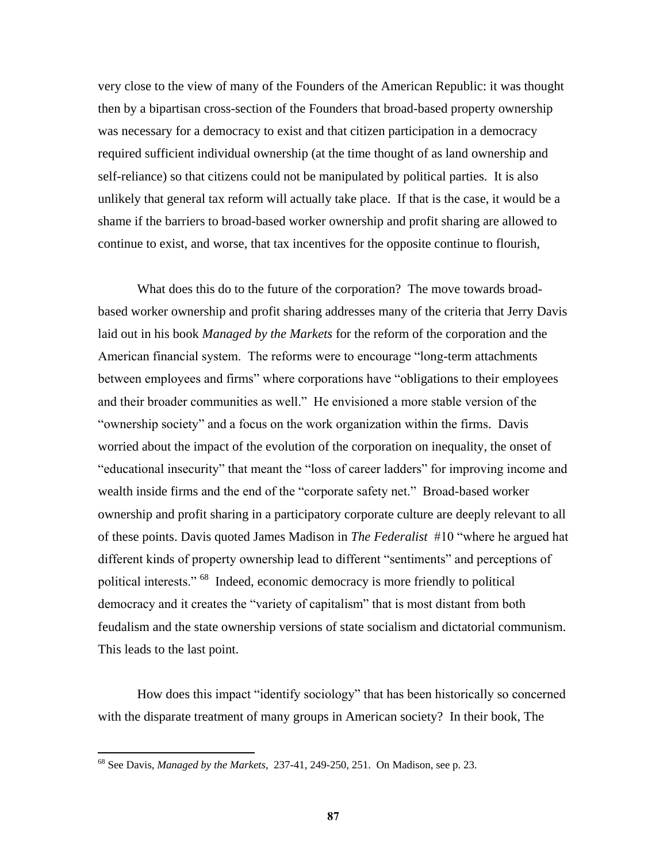very close to the view of many of the Founders of the American Republic: it was thought then by a bipartisan cross-section of the Founders that broad-based property ownership was necessary for a democracy to exist and that citizen participation in a democracy required sufficient individual ownership (at the time thought of as land ownership and self-reliance) so that citizens could not be manipulated by political parties. It is also unlikely that general tax reform will actually take place. If that is the case, it would be a shame if the barriers to broad-based worker ownership and profit sharing are allowed to continue to exist, and worse, that tax incentives for the opposite continue to flourish,

What does this do to the future of the corporation? The move towards broadbased worker ownership and profit sharing addresses many of the criteria that Jerry Davis laid out in his book *Managed by the Markets* for the reform of the corporation and the American financial system. The reforms were to encourage "long-term attachments" between employees and firms" where corporations have "obligations to their employees and their broader communities as well." He envisioned a more stable version of the "ownership society" and a focus on the work organization within the firms. Davis worried about the impact of the evolution of the corporation on inequality, the onset of "educational insecurity" that meant the "loss of career ladders" for improving income and wealth inside firms and the end of the "corporate safety net." Broad-based worker ownership and profit sharing in a participatory corporate culture are deeply relevant to all of these points. Davis quoted James Madison in *The Federalist* #10 "where he argued hat different kinds of property ownership lead to different "sentiments" and perceptions of political interests." <sup>68</sup> Indeed, economic democracy is more friendly to political democracy and it creates the "variety of capitalism" that is most distant from both feudalism and the state ownership versions of state socialism and dictatorial communism. This leads to the last point.

How does this impact "identify sociology" that has been historically so concerned with the disparate treatment of many groups in American society? In their book, The

<sup>68</sup> See Davis, *Managed by the Markets*, 237-41, 249-250, 251. On Madison, see p. 23.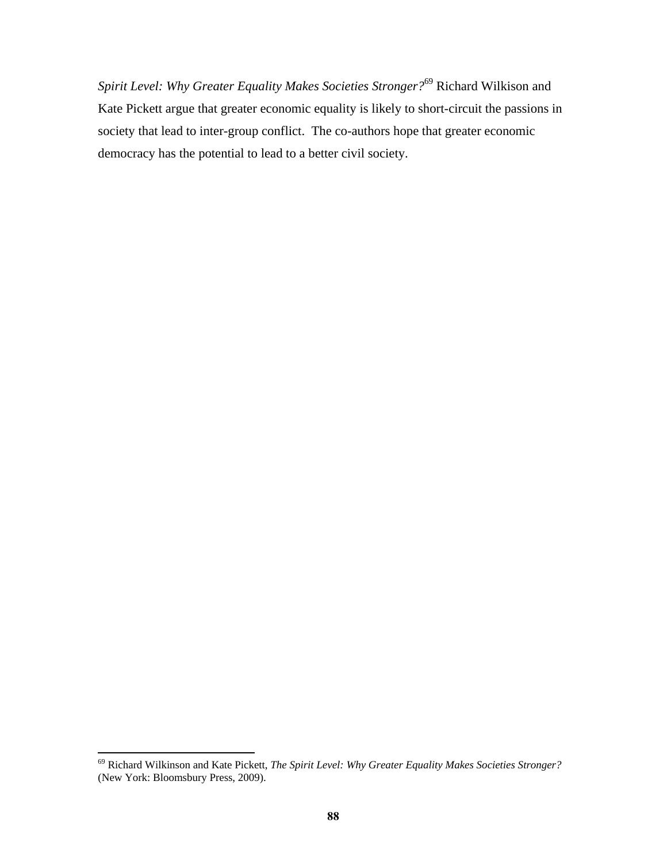*Spirit Level: Why Greater Equality Makes Societies Stronger?*<sup>69</sup> Richard Wilkison and Kate Pickett argue that greater economic equality is likely to short-circuit the passions in society that lead to inter-group conflict. The co-authors hope that greater economic democracy has the potential to lead to a better civil society.

<sup>69</sup> Richard Wilkinson and Kate Pickett, *The Spirit Level: Why Greater Equality Makes Societies Stronger?* (New York: Bloomsbury Press, 2009).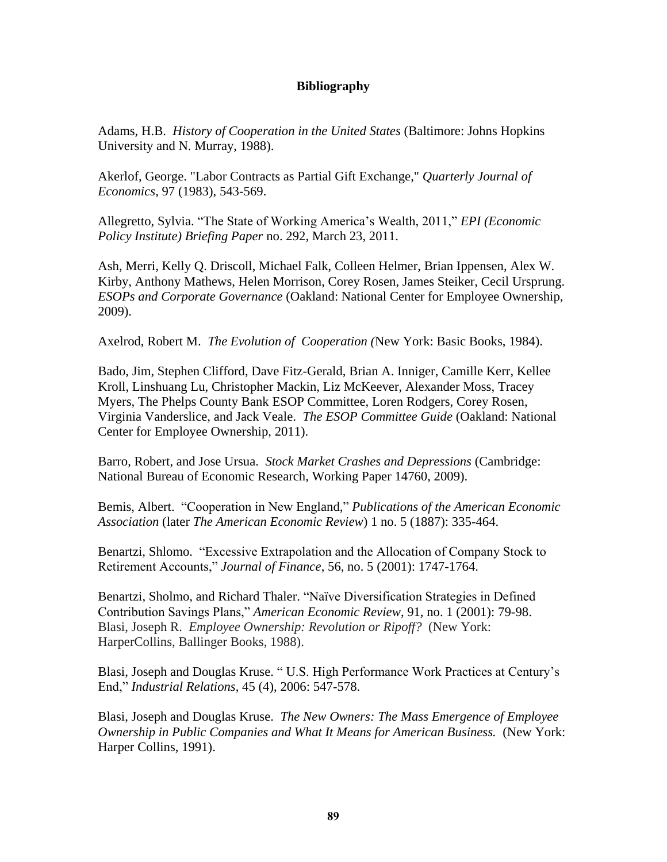## **Bibliography**

Adams, H.B. *History of Cooperation in the United States* (Baltimore: Johns Hopkins University and N. Murray, 1988).

Akerlof, George. "Labor Contracts as Partial Gift Exchange," *Quarterly Journal of Economics*, 97 (1983), 543-569.

Allegretto, Sylvia. "The State of Working America's Wealth, 2011," *EPI (Economic Policy Institute) Briefing Paper* no. 292, March 23, 2011.

Ash, Merri, Kelly Q. Driscoll, Michael Falk, Colleen Helmer, Brian Ippensen, Alex W. Kirby, Anthony Mathews, Helen Morrison, Corey Rosen, James Steiker, Cecil Ursprung. *ESOPs and Corporate Governance* (Oakland: National Center for Employee Ownership, 2009).

Axelrod, Robert M. *The Evolution of Cooperation (*New York: Basic Books, 1984).

Bado, Jim, Stephen Clifford, Dave Fitz-Gerald, Brian A. Inniger, Camille Kerr, Kellee Kroll, Linshuang Lu, Christopher Mackin, Liz McKeever, Alexander Moss, Tracey Myers, The Phelps County Bank ESOP Committee, Loren Rodgers, Corey Rosen, Virginia Vanderslice, and Jack Veale. *The ESOP Committee Guide* (Oakland: National Center for Employee Ownership, 2011).

Barro, Robert, and Jose Ursua. *Stock Market Crashes and Depressions* (Cambridge: National Bureau of Economic Research, Working Paper 14760, 2009).

Bemis, Albert. "Cooperation in New England," *Publications of the American Economic Association* (later *The American Economic Review*) 1 no. 5 (1887): 335-464.

Benartzi, Shlomo. "Excessive Extrapolation and the Allocation of Company Stock to Retirement Accounts,‖ *Journal of Finance*, 56, no. 5 (2001): 1747-1764.

Benartzi, Sholmo, and Richard Thaler. "Naïve Diversification Strategies in Defined Contribution Savings Plans,‖ *American Economic Review*, 91, no. 1 (2001): 79-98. Blasi, Joseph R. *Employee Ownership: Revolution or Ripoff?* (New York: HarperCollins, Ballinger Books, 1988).

Blasi, Joseph and Douglas Kruse. "U.S. High Performance Work Practices at Century's End,‖ *Industrial Relations*, 45 (4), 2006: 547-578.

Blasi, Joseph and Douglas Kruse. *The New Owners: The Mass Emergence of Employee Ownership in Public Companies and What It Means for American Business.* (New York: Harper Collins, 1991).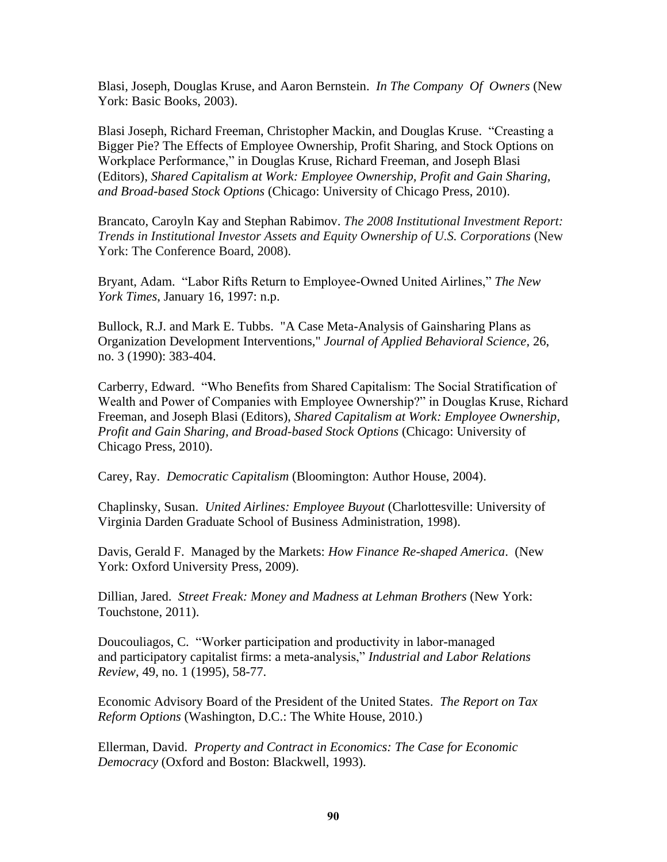Blasi, Joseph, Douglas Kruse, and Aaron Bernstein. *In The Company Of Owners* (New York: Basic Books, 2003).

Blasi Joseph, Richard Freeman, Christopher Mackin, and Douglas Kruse. "Creasting a Bigger Pie? The Effects of Employee Ownership, Profit Sharing, and Stock Options on Workplace Performance," in Douglas Kruse, Richard Freeman, and Joseph Blasi (Editors), *Shared Capitalism at Work: Employee Ownership, Profit and Gain Sharing, and Broad-based Stock Options* (Chicago: University of Chicago Press, 2010).

Brancato, Caroyln Kay and Stephan Rabimov. *The 2008 Institutional Investment Report: Trends in Institutional Investor Assets and Equity Ownership of U.S. Corporations* (New York: The Conference Board, 2008).

Bryant, Adam. "Labor Rifts Return to Employee-Owned United Airlines," The New *York Times*, January 16, 1997: n.p.

Bullock, R.J. and Mark E. Tubbs. "A Case Meta-Analysis of Gainsharing Plans as Organization Development Interventions," *Journal of Applied Behavioral Science,* 26, no. 3 (1990): 383-404.

Carberry, Edward. "Who Benefits from Shared Capitalism: The Social Stratification of Wealth and Power of Companies with Employee Ownership?" in Douglas Kruse, Richard Freeman, and Joseph Blasi (Editors), *Shared Capitalism at Work: Employee Ownership, Profit and Gain Sharing, and Broad-based Stock Options* (Chicago: University of Chicago Press, 2010).

Carey, Ray. *Democratic Capitalism* (Bloomington: Author House, 2004).

Chaplinsky, Susan. *United Airlines: Employee Buyout* (Charlottesville: University of Virginia Darden Graduate School of Business Administration, 1998).

Davis, Gerald F. Managed by the Markets: *How Finance Re-shaped America*. (New York: Oxford University Press, 2009).

[Dillian,](http://www.amazon.com/Jared-Dillian/e/B004VC02KG/ref=ntt_athr_dp_pel_1) Jared. *Street Freak: Money and Madness at Lehman Brothers* (New York: Touchstone, 2011).

Doucouliagos, C. "Worker participation and productivity in labor-managed and participatory capitalist firms: a meta-analysis," *Industrial and Labor Relations Review*, 49, no. 1 (1995), 58-77.

Economic Advisory Board of the President of the United States. *The Report on Tax Reform Options* (Washington, D.C.: The White House, 2010.)

Ellerman, David. *Property and Contract in Economics: The Case for Economic Democracy* (Oxford and Boston: Blackwell, 1993).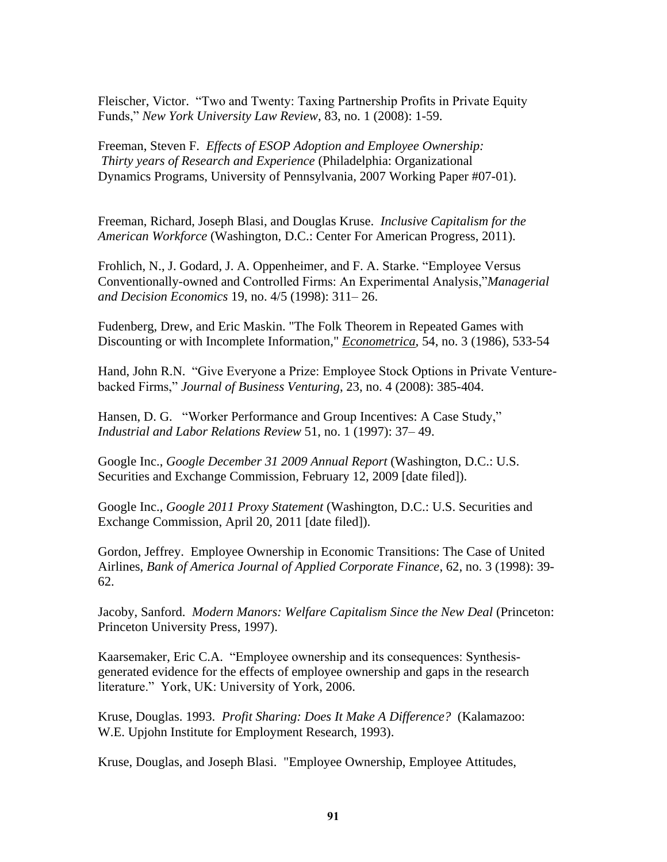Fleischer, Victor. "Two and Twenty: Taxing Partnership Profits in Private Equity Funds,‖ *New York University Law Review*, 83, no. 1 (2008): 1-59.

Freeman, Steven F. *Effects of ESOP Adoption and Employee Ownership: Thirty years of Research and Experience* (Philadelphia: Organizational Dynamics Programs, University of Pennsylvania, 2007 Working Paper #07-01).

Freeman, Richard, Joseph Blasi, and Douglas Kruse. *Inclusive Capitalism for the American Workforce* (Washington, D.C.: Center For American Progress, 2011).

Frohlich, N., J. Godard, J. A. Oppenheimer, and F. A. Starke. "Employee Versus" Conventionally-owned and Controlled Firms: An Experimental Analysis,"*Managerial and Decision Economics* 19, no. 4/5 (1998): 311– 26.

Fudenberg, Drew, and Eric Maskin. "The Folk Theorem in Repeated Games with Discounting or with Incomplete Information," *Econometrica*, 54, no. 3 (1986), 533-54

Hand, John R.N. "Give Everyone a Prize: Employee Stock Options in Private Venturebacked Firms," *Journal of Business Venturing*, 23, no. 4 (2008): 385-404.

Hansen, D. G. "Worker Performance and Group Incentives: A Case Study," *Industrial and Labor Relations Review* 51, no. 1 (1997): 37– 49.

Google Inc., *Google December 31 2009 Annual Report* (Washington, D.C.: U.S. Securities and Exchange Commission, February 12, 2009 [date filed]).

Google Inc., *Google 2011 Proxy Statement* (Washington, D.C.: U.S. Securities and Exchange Commission, April 20, 2011 [date filed]).

Gordon, Jeffrey. Employee Ownership in Economic Transitions: The Case of United Airlines, *Bank of America Journal of Applied Corporate Finance*, 62, no. 3 (1998): 39- 62.

Jacoby, Sanford. *Modern Manors: Welfare Capitalism Since the New Deal* (Princeton: Princeton University Press, 1997).

Kaarsemaker, Eric C.A. "Employee ownership and its consequences: Synthesisgenerated evidence for the effects of employee ownership and gaps in the research literature." York, UK: University of York, 2006.

Kruse, Douglas. 1993. *Profit Sharing: Does It Make A Difference?* (Kalamazoo: W.E. Upjohn Institute for Employment Research, 1993).

Kruse, Douglas, and Joseph Blasi. "Employee Ownership, Employee Attitudes,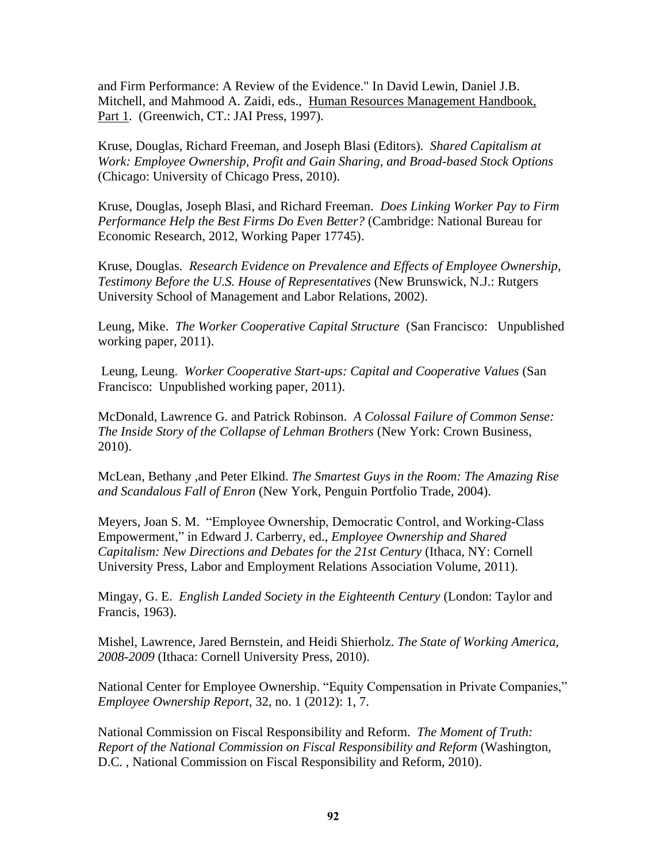and Firm Performance: A Review of the Evidence." In David Lewin, Daniel J.B. Mitchell, and Mahmood A. Zaidi, eds., Human Resources Management Handbook, Part 1. (Greenwich, CT.: JAI Press, 1997).

Kruse, Douglas, Richard Freeman, and Joseph Blasi (Editors). *Shared Capitalism at Work: Employee Ownership, Profit and Gain Sharing, and Broad-based Stock Options* (Chicago: University of Chicago Press, 2010).

Kruse, Douglas, Joseph Blasi, and Richard Freeman. *Does Linking Worker Pay to Firm Performance Help the Best Firms Do Even Better?* (Cambridge: National Bureau for Economic Research, 2012, Working Paper 17745).

Kruse, Douglas. *Research Evidence on Prevalence and Effects of Employee Ownership, Testimony Before the U.S. House of Representatives* (New Brunswick, N.J.: Rutgers University School of Management and Labor Relations, 2002).

Leung, Mike. *The Worker Cooperative Capital Structure* (San Francisco: Unpublished working paper, 2011).

Leung, Leung. *Worker Cooperative Start-ups: Capital and Cooperative Values* (San Francisco: Unpublished working paper, 2011).

[McDonald,](http://www.amazon.com/Lawrence-G.-McDonald/e/B002GWGXRO/ref=ntt_athr_dp_pel_1) Lawrence G. and [Patrick Robinson.](http://www.amazon.com/Patrick-Robinson/e/B001JPC9CC/ref=ntt_athr_dp_pel_2) *A Colossal Failure of Common Sense: The Inside Story of the Collapse of Lehman Brothers* (New York: Crown Business, 2010).

McLean, Bethany ,and Peter Elkind. *The Smartest Guys in the Room: The Amazing Rise and Scandalous Fall of Enron* (New York, Penguin Portfolio Trade, 2004).

Meyers, Joan S. M. "Employee Ownership, Democratic Control, and Working-Class Empowerment," in Edward J. Carberry, ed., *Employee Ownership and Shared Capitalism: New Directions and Debates for the 21st Century* (Ithaca, NY: Cornell University Press, Labor and Employment Relations Association Volume, 2011).

Mingay, G. E. *English Landed Society in the Eighteenth Century* (London: Taylor and Francis, 1963).

Mishel, Lawrence, Jared Bernstein, and Heidi Shierholz. *The State of Working America, 2008-2009* (Ithaca: Cornell University Press, 2010).

National Center for Employee Ownership. "Equity Compensation in Private Companies," *Employee Ownership Report*, 32, no. 1 (2012): 1, 7.

National Commission on Fiscal Responsibility and Reform. *The Moment of Truth: Report of the National Commission on Fiscal Responsibility and Reform* (Washington, D.C. , National Commission on Fiscal Responsibility and Reform, 2010).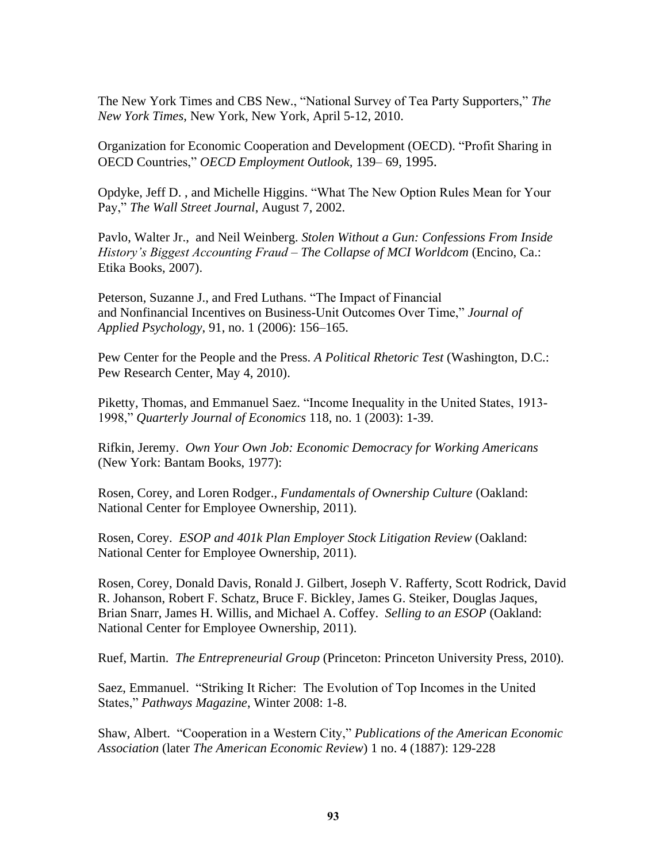The New York Times and CBS New., "National Survey of Tea Party Supporters," The *New York Times*, New York, New York, April 5-12, 2010.

Organization for Economic Cooperation and Development (OECD). ―Profit Sharing in OECD Countries,‖ *OECD Employment Outlook,* 139– 69, 1995.

Opdyke, Jeff D., and Michelle Higgins. "What The New Option Rules Mean for Your Pay," *The Wall Street Journal*, August 7, 2002.

Pavlo, Walter Jr., and Neil Weinberg. *Stolen Without a Gun: Confessions From Inside History's Biggest Accounting Fraud – The Collapse of MCI Worldcom* (Encino, Ca.: Etika Books, 2007).

Peterson, Suzanne J., and Fred Luthans. "The Impact of Financial and Nonfinancial Incentives on Business-Unit Outcomes Over Time," *Journal of Applied Psychology*, 91, no. 1 (2006): 156–165.

Pew Center for the People and the Press. *A Political Rhetoric Test* (Washington, D.C.: Pew Research Center, May 4, 2010).

Piketty, Thomas, and Emmanuel Saez. "Income Inequality in the United States, 1913-1998,‖ *Quarterly Journal of Economics* 118, no. 1 (2003): 1-39.

Rifkin, Jeremy. *Own Your Own Job: Economic Democracy for Working Americans* (New York: Bantam Books, 1977):

Rosen, Corey, and Loren Rodger., *Fundamentals of Ownership Culture* (Oakland: National Center for Employee Ownership, 2011).

Rosen, Corey. *ESOP and 401k Plan Employer Stock Litigation Review* (Oakland: National Center for Employee Ownership, 2011).

Rosen, Corey, Donald Davis, Ronald J. Gilbert, Joseph V. Rafferty, Scott Rodrick, David R. Johanson, Robert F. Schatz, Bruce F. Bickley, James G. Steiker, Douglas Jaques, Brian Snarr, James H. Willis, and Michael A. Coffey. *Selling to an ESOP* (Oakland: National Center for Employee Ownership, 2011).

Ruef, Martin. *The Entrepreneurial Group* (Princeton: Princeton University Press, 2010).

Saez, Emmanuel. "Striking It Richer: The Evolution of Top Incomes in the United States,‖ *Pathways Magazine*, Winter 2008: 1-8.

Shaw, Albert. "Cooperation in a Western City," *Publications of the American Economic Association* (later *The American Economic Review*) 1 no. 4 (1887): 129-228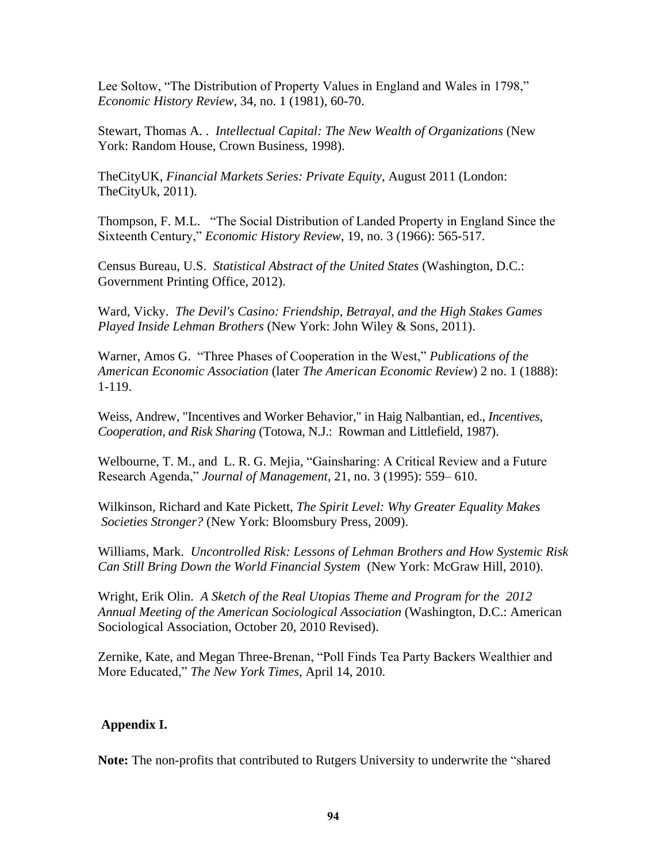Lee Soltow, "The Distribution of Property Values in England and Wales in 1798," *Economic History Review*, 34, no. 1 (1981), 60-70.

Stewart, Thomas A. . *Intellectual Capital: The New Wealth of Organizations* (New York: Random House, Crown Business, 1998).

TheCityUK, *Financial Markets Series: Private Equity*, August 2011 (London: TheCityUk, 2011).

Thompson, F. M.L. "The Social Distribution of Landed Property in England Since the Sixteenth Century," *Economic History Review*, 19, no. 3 (1966): 565-517.

Census Bureau, U.S. *Statistical Abstract of the United States* (Washington, D.C.: Government Printing Office, 2012).

Ward, Vicky. *The Devil's Casino: Friendship, Betrayal, and the High Stakes Games Played Inside Lehman Brothers* (New York: John Wiley & Sons, 2011).

Warner, Amos G. "Three Phases of Cooperation in the West," *Publications of the American Economic Association* (later *The American Economic Review*) 2 no. 1 (1888): 1-119.

Weiss, Andrew, "Incentives and Worker Behavior," in Haig Nalbantian, ed., *Incentives, Cooperation, and Risk Sharing* (Totowa, N.J.: Rowman and Littlefield, 1987).

Welbourne, T. M., and L. R. G. Mejia, "Gainsharing: A Critical Review and a Future Research Agenda,‖ *Journal of Management*, 21, no. 3 (1995): 559– 610.

Wilkinson, Richard and Kate Pickett, *The Spirit Level: Why Greater Equality Makes Societies Stronger?* (New York: Bloomsbury Press, 2009).

[Williams,](http://www.amazon.com/Mark-Williams/e/B003FNE7CQ/ref=ntt_athr_dp_pel_1) Mark. *Uncontrolled Risk: Lessons of Lehman Brothers and How Systemic Risk Can Still Bring Down the World Financial System* (New York: McGraw Hill, 2010).

Wright, Erik Olin. *A Sketch of the Real Utopias Theme and Program for the 2012 Annual Meeting of the American Sociological Association* (Washington, D.C.: American Sociological Association, October 20, 2010 Revised).

Zernike, Kate, and Megan Three-Brenan, "Poll Finds Tea Party Backers Wealthier and More Educated," The New York Times, April 14, 2010.

## **Appendix I.**

**Note:** The non-profits that contributed to Rutgers University to underwrite the "shared"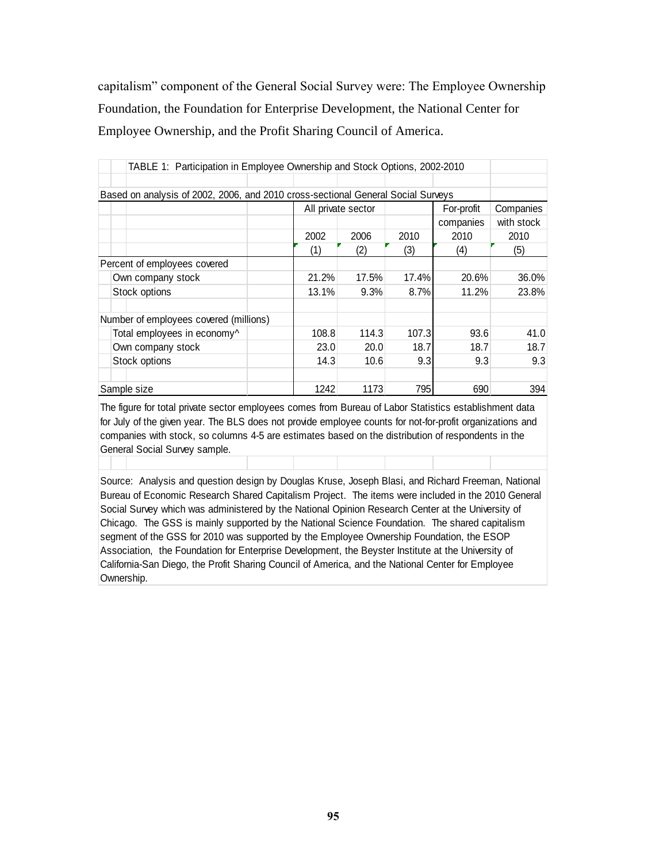capitalism" component of the General Social Survey were: The Employee Ownership Foundation, the Foundation for Enterprise Development, the National Center for Employee Ownership, and the Profit Sharing Council of America.

| TABLE 1: Participation in Employee Ownership and Stock Options, 2002-2010        |       |                                               |       |           |            |  |  |
|----------------------------------------------------------------------------------|-------|-----------------------------------------------|-------|-----------|------------|--|--|
|                                                                                  |       |                                               |       |           |            |  |  |
| Based on analysis of 2002, 2006, and 2010 cross-sectional General Social Surveys |       |                                               |       |           |            |  |  |
|                                                                                  |       | Companies<br>For-profit<br>All private sector |       |           |            |  |  |
|                                                                                  |       |                                               |       | companies | with stock |  |  |
|                                                                                  | 2002  | 2006                                          | 2010  | 2010      | 2010       |  |  |
|                                                                                  | (1)   | (2)                                           | (3)   | (4)       | (5)        |  |  |
| Percent of employees covered                                                     |       |                                               |       |           |            |  |  |
| Own company stock                                                                | 21.2% | 17.5%                                         | 17.4% | 20.6%     | 36.0%      |  |  |
| Stock options                                                                    | 13.1% | 9.3%                                          | 8.7%  | 11.2%     | 23.8%      |  |  |
| Number of employees covered (millions)                                           |       |                                               |       |           |            |  |  |
| Total employees in economy^                                                      | 108.8 | 114.3                                         | 107.3 | 93.6      | 41.0       |  |  |
| Own company stock                                                                | 23.0  | 20.0                                          | 18.7  | 18.7      | 18.7       |  |  |
| Stock options                                                                    | 14.3  | 10.6                                          | 9.3   | 9.3       | 9.3        |  |  |
| Sample size                                                                      | 1242  | 1173                                          | 795   | 690       | 394        |  |  |

The figure for total private sector employees comes from Bureau of Labor Statistics establishment data for July of the given year. The BLS does not provide employee counts for not-for-profit organizations and companies with stock, so columns 4-5 are estimates based on the distribution of respondents in the General Social Survey sample.

Source: Analysis and question design by Douglas Kruse, Joseph Blasi, and Richard Freeman, National Bureau of Economic Research Shared Capitalism Project. The items were included in the 2010 General Social Survey which was administered by the National Opinion Research Center at the University of Chicago. The GSS is mainly supported by the National Science Foundation. The shared capitalism segment of the GSS for 2010 was supported by the Employee Ownership Foundation, the ESOP Association, the Foundation for Enterprise Development, the Beyster Institute at the University of California-San Diego, the Profit Sharing Council of America, and the National Center for Employee Ownership.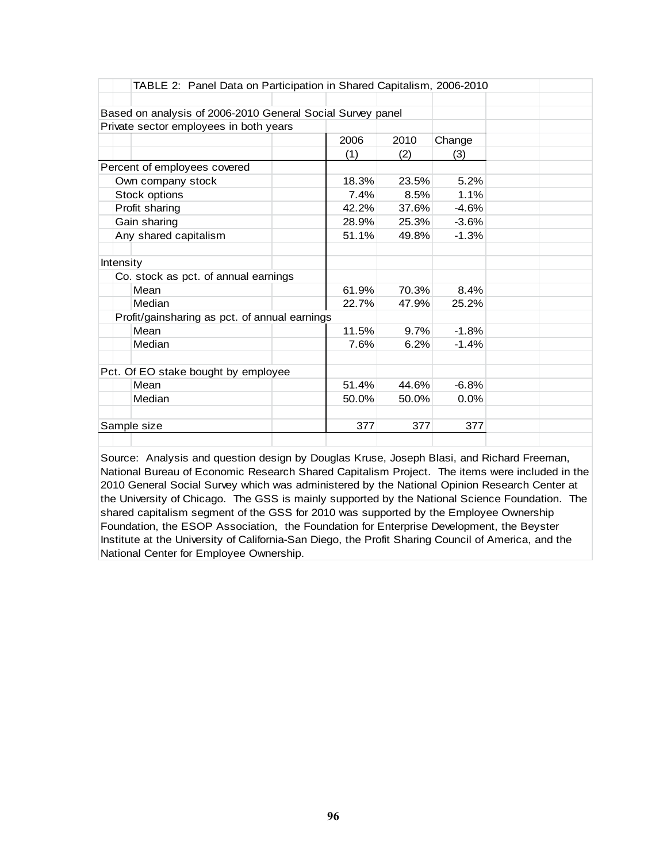| TABLE 2: Panel Data on Participation in Shared Capitalism, 2006-2010 |       |       |         |  |
|----------------------------------------------------------------------|-------|-------|---------|--|
|                                                                      |       |       |         |  |
| Based on analysis of 2006-2010 General Social Survey panel           |       |       |         |  |
| Private sector employees in both years                               |       |       |         |  |
|                                                                      | 2006  | 2010  | Change  |  |
|                                                                      | (1)   | (2)   | (3)     |  |
| Percent of employees covered                                         |       |       |         |  |
| Own company stock                                                    | 18.3% | 23.5% | 5.2%    |  |
| Stock options                                                        | 7.4%  | 8.5%  | 1.1%    |  |
| Profit sharing                                                       | 42.2% | 37.6% | $-4.6%$ |  |
| Gain sharing                                                         | 28.9% | 25.3% | $-3.6%$ |  |
| Any shared capitalism                                                | 51.1% | 49.8% | $-1.3%$ |  |
| <b>Intensity</b>                                                     |       |       |         |  |
| Co. stock as pct. of annual earnings                                 |       |       |         |  |
| Mean                                                                 | 61.9% | 70.3% | 8.4%    |  |
| Median                                                               | 22.7% | 47.9% | 25.2%   |  |
| Profit/gainsharing as pct. of annual earnings                        |       |       |         |  |
| Mean                                                                 | 11.5% | 9.7%  | $-1.8%$ |  |
| Median                                                               | 7.6%  | 6.2%  | $-1.4%$ |  |
| Pct. Of EO stake bought by employee                                  |       |       |         |  |
| Mean                                                                 | 51.4% | 44.6% | $-6.8%$ |  |
| Median                                                               | 50.0% | 50.0% | 0.0%    |  |
| Sample size                                                          | 377   | 377   | 377     |  |
|                                                                      |       |       |         |  |

Source: Analysis and question design by Douglas Kruse, Joseph Blasi, and Richard Freeman, National Bureau of Economic Research Shared Capitalism Project. The items were included in the 2010 General Social Survey which was administered by the National Opinion Research Center at the University of Chicago. The GSS is mainly supported by the National Science Foundation. The shared capitalism segment of the GSS for 2010 was supported by the Employee Ownership Foundation, the ESOP Association, the Foundation for Enterprise Development, the Beyster Institute at the University of California-San Diego, the Profit Sharing Council of America, and the National Center for Employee Ownership.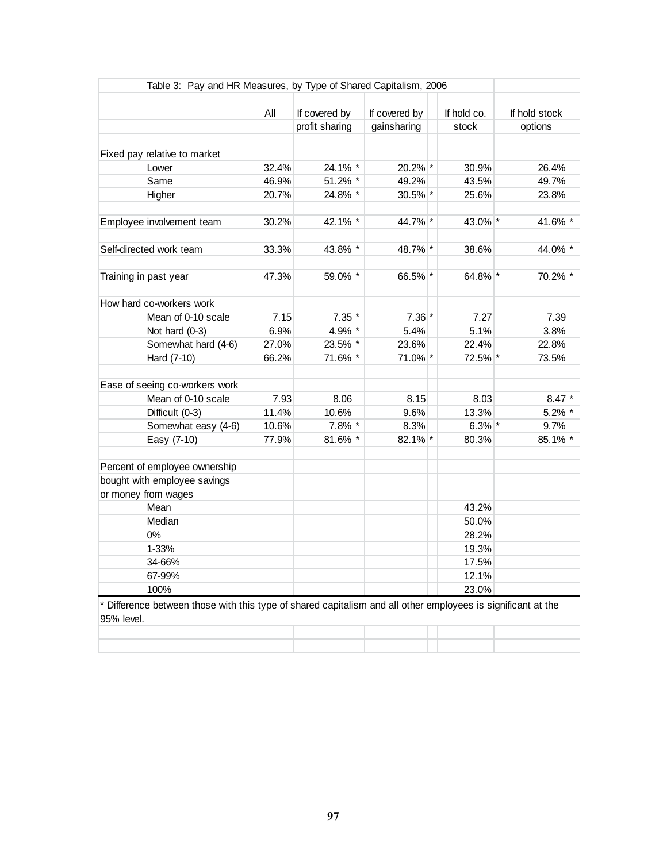|            | Table 3: Pay and HR Measures, by Type of Shared Capitalism, 2006                                           |       |                |  |               |             |               |  |
|------------|------------------------------------------------------------------------------------------------------------|-------|----------------|--|---------------|-------------|---------------|--|
|            |                                                                                                            | All   | If covered by  |  | If covered by | If hold co. | If hold stock |  |
|            |                                                                                                            |       | profit sharing |  | gainsharing   | stock       | options       |  |
|            |                                                                                                            |       |                |  |               |             |               |  |
|            | Fixed pay relative to market                                                                               |       |                |  |               |             |               |  |
|            | Lower                                                                                                      | 32.4% | 24.1% *        |  | 20.2% *       | 30.9%       | 26.4%         |  |
|            | Same                                                                                                       | 46.9% | 51.2% *        |  | 49.2%         | 43.5%       | 49.7%         |  |
|            | Higher                                                                                                     | 20.7% | 24.8% *        |  | $30.5\%$ *    | 25.6%       | 23.8%         |  |
|            | Employee involvement team                                                                                  | 30.2% | 42.1% *        |  | 44.7% *       | 43.0% *     | 41.6% *       |  |
|            | Self-directed work team                                                                                    | 33.3% | 43.8% *        |  | 48.7% *       | 38.6%       | 44.0% *       |  |
|            |                                                                                                            |       |                |  |               |             |               |  |
|            | Training in past year                                                                                      | 47.3% | 59.0% *        |  | 66.5% *       | 64.8% *     | 70.2% *       |  |
|            | How hard co-workers work                                                                                   |       |                |  |               |             |               |  |
|            | Mean of 0-10 scale                                                                                         | 7.15  | $7.35$ *       |  | $7.36*$       | 7.27        | 7.39          |  |
|            | Not hard (0-3)                                                                                             | 6.9%  | 4.9% *         |  | 5.4%          | 5.1%        | 3.8%          |  |
|            | Somewhat hard (4-6)                                                                                        | 27.0% | 23.5% *        |  | 23.6%         | 22.4%       | 22.8%         |  |
|            | Hard (7-10)                                                                                                | 66.2% | 71.6% *        |  | 71.0% *       | 72.5% *     | 73.5%         |  |
|            | Ease of seeing co-workers work                                                                             |       |                |  |               |             |               |  |
|            | Mean of 0-10 scale                                                                                         | 7.93  | 8.06           |  | 8.15          | 8.03        | $8.47$ *      |  |
|            | Difficult (0-3)                                                                                            | 11.4% | 10.6%          |  | 9.6%          | 13.3%       | $5.2\%$ *     |  |
|            | Somewhat easy (4-6)                                                                                        | 10.6% | $7.8\%$ *      |  | 8.3%          | $6.3\%$ *   | 9.7%          |  |
|            | Easy (7-10)                                                                                                | 77.9% | 81.6% *        |  | 82.1% *       | 80.3%       | 85.1% *       |  |
|            | Percent of employee ownership                                                                              |       |                |  |               |             |               |  |
|            | bought with employee savings                                                                               |       |                |  |               |             |               |  |
|            | or money from wages                                                                                        |       |                |  |               |             |               |  |
|            | Mean                                                                                                       |       |                |  |               | 43.2%       |               |  |
|            | Median                                                                                                     |       |                |  |               | 50.0%       |               |  |
|            | 0%                                                                                                         |       |                |  |               | 28.2%       |               |  |
|            | 1-33%                                                                                                      |       |                |  |               | 19.3%       |               |  |
|            | 34-66%                                                                                                     |       |                |  |               | 17.5%       |               |  |
|            | 67-99%                                                                                                     |       |                |  |               | 12.1%       |               |  |
|            | 100%                                                                                                       |       |                |  |               | 23.0%       |               |  |
| 95% level. | Difference between those with this type of shared capitalism and all other employees is significant at the |       |                |  |               |             |               |  |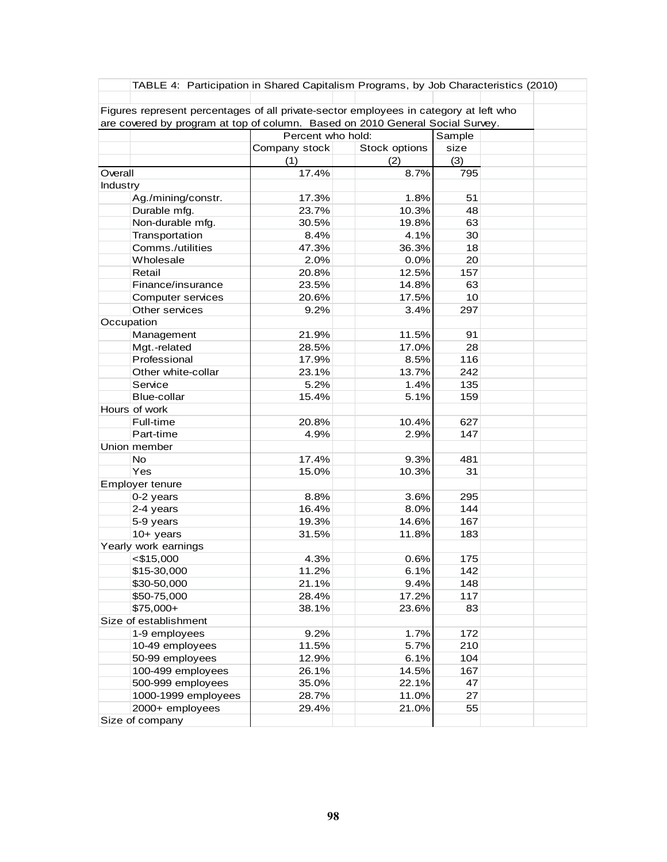|            | TABLE 4: Participation in Shared Capitalism Programs, by Job Characteristics (2010)                                                                                    |                                                      |       |     |  |  |  |  |
|------------|------------------------------------------------------------------------------------------------------------------------------------------------------------------------|------------------------------------------------------|-------|-----|--|--|--|--|
|            | Figures represent percentages of all private-sector employees in category at left who<br>are covered by program at top of column. Based on 2010 General Social Survey. |                                                      |       |     |  |  |  |  |
|            |                                                                                                                                                                        |                                                      |       |     |  |  |  |  |
|            |                                                                                                                                                                        | Percent who hold:<br>Sample<br>Stock options<br>size |       |     |  |  |  |  |
|            |                                                                                                                                                                        | Company stock                                        |       |     |  |  |  |  |
|            |                                                                                                                                                                        | (1)                                                  | (2)   | (3) |  |  |  |  |
| Overall    |                                                                                                                                                                        | 17.4%                                                | 8.7%  | 795 |  |  |  |  |
| Industry   |                                                                                                                                                                        |                                                      |       |     |  |  |  |  |
|            | Ag./mining/constr.                                                                                                                                                     | 17.3%                                                | 1.8%  | 51  |  |  |  |  |
|            | Durable mfg.                                                                                                                                                           | 23.7%                                                | 10.3% | 48  |  |  |  |  |
|            | Non-durable mfg.                                                                                                                                                       | 30.5%                                                | 19.8% | 63  |  |  |  |  |
|            | Transportation                                                                                                                                                         | 8.4%                                                 | 4.1%  | 30  |  |  |  |  |
|            | Comms./utilities                                                                                                                                                       | 47.3%                                                | 36.3% | 18  |  |  |  |  |
|            | Wholesale                                                                                                                                                              | 2.0%                                                 | 0.0%  | 20  |  |  |  |  |
|            | Retail                                                                                                                                                                 | 20.8%                                                | 12.5% | 157 |  |  |  |  |
|            | Finance/insurance                                                                                                                                                      | 23.5%                                                | 14.8% | 63  |  |  |  |  |
|            | Computer services                                                                                                                                                      | 20.6%                                                | 17.5% | 10  |  |  |  |  |
|            | Other services                                                                                                                                                         | 9.2%                                                 | 3.4%  | 297 |  |  |  |  |
| Occupation |                                                                                                                                                                        |                                                      |       |     |  |  |  |  |
|            | Management                                                                                                                                                             | 21.9%                                                | 11.5% | 91  |  |  |  |  |
|            | Mgt.-related                                                                                                                                                           | 28.5%                                                | 17.0% | 28  |  |  |  |  |
|            | Professional                                                                                                                                                           | 17.9%                                                | 8.5%  | 116 |  |  |  |  |
|            | Other white-collar                                                                                                                                                     | 23.1%                                                | 13.7% | 242 |  |  |  |  |
|            | Service                                                                                                                                                                | 5.2%                                                 | 1.4%  | 135 |  |  |  |  |
|            | Blue-collar                                                                                                                                                            | 15.4%                                                | 5.1%  | 159 |  |  |  |  |
|            | Hours of work                                                                                                                                                          |                                                      |       |     |  |  |  |  |
|            | Full-time                                                                                                                                                              | 20.8%                                                | 10.4% | 627 |  |  |  |  |
|            | Part-time                                                                                                                                                              | 4.9%                                                 | 2.9%  | 147 |  |  |  |  |
|            | Union member                                                                                                                                                           |                                                      |       |     |  |  |  |  |
|            | <b>No</b>                                                                                                                                                              | 17.4%                                                | 9.3%  | 481 |  |  |  |  |
|            | Yes                                                                                                                                                                    | 15.0%                                                | 10.3% | 31  |  |  |  |  |
|            | Employer tenure                                                                                                                                                        |                                                      |       |     |  |  |  |  |
|            | 0-2 years                                                                                                                                                              | 8.8%                                                 | 3.6%  | 295 |  |  |  |  |
|            | 2-4 years                                                                                                                                                              | 16.4%                                                | 8.0%  | 144 |  |  |  |  |
|            | 5-9 years                                                                                                                                                              | 19.3%                                                | 14.6% | 167 |  |  |  |  |
|            | $10+$ years                                                                                                                                                            | 31.5%                                                | 11.8% | 183 |  |  |  |  |
|            | Yearly work earnings                                                                                                                                                   |                                                      |       |     |  |  |  |  |
|            | $<$ \$15,000                                                                                                                                                           | 4.3%                                                 | 0.6%  | 175 |  |  |  |  |
|            | \$15-30,000                                                                                                                                                            | 11.2%                                                | 6.1%  | 142 |  |  |  |  |
|            | \$30-50,000                                                                                                                                                            | 21.1%                                                | 9.4%  | 148 |  |  |  |  |
|            | \$50-75,000                                                                                                                                                            | 28.4%                                                | 17.2% | 117 |  |  |  |  |
|            | \$75,000+                                                                                                                                                              | 38.1%                                                | 23.6% | 83  |  |  |  |  |
|            | Size of establishment                                                                                                                                                  |                                                      |       |     |  |  |  |  |
|            | 1-9 employees                                                                                                                                                          | 9.2%                                                 | 1.7%  | 172 |  |  |  |  |
|            | 10-49 employees                                                                                                                                                        | 11.5%                                                | 5.7%  | 210 |  |  |  |  |
|            | 50-99 employees                                                                                                                                                        | 12.9%                                                | 6.1%  | 104 |  |  |  |  |
|            | 100-499 employees                                                                                                                                                      | 26.1%                                                | 14.5% | 167 |  |  |  |  |
|            | 500-999 employees                                                                                                                                                      | 35.0%                                                | 22.1% | 47  |  |  |  |  |
|            | 1000-1999 employees                                                                                                                                                    | 28.7%                                                | 11.0% | 27  |  |  |  |  |
|            | 2000+ employees                                                                                                                                                        | 29.4%                                                | 21.0% | 55  |  |  |  |  |
|            | Size of company                                                                                                                                                        |                                                      |       |     |  |  |  |  |